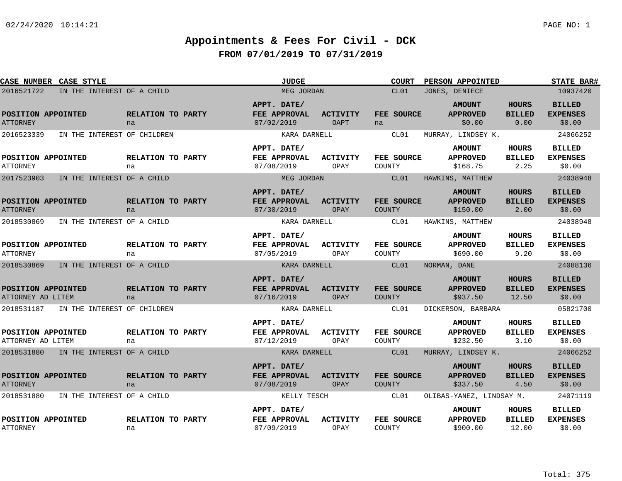| CASE NUMBER CASE STYLE                  |                             |                         | <b>JUDGE</b>                              |                                | <b>COURT</b>                | PERSON APPOINTED                             |                                        | <b>STATE BAR#</b>                          |
|-----------------------------------------|-----------------------------|-------------------------|-------------------------------------------|--------------------------------|-----------------------------|----------------------------------------------|----------------------------------------|--------------------------------------------|
| 2016521722                              | IN THE INTEREST OF A CHILD  |                         | MEG JORDAN                                |                                | CL01                        | JONES, DENIECE                               |                                        | 10937420                                   |
| POSITION APPOINTED<br><b>ATTORNEY</b>   |                             | RELATION TO PARTY<br>na | APPT. DATE/<br>FEE APPROVAL<br>07/02/2019 | <b>ACTIVITY</b><br><b>OAPT</b> | FEE SOURCE<br>na            | <b>AMOUNT</b><br><b>APPROVED</b><br>\$0.00   | <b>HOURS</b><br><b>BILLED</b><br>0.00  | <b>BILLED</b><br><b>EXPENSES</b><br>\$0.00 |
| 2016523339                              | IN THE INTEREST OF CHILDREN |                         | KARA DARNELL                              |                                | CL01                        | MURRAY, LINDSEY K.                           |                                        | 24066252                                   |
| POSITION APPOINTED<br><b>ATTORNEY</b>   |                             | RELATION TO PARTY<br>na | APPT. DATE/<br>FEE APPROVAL<br>07/08/2019 | <b>ACTIVITY</b><br>OPAY        | FEE SOURCE<br>COUNTY        | <b>AMOUNT</b><br><b>APPROVED</b><br>\$168.75 | HOURS<br><b>BILLED</b><br>2.25         | <b>BILLED</b><br><b>EXPENSES</b><br>\$0.00 |
| 2017523903                              | IN THE INTEREST OF A CHILD  |                         | MEG JORDAN                                |                                | CL01                        | HAWKINS, MATTHEW                             |                                        | 24038948                                   |
| POSITION APPOINTED<br><b>ATTORNEY</b>   |                             | RELATION TO PARTY<br>na | APPT. DATE/<br>FEE APPROVAL<br>07/30/2019 | <b>ACTIVITY</b><br>OPAY        | FEE SOURCE<br><b>COUNTY</b> | <b>AMOUNT</b><br><b>APPROVED</b><br>\$150.00 | <b>HOURS</b><br><b>BILLED</b><br>2.00  | <b>BILLED</b><br><b>EXPENSES</b><br>\$0.00 |
| 2018530869                              | IN THE INTEREST OF A CHILD  |                         | KARA DARNELL                              |                                | CL01                        | HAWKINS, MATTHEW                             |                                        | 24038948                                   |
| POSITION APPOINTED<br><b>ATTORNEY</b>   |                             | RELATION TO PARTY<br>na | APPT. DATE/<br>FEE APPROVAL<br>07/05/2019 | <b>ACTIVITY</b><br>OPAY        | FEE SOURCE<br>COUNTY        | <b>AMOUNT</b><br><b>APPROVED</b><br>\$690.00 | <b>HOURS</b><br><b>BILLED</b><br>9.20  | <b>BILLED</b><br><b>EXPENSES</b><br>\$0.00 |
| 2018530869                              | IN THE INTEREST OF A CHILD  |                         | KARA DARNELL                              |                                | CL01                        | NORMAN, DANE                                 |                                        | 24088136                                   |
| POSITION APPOINTED<br>ATTORNEY AD LITEM |                             | RELATION TO PARTY<br>na | APPT. DATE/<br>FEE APPROVAL<br>07/16/2019 | <b>ACTIVITY</b><br>OPAY        | FEE SOURCE<br><b>COUNTY</b> | <b>AMOUNT</b><br><b>APPROVED</b><br>\$937.50 | <b>HOURS</b><br><b>BILLED</b><br>12.50 | <b>BILLED</b><br><b>EXPENSES</b><br>\$0.00 |
| 2018531187                              | IN THE INTEREST OF CHILDREN |                         | KARA DARNELL                              |                                | CL01                        | DICKERSON, BARBARA                           |                                        | 05821700                                   |
| POSITION APPOINTED<br>ATTORNEY AD LITEM |                             | RELATION TO PARTY<br>na | APPT. DATE/<br>FEE APPROVAL<br>07/12/2019 | <b>ACTIVITY</b><br>OPAY        | FEE SOURCE<br>COUNTY        | <b>AMOUNT</b><br><b>APPROVED</b><br>\$232.50 | HOURS<br><b>BILLED</b><br>3.10         | <b>BILLED</b><br><b>EXPENSES</b><br>\$0.00 |
| 2018531880                              | IN THE INTEREST OF A CHILD  |                         | KARA DARNELL                              |                                | CL01                        | MURRAY, LINDSEY K.                           |                                        | 24066252                                   |
| POSITION APPOINTED<br><b>ATTORNEY</b>   |                             | RELATION TO PARTY<br>na | APPT. DATE/<br>FEE APPROVAL<br>07/08/2019 | <b>ACTIVITY</b><br>OPAY        | FEE SOURCE<br>COUNTY        | <b>AMOUNT</b><br><b>APPROVED</b><br>\$337.50 | <b>HOURS</b><br><b>BILLED</b><br>4.50  | <b>BILLED</b><br><b>EXPENSES</b><br>\$0.00 |
| 2018531880                              | IN THE INTEREST OF A CHILD  |                         | KELLY TESCH                               |                                | CL01                        | OLIBAS-YANEZ, LINDSAY M.                     |                                        | 24071119                                   |
| POSITION APPOINTED<br><b>ATTORNEY</b>   |                             | RELATION TO PARTY<br>na | APPT. DATE/<br>FEE APPROVAL<br>07/09/2019 | <b>ACTIVITY</b><br>OPAY        | FEE SOURCE<br>COUNTY        | <b>AMOUNT</b><br><b>APPROVED</b><br>\$900.00 | HOURS<br><b>BILLED</b><br>12.00        | <b>BILLED</b><br><b>EXPENSES</b><br>\$0.00 |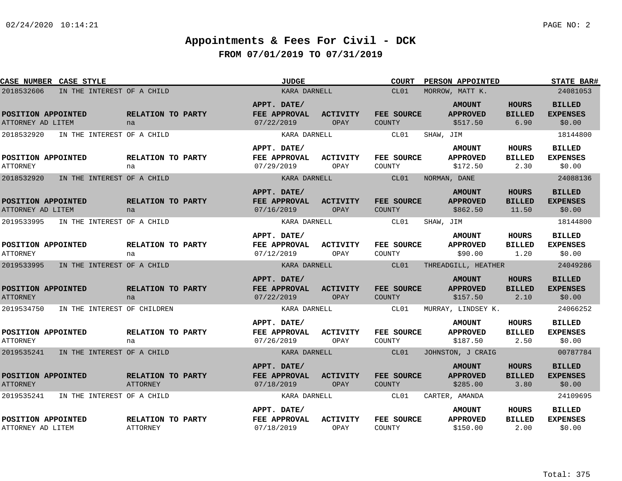| CASE NUMBER CASE STYLE                  |                                       |                                      | <b>JUDGE</b>                                     |                         | <b>COURT</b>                | <b>PERSON APPOINTED</b>                      |                                        | <b>STATE BAR#</b>                          |
|-----------------------------------------|---------------------------------------|--------------------------------------|--------------------------------------------------|-------------------------|-----------------------------|----------------------------------------------|----------------------------------------|--------------------------------------------|
| 2018532606                              | IN THE INTEREST OF A CHILD            |                                      | KARA DARNELL                                     |                         | CL01                        | MORROW, MATT K.                              |                                        | 24081053                                   |
| POSITION APPOINTED<br>ATTORNEY AD LITEM |                                       | RELATION TO PARTY<br>na              | APPT. DATE/<br>FEE APPROVAL<br>07/22/2019        | ACTIVITY<br>OPAY        | FEE SOURCE<br>COUNTY        | <b>AMOUNT</b><br><b>APPROVED</b><br>\$517.50 | <b>HOURS</b><br><b>BILLED</b><br>6.90  | <b>BILLED</b><br><b>EXPENSES</b><br>\$0.00 |
| 2018532920                              | IN THE INTEREST OF A CHILD            |                                      | KARA DARNELL                                     |                         | CL01                        | SHAW, JIM                                    |                                        | 18144800                                   |
| POSITION APPOINTED<br><b>ATTORNEY</b>   |                                       | <b>RELATION TO PARTY</b><br>na       | APPT. DATE/<br><b>FEE APPROVAL</b><br>07/29/2019 | <b>ACTIVITY</b><br>OPAY | <b>FEE SOURCE</b><br>COUNTY | <b>AMOUNT</b><br><b>APPROVED</b><br>\$172.50 | HOURS<br><b>BILLED</b><br>2.30         | <b>BILLED</b><br><b>EXPENSES</b><br>\$0.00 |
| 2018532920                              | IN THE INTEREST OF A CHILD            |                                      | KARA DARNELL                                     |                         | CL01                        | NORMAN, DANE                                 |                                        | 24088136                                   |
| POSITION APPOINTED<br>ATTORNEY AD LITEM |                                       | RELATION TO PARTY<br>na              | APPT. DATE/<br>FEE APPROVAL<br>07/16/2019        | ACTIVITY<br>OPAY        | FEE SOURCE<br>COUNTY        | <b>AMOUNT</b><br><b>APPROVED</b><br>\$862.50 | <b>HOURS</b><br><b>BILLED</b><br>11.50 | <b>BILLED</b><br><b>EXPENSES</b><br>\$0.00 |
| 2019533995                              | IN THE INTEREST OF A CHILD            |                                      | KARA DARNELL                                     |                         | CL01                        | SHAW, JIM                                    |                                        | 18144800                                   |
| POSITION APPOINTED<br><b>ATTORNEY</b>   |                                       | RELATION TO PARTY<br>na              | APPT. DATE/<br>FEE APPROVAL<br>07/12/2019        | <b>ACTIVITY</b><br>OPAY | FEE SOURCE<br>COUNTY        | <b>AMOUNT</b><br><b>APPROVED</b><br>\$90.00  | <b>HOURS</b><br><b>BILLED</b><br>1.20  | <b>BILLED</b><br><b>EXPENSES</b><br>\$0.00 |
| 2019533995                              | IN THE INTEREST OF A CHILD            |                                      | KARA DARNELL                                     |                         | CL01                        | THREADGILL, HEATHER                          |                                        | 24049286                                   |
| POSITION APPOINTED<br><b>ATTORNEY</b>   |                                       | RELATION TO PARTY<br>na              | APPT. DATE/<br>FEE APPROVAL<br>07/22/2019        | <b>ACTIVITY</b><br>OPAY | FEE SOURCE<br><b>COUNTY</b> | <b>AMOUNT</b><br><b>APPROVED</b><br>\$157.50 | <b>HOURS</b><br><b>BILLED</b><br>2.10  | <b>BILLED</b><br><b>EXPENSES</b><br>\$0.00 |
| 2019534750                              | IN THE INTEREST OF CHILDREN           |                                      | KARA DARNELL                                     |                         | CL01                        | MURRAY, LINDSEY K.                           |                                        | 24066252                                   |
| POSITION APPOINTED<br><b>ATTORNEY</b>   |                                       | RELATION TO PARTY<br>na              | APPT. DATE/<br>FEE APPROVAL<br>07/26/2019        | <b>ACTIVITY</b><br>OPAY | FEE SOURCE<br>COUNTY        | <b>AMOUNT</b><br><b>APPROVED</b><br>\$187.50 | HOURS<br><b>BILLED</b><br>2.50         | <b>BILLED</b><br><b>EXPENSES</b><br>\$0.00 |
|                                         | 2019535241 IN THE INTEREST OF A CHILD |                                      | KARA DARNELL                                     |                         | CL01                        | JOHNSTON, J CRAIG                            |                                        | 00787784                                   |
| POSITION APPOINTED<br><b>ATTORNEY</b>   |                                       | RELATION TO PARTY<br>ATTORNEY        | APPT. DATE/<br>FEE APPROVAL<br>07/18/2019        | <b>ACTIVITY</b><br>OPAY | FEE SOURCE<br><b>COUNTY</b> | <b>AMOUNT</b><br><b>APPROVED</b><br>\$285.00 | <b>HOURS</b><br><b>BILLED</b><br>3.80  | <b>BILLED</b><br><b>EXPENSES</b><br>\$0.00 |
| 2019535241                              | IN THE INTEREST OF A CHILD            |                                      | KARA DARNELL                                     |                         | CL01                        | CARTER, AMANDA                               |                                        | 24109695                                   |
| POSITION APPOINTED<br>ATTORNEY AD LITEM |                                       | RELATION TO PARTY<br><b>ATTORNEY</b> | APPT. DATE/<br>FEE APPROVAL<br>07/18/2019        | <b>ACTIVITY</b><br>OPAY | FEE SOURCE<br>COUNTY        | <b>AMOUNT</b><br><b>APPROVED</b><br>\$150.00 | HOURS<br><b>BILLED</b><br>2.00         | <b>BILLED</b><br><b>EXPENSES</b><br>\$0.00 |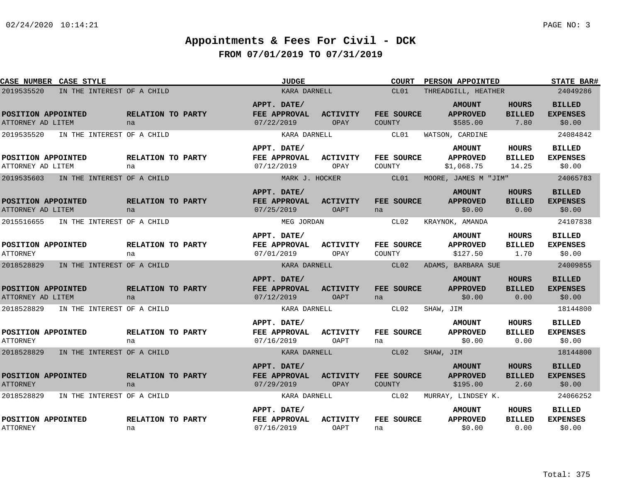| CASE NUMBER CASE STYLE                  |                            | <b>JUDGE</b>                              |                                | <b>COURT</b>                | <b>PERSON APPOINTED</b>                      |                                       | <b>STATE BAR#</b>                          |
|-----------------------------------------|----------------------------|-------------------------------------------|--------------------------------|-----------------------------|----------------------------------------------|---------------------------------------|--------------------------------------------|
| 2019535520                              | IN THE INTEREST OF A CHILD | KARA DARNELL                              |                                | CL01                        | THREADGILL, HEATHER                          |                                       | 24049286                                   |
| POSITION APPOINTED<br>ATTORNEY AD LITEM | RELATION TO PARTY<br>na    | APPT. DATE/<br>FEE APPROVAL<br>07/22/2019 | <b>ACTIVITY</b><br><b>OPAY</b> | FEE SOURCE<br><b>COUNTY</b> | <b>AMOUNT</b><br><b>APPROVED</b><br>\$585.00 | <b>HOURS</b><br><b>BILLED</b><br>7.80 | <b>BILLED</b><br><b>EXPENSES</b><br>\$0.00 |
| 2019535520                              | IN THE INTEREST OF A CHILD | KARA DARNELL                              |                                | CL01                        | WATSON, CARDINE                              |                                       | 24084842                                   |
|                                         |                            | APPT. DATE/                               |                                |                             | <b>AMOUNT</b>                                | <b>HOURS</b>                          | <b>BILLED</b>                              |
| POSITION APPOINTED                      | RELATION TO PARTY          | FEE APPROVAL                              | <b>ACTIVITY</b>                | FEE SOURCE                  | <b>APPROVED</b>                              | <b>BILLED</b>                         | <b>EXPENSES</b>                            |
| ATTORNEY AD LITEM                       | na                         | 07/12/2019                                | OPAY                           | COUNTY                      | \$1,068.75                                   | 14.25                                 | \$0.00                                     |
| 2019535603                              | IN THE INTEREST OF A CHILD | MARK J. HOCKER                            |                                | CL01                        | MOORE, JAMES M "JIM"                         |                                       | 24065783                                   |
| POSITION APPOINTED<br>ATTORNEY AD LITEM | RELATION TO PARTY<br>na    | APPT. DATE/<br>FEE APPROVAL<br>07/25/2019 | <b>ACTIVITY</b><br><b>OAPT</b> | FEE SOURCE<br>na            | <b>AMOUNT</b><br><b>APPROVED</b><br>\$0.00   | <b>HOURS</b><br><b>BILLED</b><br>0.00 | <b>BILLED</b><br><b>EXPENSES</b><br>\$0.00 |
| 2015516655                              | IN THE INTEREST OF A CHILD | MEG JORDAN                                |                                | CL02                        | KRAYNOK, AMANDA                              |                                       | 24107838                                   |
| POSITION APPOINTED<br><b>ATTORNEY</b>   | RELATION TO PARTY<br>na    | APPT. DATE/<br>FEE APPROVAL<br>07/01/2019 | ACTIVITY<br>OPAY               | FEE SOURCE<br><b>COUNTY</b> | <b>AMOUNT</b><br><b>APPROVED</b><br>\$127.50 | <b>HOURS</b><br><b>BILLED</b><br>1.70 | <b>BILLED</b><br><b>EXPENSES</b><br>\$0.00 |
| 2018528829                              | IN THE INTEREST OF A CHILD | KARA DARNELL                              |                                | CL02                        | ADAMS, BARBARA SUE                           |                                       | 24009855                                   |
| POSITION APPOINTED<br>ATTORNEY AD LITEM | RELATION TO PARTY<br>na    | APPT. DATE/<br>FEE APPROVAL<br>07/12/2019 | <b>ACTIVITY</b><br><b>OAPT</b> | FEE SOURCE<br>na            | <b>AMOUNT</b><br><b>APPROVED</b><br>\$0.00   | <b>HOURS</b><br><b>BILLED</b><br>0.00 | <b>BILLED</b><br><b>EXPENSES</b><br>\$0.00 |
| 2018528829                              | IN THE INTEREST OF A CHILD | KARA DARNELL                              |                                | CL02                        | SHAW, JIM                                    |                                       | 18144800                                   |
|                                         |                            |                                           |                                |                             | <b>AMOUNT</b>                                | <b>HOURS</b>                          | <b>BILLED</b>                              |
| POSITION APPOINTED<br><b>ATTORNEY</b>   | RELATION TO PARTY<br>na    | APPT. DATE/<br>FEE APPROVAL<br>07/16/2019 | <b>ACTIVITY</b><br>OAPT        | FEE SOURCE<br>na            | <b>APPROVED</b><br>\$0.00                    | <b>BILLED</b><br>0.00                 | <b>EXPENSES</b><br>\$0.00                  |
| 2018528829                              | IN THE INTEREST OF A CHILD | KARA DARNELL                              |                                | CL02                        | SHAW, JIM                                    |                                       | 18144800                                   |
| POSITION APPOINTED<br><b>ATTORNEY</b>   | RELATION TO PARTY<br>na    | APPT. DATE/<br>FEE APPROVAL<br>07/29/2019 | <b>ACTIVITY</b><br><b>OPAY</b> | FEE SOURCE<br>COUNTY        | <b>AMOUNT</b><br><b>APPROVED</b><br>\$195.00 | <b>HOURS</b><br><b>BILLED</b><br>2.60 | <b>BILLED</b><br><b>EXPENSES</b><br>\$0.00 |
| 2018528829                              | IN THE INTEREST OF A CHILD | KARA DARNELL                              |                                | CL02                        | MURRAY, LINDSEY K.                           |                                       | 24066252                                   |
| POSITION APPOINTED<br><b>ATTORNEY</b>   | RELATION TO PARTY<br>na    | APPT. DATE/<br>FEE APPROVAL<br>07/16/2019 | <b>ACTIVITY</b><br>OAPT        | FEE SOURCE<br>na            | <b>AMOUNT</b><br><b>APPROVED</b><br>\$0.00   | HOURS<br><b>BILLED</b><br>0.00        | <b>BILLED</b><br><b>EXPENSES</b><br>\$0.00 |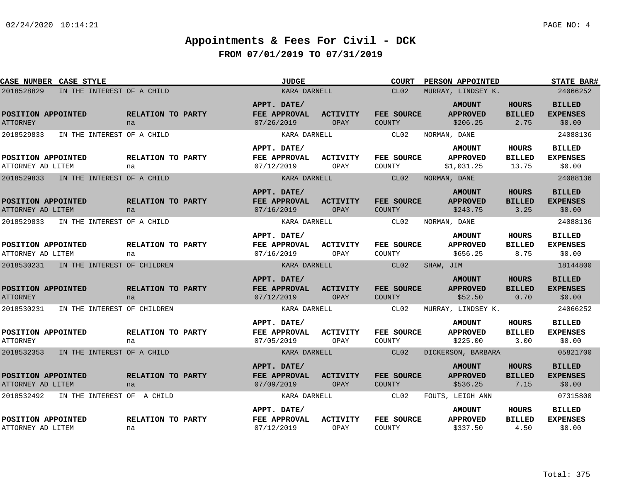| CASE NUMBER CASE STYLE                    |                         | <b>JUDGE</b>                              |                         | <b>COURT</b>                | <b>PERSON APPOINTED</b>                      |                                       | <b>STATE BAR#</b>                          |
|-------------------------------------------|-------------------------|-------------------------------------------|-------------------------|-----------------------------|----------------------------------------------|---------------------------------------|--------------------------------------------|
| 2018528829<br>IN THE INTEREST OF A CHILD  |                         | KARA DARNELL                              |                         | CL02                        | MURRAY, LINDSEY K.                           |                                       | 24066252                                   |
| POSITION APPOINTED<br><b>ATTORNEY</b>     | RELATION TO PARTY<br>na | APPT. DATE/<br>FEE APPROVAL<br>07/26/2019 | ACTIVITY<br>OPAY        | FEE SOURCE<br>COUNTY        | <b>AMOUNT</b><br><b>APPROVED</b><br>\$206.25 | <b>HOURS</b><br><b>BILLED</b><br>2.75 | <b>BILLED</b><br><b>EXPENSES</b><br>\$0.00 |
| 2018529833<br>IN THE INTEREST OF A CHILD  |                         | KARA DARNELL                              |                         | CL02                        | NORMAN, DANE                                 |                                       | 24088136                                   |
|                                           |                         | APPT. DATE/                               |                         |                             | <b>AMOUNT</b>                                | HOURS                                 | <b>BILLED</b>                              |
| POSITION APPOINTED<br>ATTORNEY AD LITEM   | RELATION TO PARTY<br>na | FEE APPROVAL<br>07/12/2019                | ACTIVITY<br>OPAY        | FEE SOURCE<br>COUNTY        | <b>APPROVED</b><br>\$1,031.25                | <b>BILLED</b><br>13.75                | <b>EXPENSES</b><br>\$0.00                  |
| 2018529833<br>IN THE INTEREST OF A CHILD  |                         | KARA DARNELL                              |                         | CL02                        | NORMAN, DANE                                 |                                       | 24088136                                   |
| POSITION APPOINTED<br>ATTORNEY AD LITEM   | RELATION TO PARTY<br>na | APPT. DATE/<br>FEE APPROVAL<br>07/16/2019 | <b>ACTIVITY</b><br>OPAY | FEE SOURCE<br><b>COUNTY</b> | <b>AMOUNT</b><br><b>APPROVED</b><br>\$243.75 | <b>HOURS</b><br><b>BILLED</b><br>3.25 | <b>BILLED</b><br><b>EXPENSES</b><br>\$0.00 |
| 2018529833<br>IN THE INTEREST OF A CHILD  |                         | KARA DARNELL                              |                         | CL02                        | NORMAN, DANE                                 |                                       | 24088136                                   |
| POSITION APPOINTED<br>ATTORNEY AD LITEM   | RELATION TO PARTY<br>na | APPT. DATE/<br>FEE APPROVAL<br>07/16/2019 | ACTIVITY<br>OPAY        | FEE SOURCE<br>COUNTY        | <b>AMOUNT</b><br><b>APPROVED</b><br>\$656.25 | <b>HOURS</b><br><b>BILLED</b><br>8.75 | <b>BILLED</b><br><b>EXPENSES</b><br>\$0.00 |
| 2018530231<br>IN THE INTEREST OF CHILDREN |                         | KARA DARNELL                              |                         | CL02                        | SHAW, JIM                                    |                                       | 18144800                                   |
| POSITION APPOINTED<br><b>ATTORNEY</b>     | RELATION TO PARTY<br>na | APPT. DATE/<br>FEE APPROVAL<br>07/12/2019 | <b>ACTIVITY</b><br>OPAY | FEE SOURCE<br>COUNTY        | <b>AMOUNT</b><br><b>APPROVED</b><br>\$52.50  | <b>HOURS</b><br><b>BILLED</b><br>0.70 | <b>BILLED</b><br><b>EXPENSES</b><br>\$0.00 |
| 2018530231<br>IN THE INTEREST OF CHILDREN |                         | KARA DARNELL                              |                         | CL02                        | MURRAY, LINDSEY K.                           |                                       | 24066252                                   |
| POSITION APPOINTED<br><b>ATTORNEY</b>     | RELATION TO PARTY<br>na | APPT. DATE/<br>FEE APPROVAL<br>07/05/2019 | <b>ACTIVITY</b><br>OPAY | FEE SOURCE<br>COUNTY        | <b>AMOUNT</b><br><b>APPROVED</b><br>\$225.00 | <b>HOURS</b><br><b>BILLED</b><br>3.00 | <b>BILLED</b><br><b>EXPENSES</b><br>\$0.00 |
| 2018532353<br>IN THE INTEREST OF A CHILD  |                         | KARA DARNELL                              |                         | CL02                        | DICKERSON, BARBARA                           |                                       | 05821700                                   |
| POSITION APPOINTED<br>ATTORNEY AD LITEM   | RELATION TO PARTY<br>na | APPT. DATE/<br>FEE APPROVAL<br>07/09/2019 | <b>ACTIVITY</b><br>OPAY | FEE SOURCE<br><b>COUNTY</b> | <b>AMOUNT</b><br><b>APPROVED</b><br>\$536.25 | <b>HOURS</b><br><b>BILLED</b><br>7.15 | <b>BILLED</b><br><b>EXPENSES</b><br>\$0.00 |
| 2018532492<br>IN THE INTEREST OF A CHILD  |                         | KARA DARNELL                              |                         | CL02                        | FOUTS, LEIGH ANN                             |                                       | 07315800                                   |
| POSITION APPOINTED<br>ATTORNEY AD LITEM   | RELATION TO PARTY<br>na | APPT. DATE/<br>FEE APPROVAL<br>07/12/2019 | <b>ACTIVITY</b><br>OPAY | FEE SOURCE<br>COUNTY        | <b>AMOUNT</b><br><b>APPROVED</b><br>\$337.50 | HOURS<br><b>BILLED</b><br>4.50        | <b>BILLED</b><br><b>EXPENSES</b><br>\$0.00 |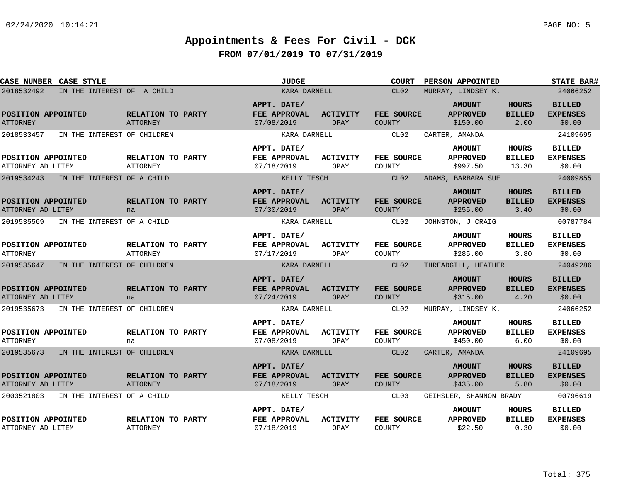| CASE NUMBER CASE STYLE                    |                                      | <b>JUDGE</b>                              |                         | COURT                       | PERSON APPOINTED                             |                                       | <b>STATE BAR#</b>                          |
|-------------------------------------------|--------------------------------------|-------------------------------------------|-------------------------|-----------------------------|----------------------------------------------|---------------------------------------|--------------------------------------------|
| 2018532492<br>IN THE INTEREST OF A CHILD  |                                      | KARA DARNELL                              |                         | CL02                        | MURRAY, LINDSEY K.                           |                                       | 24066252                                   |
| POSITION APPOINTED<br><b>ATTORNEY</b>     | RELATION TO PARTY<br><b>ATTORNEY</b> | APPT. DATE/<br>FEE APPROVAL<br>07/08/2019 | <b>ACTIVITY</b><br>OPAY | FEE SOURCE<br>COUNTY        | <b>AMOUNT</b><br><b>APPROVED</b><br>\$150.00 | <b>HOURS</b><br><b>BILLED</b><br>2.00 | <b>BILLED</b><br><b>EXPENSES</b><br>\$0.00 |
| 2018533457<br>IN THE INTEREST OF CHILDREN |                                      | KARA DARNELL                              |                         | CL02                        | CARTER, AMANDA                               |                                       | 24109695                                   |
| POSITION APPOINTED<br>ATTORNEY AD LITEM   | RELATION TO PARTY<br><b>ATTORNEY</b> | APPT. DATE/<br>FEE APPROVAL<br>07/18/2019 | ACTIVITY<br>OPAY        | FEE SOURCE<br>COUNTY        | <b>AMOUNT</b><br><b>APPROVED</b><br>\$997.50 | HOURS<br><b>BILLED</b><br>13.30       | <b>BILLED</b><br><b>EXPENSES</b><br>\$0.00 |
| 2019534243<br>IN THE INTEREST OF A CHILD  |                                      | KELLY TESCH                               |                         | CL02                        | ADAMS, BARBARA SUE                           |                                       | 24009855                                   |
| POSITION APPOINTED<br>ATTORNEY AD LITEM   | RELATION TO PARTY<br>na              | APPT. DATE/<br>FEE APPROVAL<br>07/30/2019 | <b>ACTIVITY</b><br>OPAY | FEE SOURCE<br><b>COUNTY</b> | <b>AMOUNT</b><br><b>APPROVED</b><br>\$255.00 | <b>HOURS</b><br><b>BILLED</b><br>3.40 | <b>BILLED</b><br><b>EXPENSES</b><br>\$0.00 |
| 2019535569<br>IN THE INTEREST OF A CHILD  |                                      | KARA DARNELL                              |                         | CL02                        | JOHNSTON, J CRAIG                            |                                       | 00787784                                   |
| POSITION APPOINTED<br><b>ATTORNEY</b>     | RELATION TO PARTY<br><b>ATTORNEY</b> | APPT. DATE/<br>FEE APPROVAL<br>07/17/2019 | ACTIVITY<br>OPAY        | FEE SOURCE<br>COUNTY        | <b>AMOUNT</b><br><b>APPROVED</b><br>\$285.00 | <b>HOURS</b><br><b>BILLED</b><br>3.80 | <b>BILLED</b><br><b>EXPENSES</b><br>\$0.00 |
| 2019535647 IN THE INTEREST OF CHILDREN    |                                      | KARA DARNELL                              |                         | CL <sub>02</sub>            | THREADGILL, HEATHER                          |                                       | 24049286                                   |
| POSITION APPOINTED<br>ATTORNEY AD LITEM   | RELATION TO PARTY<br>na              | APPT. DATE/<br>FEE APPROVAL<br>07/24/2019 | <b>ACTIVITY</b><br>OPAY | FEE SOURCE<br><b>COUNTY</b> | <b>AMOUNT</b><br><b>APPROVED</b><br>\$315.00 | <b>HOURS</b><br><b>BILLED</b><br>4.20 | <b>BILLED</b><br><b>EXPENSES</b><br>\$0.00 |
| 2019535673<br>IN THE INTEREST OF CHILDREN |                                      | KARA DARNELL                              |                         | CL02                        | MURRAY, LINDSEY K.                           |                                       | 24066252                                   |
| POSITION APPOINTED<br><b>ATTORNEY</b>     | RELATION TO PARTY<br>na              | APPT. DATE/<br>FEE APPROVAL<br>07/08/2019 | <b>ACTIVITY</b><br>OPAY | FEE SOURCE<br>COUNTY        | <b>AMOUNT</b><br><b>APPROVED</b><br>\$450.00 | HOURS<br><b>BILLED</b><br>6.00        | <b>BILLED</b><br><b>EXPENSES</b><br>\$0.00 |
| 2019535673<br>IN THE INTEREST OF CHILDREN |                                      | KARA DARNELL                              |                         | CL02                        | CARTER, AMANDA                               |                                       | 24109695                                   |
| POSITION APPOINTED<br>ATTORNEY AD LITEM   | RELATION TO PARTY<br>ATTORNEY        | APPT. DATE/<br>FEE APPROVAL<br>07/18/2019 | ACTIVITY<br>OPAY        | FEE SOURCE<br><b>COUNTY</b> | <b>AMOUNT</b><br><b>APPROVED</b><br>\$435.00 | <b>HOURS</b><br><b>BILLED</b><br>5.80 | <b>BILLED</b><br><b>EXPENSES</b><br>\$0.00 |
| IN THE INTEREST OF A CHILD<br>2003521803  |                                      | KELLY TESCH                               |                         | CL03                        | GEIHSLER, SHANNON BRADY                      |                                       | 00796619                                   |
| POSITION APPOINTED<br>ATTORNEY AD LITEM   | RELATION TO PARTY<br>ATTORNEY        | APPT. DATE/<br>FEE APPROVAL<br>07/18/2019 | <b>ACTIVITY</b><br>OPAY | FEE SOURCE<br>COUNTY        | <b>AMOUNT</b><br><b>APPROVED</b><br>\$22.50  | HOURS<br><b>BILLED</b><br>0.30        | <b>BILLED</b><br><b>EXPENSES</b><br>\$0.00 |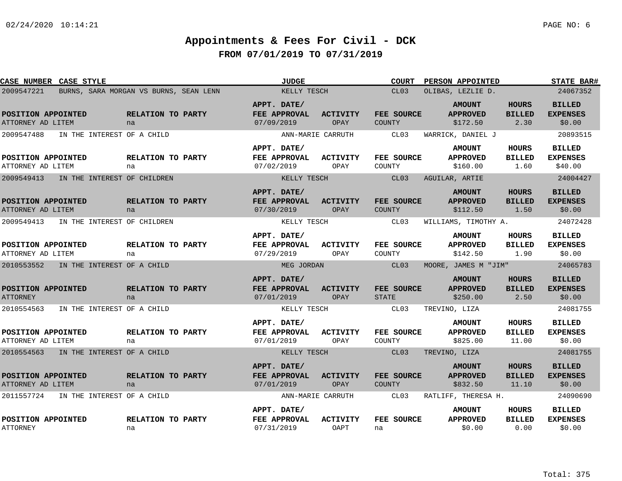| CASE NUMBER CASE STYLE                                |                                  |                                        | <b>JUDGE</b>                              |                                              | <b>COURT</b>                        | PERSON APPOINTED                                                  |                                        | <b>STATE BAR#</b>                                       |
|-------------------------------------------------------|----------------------------------|----------------------------------------|-------------------------------------------|----------------------------------------------|-------------------------------------|-------------------------------------------------------------------|----------------------------------------|---------------------------------------------------------|
| 2009547221                                            |                                  | BURNS, SARA MORGAN VS BURNS, SEAN LENN | KELLY TESCH                               |                                              | CL <sub>03</sub>                    | OLIBAS, LEZLIE D.                                                 |                                        | 24067352                                                |
| POSITION APPOINTED<br>ATTORNEY AD LITEM               | na                               | <b>RELATION TO PARTY</b>               | APPT. DATE/<br>FEE APPROVAL<br>07/09/2019 | <b>ACTIVITY</b><br>OPAY                      | FEE SOURCE<br>COUNTY                | <b>AMOUNT</b><br><b>APPROVED</b><br>\$172.50                      | <b>HOURS</b><br><b>BILLED</b><br>2.30  | <b>BILLED</b><br><b>EXPENSES</b><br>\$0.00              |
| 2009547488<br>POSITION APPOINTED<br>ATTORNEY AD LITEM | IN THE INTEREST OF A CHILD<br>na | RELATION TO PARTY                      | APPT. DATE/<br>FEE APPROVAL<br>07/02/2019 | ANN-MARIE CARRUTH<br><b>ACTIVITY</b><br>OPAY | CL03<br>FEE SOURCE<br><b>COUNTY</b> | WARRICK, DANIEL J<br><b>AMOUNT</b><br><b>APPROVED</b><br>\$160.00 | <b>HOURS</b><br><b>BILLED</b><br>1.60  | 20893515<br><b>BILLED</b><br><b>EXPENSES</b><br>\$40.00 |
| 2009549413                                            | IN THE INTEREST OF CHILDREN      |                                        | KELLY TESCH                               |                                              | CL03                                | AGUILAR, ARTIE                                                    |                                        | 24004427                                                |
| POSITION APPOINTED<br>ATTORNEY AD LITEM               | na                               | RELATION TO PARTY                      | APPT. DATE/<br>FEE APPROVAL<br>07/30/2019 | <b>ACTIVITY</b><br>OPAY                      | FEE SOURCE<br><b>COUNTY</b>         | <b>AMOUNT</b><br><b>APPROVED</b><br>\$112.50                      | <b>HOURS</b><br><b>BILLED</b><br>1.50  | <b>BILLED</b><br><b>EXPENSES</b><br>\$0.00              |
| 2009549413                                            | IN THE INTEREST OF CHILDREN      |                                        | KELLY TESCH                               |                                              | CL03                                | WILLIAMS, TIMOTHY A.                                              |                                        | 24072428                                                |
| POSITION APPOINTED<br>ATTORNEY AD LITEM               | na                               | RELATION TO PARTY                      | APPT. DATE/<br>FEE APPROVAL<br>07/29/2019 | <b>ACTIVITY</b><br>OPAY                      | FEE SOURCE<br>COUNTY                | <b>AMOUNT</b><br><b>APPROVED</b><br>\$142.50                      | HOURS<br><b>BILLED</b><br>1.90         | <b>BILLED</b><br><b>EXPENSES</b><br>\$0.00              |
| 2010553552                                            | IN THE INTEREST OF A CHILD       |                                        | MEG JORDAN                                |                                              | CL03                                | MOORE, JAMES M "JIM"                                              |                                        | 24065783                                                |
| POSITION APPOINTED<br><b>ATTORNEY</b>                 | na                               | RELATION TO PARTY                      | APPT. DATE/<br>FEE APPROVAL<br>07/01/2019 | <b>ACTIVITY</b><br>OPAY                      | FEE SOURCE<br><b>STATE</b>          | <b>AMOUNT</b><br><b>APPROVED</b><br>\$250.00                      | <b>HOURS</b><br><b>BILLED</b><br>2.50  | <b>BILLED</b><br><b>EXPENSES</b><br>\$0.00              |
| 2010554563                                            | IN THE INTEREST OF A CHILD       |                                        | KELLY TESCH                               |                                              | CL03                                | TREVINO, LIZA                                                     |                                        | 24081755                                                |
| POSITION APPOINTED<br>ATTORNEY AD LITEM               | na                               | <b>RELATION TO PARTY</b>               | APPT. DATE/<br>FEE APPROVAL<br>07/01/2019 | <b>ACTIVITY</b><br>OPAY                      | FEE SOURCE<br>COUNTY                | <b>AMOUNT</b><br><b>APPROVED</b><br>\$825.00                      | <b>HOURS</b><br><b>BILLED</b><br>11.00 | <b>BILLED</b><br><b>EXPENSES</b><br>\$0.00              |
| 2010554563 IN THE INTEREST OF A CHILD                 |                                  |                                        | KELLY TESCH                               |                                              | CL03                                | TREVINO, LIZA                                                     |                                        | 24081755                                                |
| POSITION APPOINTED<br>ATTORNEY AD LITEM               | na                               | RELATION TO PARTY                      | APPT. DATE/<br>FEE APPROVAL<br>07/01/2019 | <b>ACTIVITY</b><br>OPAY                      | FEE SOURCE<br>COUNTY                | <b>AMOUNT</b><br><b>APPROVED</b><br>\$832.50                      | <b>HOURS</b><br><b>BILLED</b><br>11.10 | <b>BILLED</b><br><b>EXPENSES</b><br>\$0.00              |
| 2011557724                                            | IN THE INTEREST OF A CHILD       |                                        |                                           | ANN-MARIE CARRUTH                            | CL03                                | RATLIFF, THERESA H.                                               |                                        | 24090690                                                |
| POSITION APPOINTED<br><b>ATTORNEY</b>                 | na                               | RELATION TO PARTY                      | APPT. DATE/<br>FEE APPROVAL<br>07/31/2019 | <b>ACTIVITY</b><br>OAPT                      | FEE SOURCE<br>na                    | <b>AMOUNT</b><br><b>APPROVED</b><br>\$0.00                        | HOURS<br><b>BILLED</b><br>0.00         | <b>BILLED</b><br><b>EXPENSES</b><br>\$0.00              |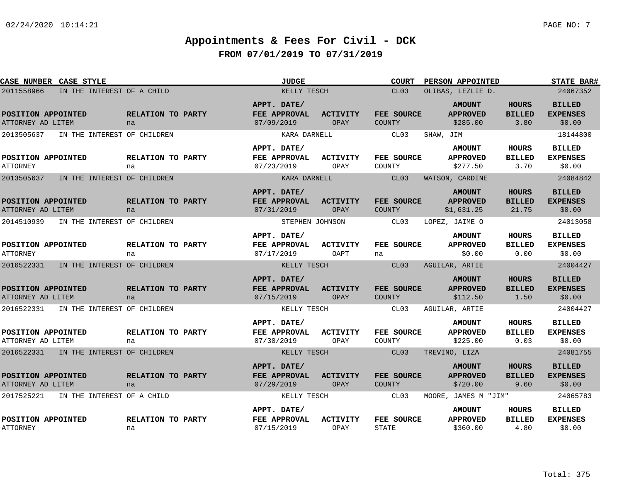| CASE NUMBER CASE STYLE                  |                             |                                | JUDGE                                     |                         | <b>COURT</b>                | PERSON APPOINTED                               |                                        | <b>STATE BAR#</b>                          |
|-----------------------------------------|-----------------------------|--------------------------------|-------------------------------------------|-------------------------|-----------------------------|------------------------------------------------|----------------------------------------|--------------------------------------------|
| 2011558966                              | IN THE INTEREST OF A CHILD  |                                | KELLY TESCH                               |                         | CL03<br>OLIBAS, LEZLIE D.   | 24067352                                       |                                        |                                            |
| POSITION APPOINTED<br>ATTORNEY AD LITEM |                             | RELATION TO PARTY<br>na        | APPT. DATE/<br>FEE APPROVAL<br>07/09/2019 | ACTIVITY<br>OPAY        | FEE SOURCE<br><b>COUNTY</b> | <b>AMOUNT</b><br><b>APPROVED</b><br>\$285.00   | <b>HOURS</b><br><b>BILLED</b><br>3.80  | <b>BILLED</b><br><b>EXPENSES</b><br>\$0.00 |
| 2013505637                              | IN THE INTEREST OF CHILDREN |                                | KARA DARNELL                              |                         | CL03                        | SHAW, JIM                                      |                                        | 18144800                                   |
|                                         |                             |                                | APPT. DATE/                               |                         |                             | <b>AMOUNT</b>                                  | <b>HOURS</b>                           | <b>BILLED</b>                              |
| POSITION APPOINTED<br><b>ATTORNEY</b>   |                             | <b>RELATION TO PARTY</b><br>na | FEE APPROVAL<br>07/23/2019                | ACTIVITY<br>OPAY        | FEE SOURCE<br>COUNTY        | <b>APPROVED</b><br>\$277.50                    | <b>BILLED</b><br>3.70                  | <b>EXPENSES</b><br>\$0.00                  |
| 2013505637                              | IN THE INTEREST OF CHILDREN |                                | KARA DARNELL                              |                         | CL03                        | WATSON, CARDINE                                |                                        | 24084842                                   |
| POSITION APPOINTED<br>ATTORNEY AD LITEM |                             | RELATION TO PARTY<br>na        | APPT. DATE/<br>FEE APPROVAL<br>07/31/2019 | <b>ACTIVITY</b><br>OPAY | FEE SOURCE<br><b>COUNTY</b> | <b>AMOUNT</b><br><b>APPROVED</b><br>\$1,631.25 | <b>HOURS</b><br><b>BILLED</b><br>21.75 | <b>BILLED</b><br><b>EXPENSES</b><br>\$0.00 |
| 2014510939                              | IN THE INTEREST OF CHILDREN |                                | STEPHEN JOHNSON                           |                         | CL03                        | LOPEZ, JAIME O                                 |                                        | 24013058                                   |
| POSITION APPOINTED<br><b>ATTORNEY</b>   |                             | RELATION TO PARTY<br>na        | APPT. DATE/<br>FEE APPROVAL<br>07/17/2019 | <b>ACTIVITY</b><br>OAPT | FEE SOURCE<br>na            | <b>AMOUNT</b><br><b>APPROVED</b><br>\$0.00     | <b>HOURS</b><br><b>BILLED</b><br>0.00  | <b>BILLED</b><br><b>EXPENSES</b><br>\$0.00 |
| 2016522331                              | IN THE INTEREST OF CHILDREN |                                | KELLY TESCH                               |                         | CL03                        | AGUILAR, ARTIE                                 |                                        | 24004427                                   |
| POSITION APPOINTED<br>ATTORNEY AD LITEM |                             | RELATION TO PARTY<br>na        | APPT. DATE/<br>FEE APPROVAL<br>07/15/2019 | <b>ACTIVITY</b><br>OPAY | FEE SOURCE<br><b>COUNTY</b> | <b>AMOUNT</b><br><b>APPROVED</b><br>\$112.50   | <b>HOURS</b><br><b>BILLED</b><br>1.50  | <b>BILLED</b><br><b>EXPENSES</b><br>\$0.00 |
| 2016522331                              | IN THE INTEREST OF CHILDREN |                                | KELLY TESCH                               |                         | CL03                        | AGUILAR, ARTIE                                 |                                        | 24004427                                   |
| POSITION APPOINTED<br>ATTORNEY AD LITEM |                             | RELATION TO PARTY<br>na        | APPT. DATE/<br>FEE APPROVAL<br>07/30/2019 | <b>ACTIVITY</b><br>OPAY | FEE SOURCE<br>COUNTY        | <b>AMOUNT</b><br><b>APPROVED</b><br>\$225.00   | <b>HOURS</b><br><b>BILLED</b><br>0.03  | <b>BILLED</b><br><b>EXPENSES</b><br>\$0.00 |
| 2016522331 IN THE INTEREST OF CHILDREN  |                             |                                | KELLY TESCH                               |                         | CL <sub>03</sub>            | TREVINO, LIZA                                  |                                        | 24081755                                   |
| POSITION APPOINTED<br>ATTORNEY AD LITEM |                             | RELATION TO PARTY<br>na        | APPT. DATE/<br>FEE APPROVAL<br>07/29/2019 | ACTIVITY<br>OPAY        | FEE SOURCE<br><b>COUNTY</b> | <b>AMOUNT</b><br><b>APPROVED</b><br>\$720.00   | <b>HOURS</b><br><b>BILLED</b><br>9.60  | <b>BILLED</b><br><b>EXPENSES</b><br>\$0.00 |
| 2017525221                              | IN THE INTEREST OF A CHILD  |                                | KELLY TESCH                               |                         | CL03                        | MOORE, JAMES M "JIM"                           |                                        | 24065783                                   |
| POSITION APPOINTED<br><b>ATTORNEY</b>   |                             | RELATION TO PARTY<br>na        | APPT. DATE/<br>FEE APPROVAL<br>07/15/2019 | <b>ACTIVITY</b><br>OPAY | FEE SOURCE<br><b>STATE</b>  | <b>AMOUNT</b><br><b>APPROVED</b><br>\$360.00   | <b>HOURS</b><br><b>BILLED</b><br>4.80  | <b>BILLED</b><br><b>EXPENSES</b><br>\$0.00 |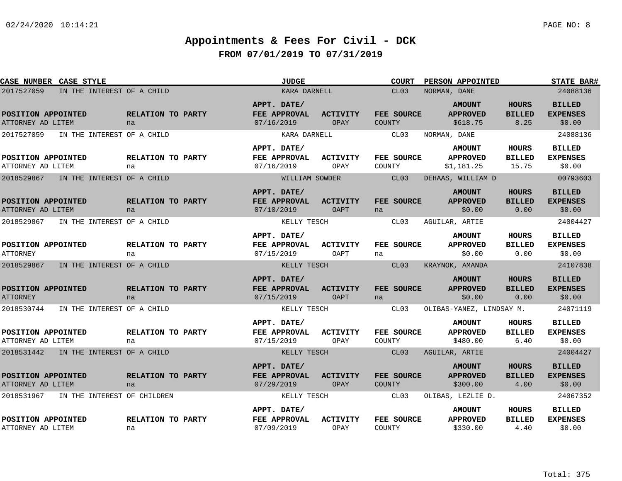| CASE NUMBER CASE STYLE                  |                                       |                         | <b>JUDGE</b>                              |                                | <b>COURT</b>                | PERSON APPOINTED                               |                                       | <b>STATE BAR#</b>                          |
|-----------------------------------------|---------------------------------------|-------------------------|-------------------------------------------|--------------------------------|-----------------------------|------------------------------------------------|---------------------------------------|--------------------------------------------|
| 2017527059                              | IN THE INTEREST OF A CHILD            |                         | KARA DARNELL                              |                                | CL03                        | NORMAN, DANE                                   |                                       | 24088136                                   |
| POSITION APPOINTED<br>ATTORNEY AD LITEM |                                       | RELATION TO PARTY<br>na | APPT. DATE/<br>FEE APPROVAL<br>07/16/2019 | <b>ACTIVITY</b><br>OPAY        | FEE SOURCE<br>COUNTY        | <b>AMOUNT</b><br><b>APPROVED</b><br>\$618.75   | <b>HOURS</b><br><b>BILLED</b><br>8.25 | <b>BILLED</b><br><b>EXPENSES</b><br>\$0.00 |
| 2017527059                              | IN THE INTEREST OF A CHILD            |                         | KARA DARNELL                              |                                | CL03                        | NORMAN, DANE                                   |                                       | 24088136                                   |
| POSITION APPOINTED<br>ATTORNEY AD LITEM |                                       | RELATION TO PARTY<br>na | APPT. DATE/<br>FEE APPROVAL<br>07/16/2019 | ACTIVITY<br>OPAY               | FEE SOURCE<br>COUNTY        | <b>AMOUNT</b><br><b>APPROVED</b><br>\$1,181.25 | HOURS<br><b>BILLED</b><br>15.75       | <b>BILLED</b><br><b>EXPENSES</b><br>\$0.00 |
| 2018529867                              | IN THE INTEREST OF A CHILD            |                         | WILLIAM SOWDER                            |                                | CL03                        | DEHAAS, WILLIAM D                              |                                       | 00793603                                   |
| POSITION APPOINTED<br>ATTORNEY AD LITEM |                                       | RELATION TO PARTY<br>na | APPT. DATE/<br>FEE APPROVAL<br>07/10/2019 | <b>ACTIVITY</b><br><b>OAPT</b> | FEE SOURCE<br>na            | <b>AMOUNT</b><br><b>APPROVED</b><br>\$0.00     | <b>HOURS</b><br><b>BILLED</b><br>0.00 | <b>BILLED</b><br><b>EXPENSES</b><br>\$0.00 |
| 2018529867                              | IN THE INTEREST OF A CHILD            |                         | KELLY TESCH                               |                                | CL03                        | AGUILAR, ARTIE                                 |                                       | 24004427                                   |
| POSITION APPOINTED<br><b>ATTORNEY</b>   |                                       | RELATION TO PARTY<br>na | APPT. DATE/<br>FEE APPROVAL<br>07/15/2019 | ACTIVITY<br>OAPT               | FEE SOURCE<br>na            | <b>AMOUNT</b><br><b>APPROVED</b><br>\$0.00     | <b>HOURS</b><br><b>BILLED</b><br>0.00 | <b>BILLED</b><br><b>EXPENSES</b><br>\$0.00 |
| 2018529867                              | IN THE INTEREST OF A CHILD            |                         | KELLY TESCH                               |                                | CL <sub>03</sub>            | KRAYNOK, AMANDA                                |                                       | 24107838                                   |
| POSITION APPOINTED<br><b>ATTORNEY</b>   |                                       | RELATION TO PARTY<br>na | APPT. DATE/<br>FEE APPROVAL<br>07/15/2019 | <b>ACTIVITY</b><br><b>OAPT</b> | FEE SOURCE<br>na            | <b>AMOUNT</b><br><b>APPROVED</b><br>\$0.00     | <b>HOURS</b><br><b>BILLED</b><br>0.00 | <b>BILLED</b><br><b>EXPENSES</b><br>\$0.00 |
| 2018530744                              | IN THE INTEREST OF A CHILD            |                         | KELLY TESCH                               |                                | CL03                        | OLIBAS-YANEZ, LINDSAY M.                       |                                       | 24071119                                   |
| POSITION APPOINTED<br>ATTORNEY AD LITEM |                                       | RELATION TO PARTY<br>na | APPT. DATE/<br>FEE APPROVAL<br>07/15/2019 | <b>ACTIVITY</b><br>OPAY        | FEE SOURCE<br>COUNTY        | <b>AMOUNT</b><br><b>APPROVED</b><br>\$480.00   | HOURS<br><b>BILLED</b><br>6.40        | <b>BILLED</b><br><b>EXPENSES</b><br>\$0.00 |
|                                         | 2018531442 IN THE INTEREST OF A CHILD |                         | KELLY TESCH                               |                                | CL <sub>03</sub>            | AGUILAR, ARTIE                                 |                                       | 24004427                                   |
| POSITION APPOINTED<br>ATTORNEY AD LITEM |                                       | RELATION TO PARTY<br>na | APPT. DATE/<br>FEE APPROVAL<br>07/29/2019 | <b>ACTIVITY</b><br>OPAY        | FEE SOURCE<br><b>COUNTY</b> | <b>AMOUNT</b><br><b>APPROVED</b><br>\$300.00   | <b>HOURS</b><br><b>BILLED</b><br>4.00 | <b>BILLED</b><br><b>EXPENSES</b><br>\$0.00 |
| 2018531967                              | IN THE INTEREST OF CHILDREN           |                         | KELLY TESCH                               |                                | CL03                        | OLIBAS, LEZLIE D.                              |                                       | 24067352                                   |
| POSITION APPOINTED<br>ATTORNEY AD LITEM |                                       | RELATION TO PARTY<br>na | APPT. DATE/<br>FEE APPROVAL<br>07/09/2019 | <b>ACTIVITY</b><br>OPAY        | FEE SOURCE<br>COUNTY        | <b>AMOUNT</b><br><b>APPROVED</b><br>\$330.00   | <b>HOURS</b><br><b>BILLED</b><br>4.40 | <b>BILLED</b><br><b>EXPENSES</b><br>\$0.00 |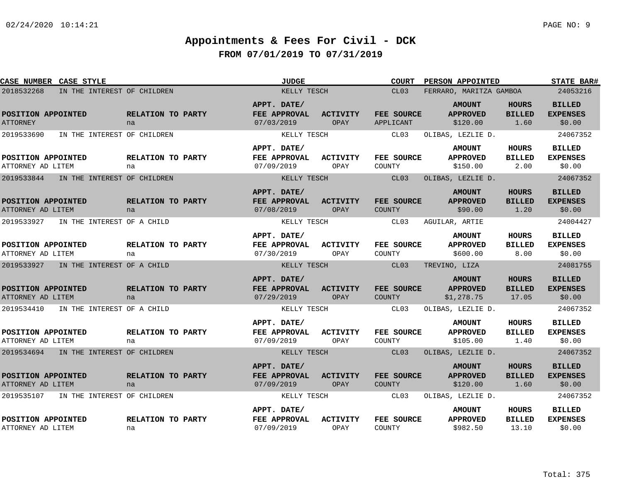| CASE NUMBER CASE STYLE                    |                         | <b>JUDGE</b>                              |                         | <b>COURT</b>                | <b>PERSON APPOINTED</b>                        |                                        | <b>STATE BAR#</b>                          |
|-------------------------------------------|-------------------------|-------------------------------------------|-------------------------|-----------------------------|------------------------------------------------|----------------------------------------|--------------------------------------------|
| 2018532268<br>IN THE INTEREST OF CHILDREN |                         | KELLY TESCH                               |                         | CL03                        | FERRARO, MARITZA GAMBOA                        |                                        | 24053216                                   |
| POSITION APPOINTED<br><b>ATTORNEY</b>     | RELATION TO PARTY<br>na | APPT. DATE/<br>FEE APPROVAL<br>07/03/2019 | <b>ACTIVITY</b><br>OPAY | FEE SOURCE<br>APPLICANT     | <b>AMOUNT</b><br><b>APPROVED</b><br>\$120.00   | <b>HOURS</b><br><b>BILLED</b><br>1.60  | <b>BILLED</b><br><b>EXPENSES</b><br>\$0.00 |
| 2019533690<br>IN THE INTEREST OF CHILDREN |                         | KELLY TESCH                               |                         | CL03                        | OLIBAS, LEZLIE D.                              |                                        | 24067352                                   |
|                                           |                         | APPT. DATE/                               |                         |                             | <b>AMOUNT</b>                                  | <b>HOURS</b>                           | <b>BILLED</b>                              |
| POSITION APPOINTED<br>ATTORNEY AD LITEM   | RELATION TO PARTY<br>na | FEE APPROVAL<br>07/09/2019                | ACTIVITY<br>OPAY        | FEE SOURCE<br>COUNTY        | <b>APPROVED</b><br>\$150.00                    | <b>BILLED</b><br>2.00                  | <b>EXPENSES</b><br>\$0.00                  |
| 2019533844<br>IN THE INTEREST OF CHILDREN |                         | KELLY TESCH                               |                         | CL03                        | OLIBAS, LEZLIE D.                              |                                        | 24067352                                   |
| POSITION APPOINTED<br>ATTORNEY AD LITEM   | RELATION TO PARTY<br>na | APPT. DATE/<br>FEE APPROVAL<br>07/08/2019 | <b>ACTIVITY</b><br>OPAY | FEE SOURCE<br><b>COUNTY</b> | <b>AMOUNT</b><br><b>APPROVED</b><br>\$90.00    | <b>HOURS</b><br><b>BILLED</b><br>1.20  | <b>BILLED</b><br><b>EXPENSES</b><br>\$0.00 |
| 2019533927<br>IN THE INTEREST OF A CHILD  |                         | KELLY TESCH                               |                         | CL03                        | AGUILAR, ARTIE                                 |                                        | 24004427                                   |
| POSITION APPOINTED<br>ATTORNEY AD LITEM   | RELATION TO PARTY<br>na | APPT. DATE/<br>FEE APPROVAL<br>07/30/2019 | ACTIVITY<br>OPAY        | FEE SOURCE<br>COUNTY        | <b>AMOUNT</b><br><b>APPROVED</b><br>\$600.00   | <b>HOURS</b><br><b>BILLED</b><br>8.00  | <b>BILLED</b><br><b>EXPENSES</b><br>\$0.00 |
| 2019533927<br>IN THE INTEREST OF A CHILD  |                         | KELLY TESCH                               |                         | CL03                        | TREVINO, LIZA                                  |                                        | 24081755                                   |
| POSITION APPOINTED<br>ATTORNEY AD LITEM   | RELATION TO PARTY<br>na | APPT. DATE/<br>FEE APPROVAL<br>07/29/2019 | <b>ACTIVITY</b><br>OPAY | FEE SOURCE<br>COUNTY        | <b>AMOUNT</b><br><b>APPROVED</b><br>\$1,278.75 | <b>HOURS</b><br><b>BILLED</b><br>17.05 | <b>BILLED</b><br><b>EXPENSES</b><br>\$0.00 |
| 2019534410<br>IN THE INTEREST OF A CHILD  |                         | KELLY TESCH                               |                         | CL03                        | OLIBAS, LEZLIE D.                              |                                        | 24067352                                   |
| POSITION APPOINTED<br>ATTORNEY AD LITEM   | RELATION TO PARTY<br>na | APPT. DATE/<br>FEE APPROVAL<br>07/09/2019 | <b>ACTIVITY</b><br>OPAY | FEE SOURCE<br>COUNTY        | <b>AMOUNT</b><br><b>APPROVED</b><br>\$105.00   | <b>HOURS</b><br><b>BILLED</b><br>1.40  | <b>BILLED</b><br><b>EXPENSES</b><br>\$0.00 |
| 2019534694 IN THE INTEREST OF CHILDREN    |                         | KELLY TESCH                               |                         | CL03                        | OLIBAS, LEZLIE D.                              |                                        | 24067352                                   |
| POSITION APPOINTED<br>ATTORNEY AD LITEM   | RELATION TO PARTY<br>na | APPT. DATE/<br>FEE APPROVAL<br>07/09/2019 | <b>ACTIVITY</b><br>OPAY | FEE SOURCE<br><b>COUNTY</b> | <b>AMOUNT</b><br><b>APPROVED</b><br>\$120.00   | <b>HOURS</b><br><b>BILLED</b><br>1.60  | <b>BILLED</b><br><b>EXPENSES</b><br>\$0.00 |
| 2019535107<br>IN THE INTEREST OF CHILDREN |                         | KELLY TESCH                               |                         | CL03                        | OLIBAS, LEZLIE D.                              |                                        | 24067352                                   |
| POSITION APPOINTED<br>ATTORNEY AD LITEM   | RELATION TO PARTY<br>na | APPT. DATE/<br>FEE APPROVAL<br>07/09/2019 | <b>ACTIVITY</b><br>OPAY | FEE SOURCE<br>COUNTY        | <b>AMOUNT</b><br><b>APPROVED</b><br>\$982.50   | <b>HOURS</b><br><b>BILLED</b><br>13.10 | <b>BILLED</b><br><b>EXPENSES</b><br>\$0.00 |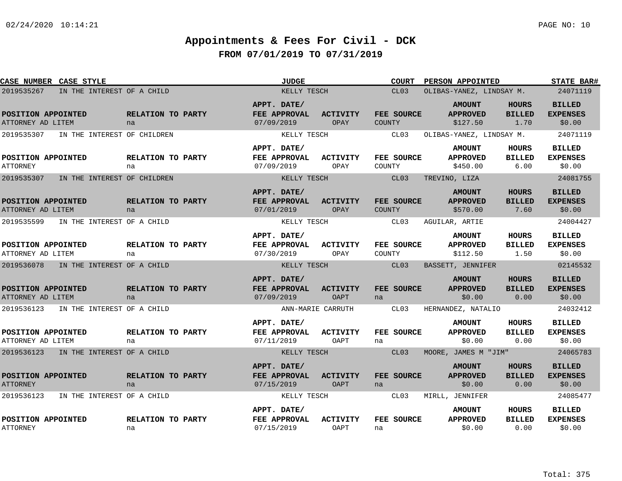| CASE NUMBER CASE STYLE                    |                         | <b>JUDGE</b>                              |                         | <b>COURT</b>                | <b>PERSON APPOINTED</b>                      |                                       | <b>STATE BAR#</b>                          |
|-------------------------------------------|-------------------------|-------------------------------------------|-------------------------|-----------------------------|----------------------------------------------|---------------------------------------|--------------------------------------------|
| 2019535267<br>IN THE INTEREST OF A CHILD  |                         | KELLY TESCH                               |                         | CL03                        | OLIBAS-YANEZ, LINDSAY M.                     |                                       | 24071119                                   |
| POSITION APPOINTED<br>ATTORNEY AD LITEM   | RELATION TO PARTY<br>na | APPT. DATE/<br>FEE APPROVAL<br>07/09/2019 | ACTIVITY<br>OPAY        | FEE SOURCE<br>COUNTY        | <b>AMOUNT</b><br><b>APPROVED</b><br>\$127.50 | <b>HOURS</b><br><b>BILLED</b><br>1.70 | <b>BILLED</b><br><b>EXPENSES</b><br>\$0.00 |
| 2019535307<br>IN THE INTEREST OF CHILDREN |                         | KELLY TESCH                               |                         | CL03                        | OLIBAS-YANEZ, LINDSAY M.                     |                                       | 24071119                                   |
| POSITION APPOINTED<br><b>ATTORNEY</b>     | RELATION TO PARTY<br>na | APPT. DATE/<br>FEE APPROVAL<br>07/09/2019 | <b>ACTIVITY</b><br>OPAY | FEE SOURCE<br>COUNTY        | <b>AMOUNT</b><br><b>APPROVED</b><br>\$450.00 | HOURS<br><b>BILLED</b><br>6.00        | <b>BILLED</b><br><b>EXPENSES</b><br>\$0.00 |
| 2019535307<br>IN THE INTEREST OF CHILDREN |                         | KELLY TESCH                               |                         | CL03                        | TREVINO, LIZA                                |                                       | 24081755                                   |
| POSITION APPOINTED<br>ATTORNEY AD LITEM   | RELATION TO PARTY<br>na | APPT. DATE/<br>FEE APPROVAL<br>07/01/2019 | <b>ACTIVITY</b><br>OPAY | FEE SOURCE<br><b>COUNTY</b> | <b>AMOUNT</b><br><b>APPROVED</b><br>\$570.00 | <b>HOURS</b><br><b>BILLED</b><br>7.60 | <b>BILLED</b><br><b>EXPENSES</b><br>\$0.00 |
| 2019535599<br>IN THE INTEREST OF A CHILD  |                         | KELLY TESCH                               |                         | CL03                        | AGUILAR, ARTIE                               |                                       | 24004427                                   |
| POSITION APPOINTED<br>ATTORNEY AD LITEM   | RELATION TO PARTY<br>na | APPT. DATE/<br>FEE APPROVAL<br>07/30/2019 | <b>ACTIVITY</b><br>OPAY | FEE SOURCE<br>COUNTY        | <b>AMOUNT</b><br><b>APPROVED</b><br>\$112.50 | HOURS<br><b>BILLED</b><br>1.50        | <b>BILLED</b><br><b>EXPENSES</b><br>\$0.00 |
| 2019536078<br>IN THE INTEREST OF A CHILD  |                         | KELLY TESCH                               |                         | CL03                        | BASSETT, JENNIFER                            |                                       | 02145532                                   |
| POSITION APPOINTED<br>ATTORNEY AD LITEM   | RELATION TO PARTY<br>na | APPT. DATE/<br>FEE APPROVAL<br>07/09/2019 | <b>ACTIVITY</b><br>OAPT | FEE SOURCE<br>na            | <b>AMOUNT</b><br><b>APPROVED</b><br>\$0.00   | <b>HOURS</b><br><b>BILLED</b><br>0.00 | <b>BILLED</b><br><b>EXPENSES</b><br>\$0.00 |
| 2019536123<br>IN THE INTEREST OF A CHILD  |                         |                                           | ANN-MARIE CARRUTH       | CL03                        | HERNANDEZ, NATALIO                           |                                       | 24032412                                   |
| POSITION APPOINTED<br>ATTORNEY AD LITEM   | RELATION TO PARTY<br>na | APPT. DATE/<br>FEE APPROVAL<br>07/11/2019 | <b>ACTIVITY</b><br>OAPT | FEE SOURCE<br>na            | <b>AMOUNT</b><br><b>APPROVED</b><br>\$0.00   | HOURS<br><b>BILLED</b><br>0.00        | <b>BILLED</b><br><b>EXPENSES</b><br>\$0.00 |
| 2019536123<br>IN THE INTEREST OF A CHILD  |                         | KELLY TESCH                               |                         | CL03                        | MOORE, JAMES M "JIM"                         |                                       | 24065783                                   |
| POSITION APPOINTED<br><b>ATTORNEY</b>     | RELATION TO PARTY<br>na | APPT. DATE/<br>FEE APPROVAL<br>07/15/2019 | <b>ACTIVITY</b><br>OAPT | FEE SOURCE<br>na            | <b>AMOUNT</b><br><b>APPROVED</b><br>\$0.00   | <b>HOURS</b><br><b>BILLED</b><br>0.00 | <b>BILLED</b><br><b>EXPENSES</b><br>\$0.00 |
| 2019536123<br>IN THE INTEREST OF A CHILD  |                         | KELLY TESCH                               |                         | CL03                        | MIRLL, JENNIFER                              |                                       | 24085477                                   |
| POSITION APPOINTED<br><b>ATTORNEY</b>     | RELATION TO PARTY<br>na | APPT. DATE/<br>FEE APPROVAL<br>07/15/2019 | <b>ACTIVITY</b><br>OAPT | FEE SOURCE<br>na            | <b>AMOUNT</b><br><b>APPROVED</b><br>\$0.00   | HOURS<br><b>BILLED</b><br>0.00        | <b>BILLED</b><br><b>EXPENSES</b><br>\$0.00 |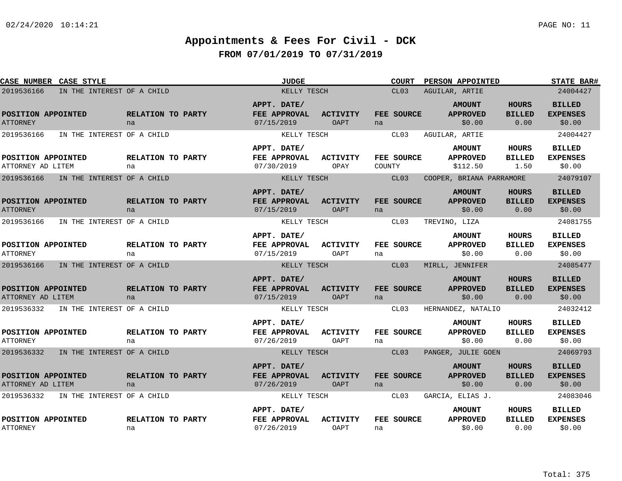| CASE NUMBER CASE STYLE                  |                            | <b>JUDGE</b>                                     |                                | <b>COURT</b>         | <b>PERSON APPOINTED</b>                      |                                       | <b>STATE BAR#</b>                          |
|-----------------------------------------|----------------------------|--------------------------------------------------|--------------------------------|----------------------|----------------------------------------------|---------------------------------------|--------------------------------------------|
| 2019536166                              | IN THE INTEREST OF A CHILD | KELLY TESCH                                      |                                | CL <sub>03</sub>     | AGUILAR, ARTIE                               |                                       | 24004427                                   |
| POSITION APPOINTED<br><b>ATTORNEY</b>   | RELATION TO PARTY<br>na    | APPT. DATE/<br>FEE APPROVAL<br>07/15/2019        | <b>ACTIVITY</b><br>OAPT        | FEE SOURCE<br>na     | <b>AMOUNT</b><br><b>APPROVED</b><br>\$0.00   | <b>HOURS</b><br><b>BILLED</b><br>0.00 | <b>BILLED</b><br><b>EXPENSES</b><br>\$0.00 |
| 2019536166                              | IN THE INTEREST OF A CHILD | KELLY TESCH                                      |                                | CL03                 | AGUILAR, ARTIE                               |                                       | 24004427                                   |
| POSITION APPOINTED<br>ATTORNEY AD LITEM | RELATION TO PARTY<br>na    | APPT. DATE/<br>FEE APPROVAL<br>07/30/2019        | ACTIVITY<br>OPAY               | FEE SOURCE<br>COUNTY | <b>AMOUNT</b><br><b>APPROVED</b><br>\$112.50 | <b>HOURS</b><br><b>BILLED</b><br>1.50 | <b>BILLED</b><br><b>EXPENSES</b><br>\$0.00 |
| 2019536166                              | IN THE INTEREST OF A CHILD | KELLY TESCH                                      |                                | CL03                 | COOPER, BRIANA PARRAMORE                     |                                       | 24079107                                   |
| POSITION APPOINTED<br><b>ATTORNEY</b>   | RELATION TO PARTY<br>na    | APPT. DATE/<br><b>FEE APPROVAL</b><br>07/15/2019 | <b>ACTIVITY</b><br><b>OAPT</b> | FEE SOURCE<br>na     | <b>AMOUNT</b><br><b>APPROVED</b><br>\$0.00   | <b>HOURS</b><br><b>BILLED</b><br>0.00 | <b>BILLED</b><br><b>EXPENSES</b><br>\$0.00 |
| 2019536166                              | IN THE INTEREST OF A CHILD | KELLY TESCH                                      |                                | CL03                 | TREVINO, LIZA                                |                                       | 24081755                                   |
| POSITION APPOINTED<br><b>ATTORNEY</b>   | RELATION TO PARTY<br>na    | APPT. DATE/<br>FEE APPROVAL<br>07/15/2019        | <b>ACTIVITY</b><br>OAPT        | FEE SOURCE<br>na     | <b>AMOUNT</b><br><b>APPROVED</b><br>\$0.00   | HOURS<br><b>BILLED</b><br>0.00        | <b>BILLED</b><br><b>EXPENSES</b><br>\$0.00 |
| 2019536166                              | IN THE INTEREST OF A CHILD | KELLY TESCH                                      |                                | CL03                 | MIRLL, JENNIFER                              |                                       | 24085477                                   |
| POSITION APPOINTED<br>ATTORNEY AD LITEM | RELATION TO PARTY<br>na    | APPT. DATE/<br>FEE APPROVAL<br>07/15/2019        | <b>ACTIVITY</b><br><b>OAPT</b> | FEE SOURCE<br>na     | <b>AMOUNT</b><br><b>APPROVED</b><br>\$0.00   | <b>HOURS</b><br><b>BILLED</b><br>0.00 | <b>BILLED</b><br><b>EXPENSES</b><br>\$0.00 |
| 2019536332                              | IN THE INTEREST OF A CHILD | KELLY TESCH                                      |                                | CL03                 | HERNANDEZ, NATALIO                           |                                       | 24032412                                   |
| POSITION APPOINTED<br>ATTORNEY          | RELATION TO PARTY<br>na    | APPT. DATE/<br>FEE APPROVAL<br>07/26/2019        | <b>ACTIVITY</b><br>OAPT        | FEE SOURCE<br>na     | <b>AMOUNT</b><br><b>APPROVED</b><br>\$0.00   | <b>HOURS</b><br><b>BILLED</b><br>0.00 | <b>BILLED</b><br><b>EXPENSES</b><br>\$0.00 |
| 2019536332                              | IN THE INTEREST OF A CHILD | KELLY TESCH                                      |                                | CL <sub>03</sub>     | PANGER, JULIE GOEN                           |                                       | 24069793                                   |
| POSITION APPOINTED<br>ATTORNEY AD LITEM | RELATION TO PARTY<br>na    | APPT. DATE/<br>FEE APPROVAL<br>07/26/2019        | <b>ACTIVITY</b><br>OAPT        | FEE SOURCE<br>na     | <b>AMOUNT</b><br><b>APPROVED</b><br>\$0.00   | <b>HOURS</b><br><b>BILLED</b><br>0.00 | <b>BILLED</b><br><b>EXPENSES</b><br>\$0.00 |
| 2019536332                              | IN THE INTEREST OF A CHILD | KELLY TESCH                                      |                                | CL03                 | GARCIA, ELIAS J.                             |                                       | 24083046                                   |
| POSITION APPOINTED<br><b>ATTORNEY</b>   | RELATION TO PARTY<br>na    | APPT. DATE/<br>FEE APPROVAL<br>07/26/2019        | <b>ACTIVITY</b><br>OAPT        | FEE SOURCE<br>na     | <b>AMOUNT</b><br><b>APPROVED</b><br>\$0.00   | <b>HOURS</b><br><b>BILLED</b><br>0.00 | <b>BILLED</b><br><b>EXPENSES</b><br>\$0.00 |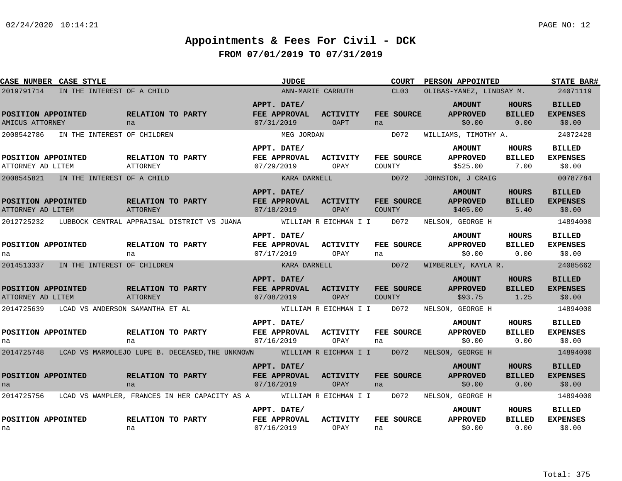| CASE NUMBER CASE STYLE                  |                                            |                                                     |                                                                                                      |                                                  | <b>JUDGE</b>      |                                             |        | <b>COURT</b>      |                   | PERSON APPOINTED                             |                                       | <b>STATE BAR#</b>                          |
|-----------------------------------------|--------------------------------------------|-----------------------------------------------------|------------------------------------------------------------------------------------------------------|--------------------------------------------------|-------------------|---------------------------------------------|--------|-------------------|-------------------|----------------------------------------------|---------------------------------------|--------------------------------------------|
| 2019791714                              | IN THE INTEREST OF A CHILD                 |                                                     |                                                                                                      |                                                  | ANN-MARIE CARRUTH |                                             |        | CL03              |                   |                                              |                                       | OLIBAS-YANEZ, LINDSAY M. 24071119          |
| POSITION APPOINTED<br>AMICUS ATTORNEY   |                                            | RELATION TO PARTY<br>na                             |                                                                                                      | APPT. DATE/<br><b>FEE APPROVAL</b><br>07/31/2019 |                   | ACTIVITY<br>OAPT                            | na     | FEE SOURCE        |                   | <b>AMOUNT</b><br><b>APPROVED</b><br>\$0.00   | <b>HOURS</b><br><b>BILLED</b><br>0.00 | <b>BILLED</b><br><b>EXPENSES</b><br>\$0.00 |
| 2008542786                              | IN THE INTEREST OF CHILDREN                |                                                     |                                                                                                      |                                                  | MEG JORDAN        |                                             |        | D072              |                   | WILLIAMS, TIMOTHY A.                         |                                       | 24072428                                   |
| POSITION APPOINTED<br>ATTORNEY AD LITEM |                                            | <b>RELATION TO PARTY</b><br>ATTORNEY                |                                                                                                      | APPT. DATE/<br><b>FEE APPROVAL</b><br>07/29/2019 |                   | <b>ACTIVITY</b><br>OPAY                     | COUNTY | <b>FEE SOURCE</b> |                   | <b>AMOUNT</b><br><b>APPROVED</b><br>\$525.00 | HOURS<br><b>BILLED</b><br>7.00        | <b>BILLED</b><br><b>EXPENSES</b><br>\$0.00 |
|                                         | 2008545821 IN THE INTEREST OF A CHILD      |                                                     |                                                                                                      |                                                  | KARA DARNELL      | <b>DOTA</b>                                 |        |                   | JOHNSTON, J CRAIG |                                              |                                       | 00787784                                   |
| POSITION APPOINTED<br>ATTORNEY AD LITEM |                                            | RELATION TO PARTY<br><b>ATTORNEY</b>                |                                                                                                      | APPT. DATE/<br>FEE APPROVAL<br>07/18/2019        |                   | ACTIVITY<br>OPAY                            | COUNTY | FEE SOURCE        |                   | <b>AMOUNT</b><br><b>APPROVED</b><br>\$405.00 | <b>HOURS</b><br><b>BILLED</b><br>5.40 | <b>BILLED</b><br><b>EXPENSES</b><br>\$0.00 |
|                                         |                                            |                                                     | 2012725232 LUBBOCK CENTRAL APPRAISAL DISTRICT VS JUANA                                               |                                                  |                   | WILLIAM R EICHMAN I I D072                  |        |                   | NELSON, GEORGE H  |                                              |                                       | 14894000                                   |
| POSITION APPOINTED<br>na                |                                            | <b>RELATION TO PARTY</b><br>na                      |                                                                                                      | APPT. DATE/<br>FEE APPROVAL<br>07/17/2019        |                   | <b>ACTIVITY</b><br>OPAY                     | na     | FEE SOURCE        |                   | <b>AMOUNT</b><br><b>APPROVED</b><br>\$0.00   | HOURS<br><b>BILLED</b><br>0.00        | <b>BILLED</b><br><b>EXPENSES</b><br>\$0.00 |
|                                         | 2014513337 IN THE INTEREST OF CHILDREN     |                                                     |                                                                                                      |                                                  | KARA DARNELL      | DD072                                       |        |                   |                   | WIMBERLEY, KAYLA R.                          |                                       | 24085662                                   |
| POSITION APPOINTED<br>ATTORNEY AD LITEM |                                            | <b>EXAMPLE RELATION TO PARTY</b><br><b>ATTORNEY</b> |                                                                                                      | APPT. DATE/<br>FEE APPROVAL<br>07/08/2019        |                   | <b>ACTIVITY</b><br>OPAY                     | COUNTY | FEE SOURCE        |                   | <b>AMOUNT</b><br><b>APPROVED</b><br>\$93.75  | <b>HOURS</b><br><b>BILLED</b><br>1.25 | <b>BILLED</b><br><b>EXPENSES</b><br>\$0.00 |
|                                         | 2014725639 LCAD VS ANDERSON SAMANTHA ET AL |                                                     |                                                                                                      |                                                  |                   | WILLIAM R EICHMAN I I D072 NELSON, GEORGE H |        |                   |                   |                                              |                                       | 14894000                                   |
| POSITION APPOINTED<br>na                |                                            | RELATION TO PARTY<br>na                             |                                                                                                      | APPT. DATE/<br><b>FEE APPROVAL</b><br>07/16/2019 |                   | <b>ACTIVITY</b><br>OPAY                     | na     | FEE SOURCE        |                   | <b>AMOUNT</b><br><b>APPROVED</b><br>\$0.00   | <b>HOURS</b><br><b>BILLED</b><br>0.00 | <b>BILLED</b><br><b>EXPENSES</b><br>\$0.00 |
|                                         |                                            |                                                     | 2014725748 LCAD VS MARMOLEJO LUPE B. DECEASED, THE UNKNOWN WILLIAM R EICHMAN I I D072                |                                                  |                   |                                             |        |                   | NELSON, GEORGE H  |                                              |                                       | 14894000                                   |
| POSITION APPOINTED<br>na                |                                            | RELATION TO PARTY<br>na                             |                                                                                                      | APPT. DATE/<br>FEE APPROVAL<br>07/16/2019        |                   | ACTIVITY<br>OPAY                            | na     | <b>FEE SOURCE</b> |                   | <b>AMOUNT</b><br><b>APPROVED</b><br>\$0.00   | <b>HOURS</b><br><b>BILLED</b><br>0.00 | <b>BILLED</b><br><b>EXPENSES</b><br>\$0.00 |
|                                         |                                            |                                                     | 2014725756 LCAD VS WAMPLER, FRANCES IN HER CAPACITY AS A WILLIAM R EICHMAN I I D072 NELSON, GEORGE H |                                                  |                   |                                             |        |                   |                   |                                              |                                       | 14894000                                   |
| POSITION APPOINTED<br>na                |                                            | RELATION TO PARTY<br>na                             |                                                                                                      | APPT. DATE/<br>07/16/2019                        |                   | FEE APPROVAL ACTIVITY<br>OPAY               | na     | FEE SOURCE        |                   | <b>AMOUNT</b><br><b>APPROVED</b><br>\$0.00   | HOURS<br><b>BILLED</b><br>0.00        | BILLED<br><b>EXPENSES</b><br>\$0.00        |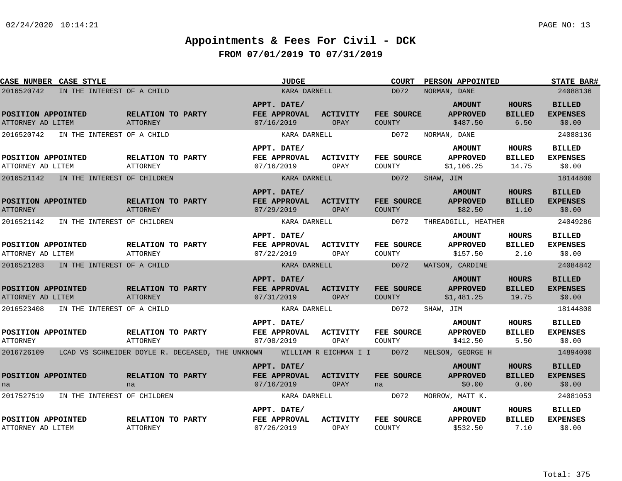| CASE NUMBER CASE STYLE                  |                                                  | <b>JUDGE</b>                                     |                                | <b>COURT</b>                | <b>PERSON APPOINTED</b>                        |                                        | <b>STATE BAR#</b>                          |
|-----------------------------------------|--------------------------------------------------|--------------------------------------------------|--------------------------------|-----------------------------|------------------------------------------------|----------------------------------------|--------------------------------------------|
| 2016520742                              | IN THE INTEREST OF A CHILD                       | KARA DARNELL                                     |                                | D072                        | NORMAN, DANE                                   |                                        | 24088136                                   |
| POSITION APPOINTED<br>ATTORNEY AD LITEM | RELATION TO PARTY<br><b>ATTORNEY</b>             | APPT. DATE/<br>FEE APPROVAL<br>07/16/2019        | <b>ACTIVITY</b><br>OPAY        | FEE SOURCE<br><b>COUNTY</b> | <b>AMOUNT</b><br><b>APPROVED</b><br>\$487.50   | <b>HOURS</b><br><b>BILLED</b><br>6.50  | <b>BILLED</b><br><b>EXPENSES</b><br>\$0.00 |
| 2016520742                              | IN THE INTEREST OF A CHILD                       | KARA DARNELL                                     |                                | D072                        | NORMAN, DANE                                   |                                        | 24088136                                   |
| POSITION APPOINTED<br>ATTORNEY AD LITEM | RELATION TO PARTY<br>ATTORNEY                    | APPT. DATE/<br>FEE APPROVAL<br>07/16/2019        | ACTIVITY<br>OPAY               | FEE SOURCE<br><b>COUNTY</b> | <b>AMOUNT</b><br><b>APPROVED</b><br>\$1,106.25 | HOURS<br><b>BILLED</b><br>14.75        | <b>BILLED</b><br><b>EXPENSES</b><br>\$0.00 |
| 2016521142                              | IN THE INTEREST OF CHILDREN                      | KARA DARNELL                                     |                                | D072                        | SHAW, JIM                                      |                                        | 18144800                                   |
| POSITION APPOINTED<br><b>ATTORNEY</b>   | RELATION TO PARTY<br>ATTORNEY                    | APPT. DATE/<br>FEE APPROVAL<br>07/29/2019        | <b>ACTIVITY</b><br>OPAY        | FEE SOURCE<br><b>COUNTY</b> | <b>AMOUNT</b><br><b>APPROVED</b><br>\$82.50    | <b>HOURS</b><br><b>BILLED</b><br>1.10  | <b>BILLED</b><br><b>EXPENSES</b><br>\$0.00 |
| 2016521142                              | IN THE INTEREST OF CHILDREN                      | KARA DARNELL                                     |                                | D072                        | THREADGILL, HEATHER                            |                                        | 24049286                                   |
| POSITION APPOINTED<br>ATTORNEY AD LITEM | RELATION TO PARTY<br><b>ATTORNEY</b>             | APPT. DATE/<br>FEE APPROVAL<br>07/22/2019        | <b>ACTIVITY</b><br>OPAY        | FEE SOURCE<br>COUNTY        | <b>AMOUNT</b><br><b>APPROVED</b><br>\$157.50   | <b>HOURS</b><br><b>BILLED</b><br>2.10  | <b>BILLED</b><br><b>EXPENSES</b><br>\$0.00 |
| 2016521283                              | IN THE INTEREST OF A CHILD                       | KARA DARNELL                                     |                                | D072                        | WATSON, CARDINE                                |                                        | 24084842                                   |
| POSITION APPOINTED<br>ATTORNEY AD LITEM | RELATION TO PARTY<br><b>ATTORNEY</b>             | APPT. DATE/<br>FEE APPROVAL<br>07/31/2019        | <b>ACTIVITY</b><br><b>OPAY</b> | FEE SOURCE<br><b>COUNTY</b> | <b>AMOUNT</b><br><b>APPROVED</b><br>\$1,481.25 | <b>HOURS</b><br><b>BILLED</b><br>19.75 | <b>BILLED</b><br><b>EXPENSES</b><br>\$0.00 |
| 2016523408                              | IN THE INTEREST OF A CHILD                       | KARA DARNELL                                     |                                | D072                        | SHAW, JIM                                      |                                        | 18144800                                   |
| POSITION APPOINTED<br><b>ATTORNEY</b>   | RELATION TO PARTY<br>ATTORNEY                    | APPT. DATE/<br><b>FEE APPROVAL</b><br>07/08/2019 | ACTIVITY<br>OPAY               | FEE SOURCE<br>COUNTY        | <b>AMOUNT</b><br><b>APPROVED</b><br>\$412.50   | HOURS<br><b>BILLED</b><br>5.50         | <b>BILLED</b><br><b>EXPENSES</b><br>\$0.00 |
| 2016726109                              | LCAD VS SCHNEIDER DOYLE R. DECEASED, THE UNKNOWN |                                                  | WILLIAM R EICHMAN I I          | D072                        | NELSON, GEORGE H                               |                                        | 14894000                                   |
| POSITION APPOINTED<br>na                | RELATION TO PARTY<br>na                          | APPT. DATE/<br>FEE APPROVAL<br>07/16/2019        | <b>ACTIVITY</b><br><b>OPAY</b> | FEE SOURCE<br>na            | <b>AMOUNT</b><br><b>APPROVED</b><br>\$0.00     | <b>HOURS</b><br><b>BILLED</b><br>0.00  | <b>BILLED</b><br><b>EXPENSES</b><br>\$0.00 |
| 2017527519                              | IN THE INTEREST OF CHILDREN                      | KARA DARNELL                                     |                                | D072                        | MORROW, MATT K.                                |                                        | 24081053                                   |
| POSITION APPOINTED<br>ATTORNEY AD LITEM | RELATION TO PARTY<br><b>ATTORNEY</b>             | APPT. DATE/<br>FEE APPROVAL<br>07/26/2019        | <b>ACTIVITY</b><br>OPAY        | FEE SOURCE<br>COUNTY        | <b>AMOUNT</b><br><b>APPROVED</b><br>\$532.50   | <b>HOURS</b><br><b>BILLED</b><br>7.10  | <b>BILLED</b><br><b>EXPENSES</b><br>\$0.00 |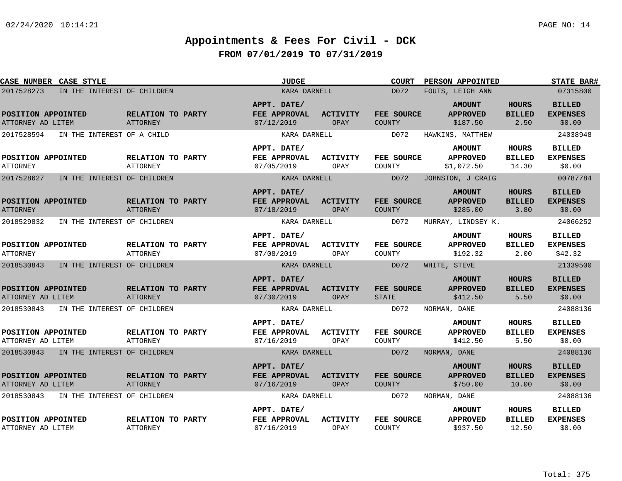| CASE NUMBER CASE STYLE                       |                             |                                      | <b>JUDGE</b>                              |                         | <b>COURT</b>                | PERSON APPOINTED                               |                                        | <b>STATE BAR#</b>                           |
|----------------------------------------------|-----------------------------|--------------------------------------|-------------------------------------------|-------------------------|-----------------------------|------------------------------------------------|----------------------------------------|---------------------------------------------|
| 2017528273                                   | IN THE INTEREST OF CHILDREN |                                      | KARA DARNELL                              |                         | D072                        | FOUTS, LEIGH ANN                               |                                        | 07315800                                    |
| POSITION APPOINTED<br>ATTORNEY AD LITEM      |                             | RELATION TO PARTY<br><b>ATTORNEY</b> | APPT. DATE/<br>FEE APPROVAL<br>07/12/2019 | <b>ACTIVITY</b><br>OPAY | FEE SOURCE<br><b>COUNTY</b> | <b>AMOUNT</b><br><b>APPROVED</b><br>\$187.50   | <b>HOURS</b><br><b>BILLED</b><br>2.50  | <b>BILLED</b><br><b>EXPENSES</b><br>\$0.00  |
| 2017528594                                   | IN THE INTEREST OF A CHILD  |                                      | KARA DARNELL                              |                         | D072                        | HAWKINS, MATTHEW                               |                                        | 24038948                                    |
| POSITION APPOINTED<br><b>ATTORNEY</b>        |                             | RELATION TO PARTY<br><b>ATTORNEY</b> | APPT. DATE/<br>FEE APPROVAL<br>07/05/2019 | <b>ACTIVITY</b><br>OPAY | FEE SOURCE<br>COUNTY        | <b>AMOUNT</b><br><b>APPROVED</b><br>\$1,072.50 | <b>HOURS</b><br><b>BILLED</b><br>14.30 | <b>BILLED</b><br><b>EXPENSES</b><br>\$0.00  |
| 2017528627                                   | IN THE INTEREST OF CHILDREN |                                      | KARA DARNELL                              |                         | D072                        | JOHNSTON, J CRAIG                              |                                        | 00787784                                    |
| <b>POSITION APPOINTED</b><br><b>ATTORNEY</b> |                             | RELATION TO PARTY<br>ATTORNEY        | APPT. DATE/<br>FEE APPROVAL<br>07/18/2019 | <b>ACTIVITY</b><br>OPAY | FEE SOURCE<br><b>COUNTY</b> | <b>AMOUNT</b><br><b>APPROVED</b><br>\$285.00   | <b>HOURS</b><br><b>BILLED</b><br>3.80  | <b>BILLED</b><br><b>EXPENSES</b><br>\$0.00  |
| 2018529832                                   | IN THE INTEREST OF CHILDREN |                                      | KARA DARNELL                              |                         | D072                        | MURRAY, LINDSEY K.                             |                                        | 24066252                                    |
| POSITION APPOINTED<br><b>ATTORNEY</b>        |                             | RELATION TO PARTY<br><b>ATTORNEY</b> | APPT. DATE/<br>FEE APPROVAL<br>07/08/2019 | <b>ACTIVITY</b><br>OPAY | FEE SOURCE<br>COUNTY        | <b>AMOUNT</b><br><b>APPROVED</b><br>\$192.32   | <b>HOURS</b><br><b>BILLED</b><br>2.00  | <b>BILLED</b><br><b>EXPENSES</b><br>\$42.32 |
| 2018530843                                   | IN THE INTEREST OF CHILDREN |                                      | KARA DARNELL                              |                         | D072                        | WHITE, STEVE                                   |                                        | 21339500                                    |
| POSITION APPOINTED<br>ATTORNEY AD LITEM      |                             | RELATION TO PARTY<br><b>ATTORNEY</b> | APPT. DATE/<br>FEE APPROVAL<br>07/30/2019 | <b>ACTIVITY</b><br>OPAY | FEE SOURCE<br><b>STATE</b>  | <b>AMOUNT</b><br><b>APPROVED</b><br>\$412.50   | <b>HOURS</b><br><b>BILLED</b><br>5.50  | <b>BILLED</b><br><b>EXPENSES</b><br>\$0.00  |
| 2018530843                                   | IN THE INTEREST OF CHILDREN |                                      | KARA DARNELL                              |                         | D072                        | NORMAN, DANE                                   |                                        | 24088136                                    |
| POSITION APPOINTED<br>ATTORNEY AD LITEM      |                             | RELATION TO PARTY<br><b>ATTORNEY</b> | APPT. DATE/<br>FEE APPROVAL<br>07/16/2019 | <b>ACTIVITY</b><br>OPAY | FEE SOURCE<br>COUNTY        | <b>AMOUNT</b><br><b>APPROVED</b><br>\$412.50   | <b>HOURS</b><br><b>BILLED</b><br>5.50  | <b>BILLED</b><br><b>EXPENSES</b><br>\$0.00  |
| 2018530843 IN THE INTEREST OF CHILDREN       |                             |                                      | KARA DARNELL                              |                         | D072                        | NORMAN, DANE                                   |                                        | 24088136                                    |
| POSITION APPOINTED<br>ATTORNEY AD LITEM      |                             | RELATION TO PARTY<br>ATTORNEY        | APPT. DATE/<br>FEE APPROVAL<br>07/16/2019 | <b>ACTIVITY</b><br>OPAY | FEE SOURCE<br>COUNTY        | <b>AMOUNT</b><br><b>APPROVED</b><br>\$750.00   | <b>HOURS</b><br><b>BILLED</b><br>10.00 | <b>BILLED</b><br><b>EXPENSES</b><br>\$0.00  |
| 2018530843                                   | IN THE INTEREST OF CHILDREN |                                      | KARA DARNELL                              |                         | D072                        | NORMAN, DANE                                   |                                        | 24088136                                    |
| POSITION APPOINTED<br>ATTORNEY AD LITEM      |                             | RELATION TO PARTY<br><b>ATTORNEY</b> | APPT. DATE/<br>FEE APPROVAL<br>07/16/2019 | <b>ACTIVITY</b><br>OPAY | FEE SOURCE<br>COUNTY        | <b>AMOUNT</b><br><b>APPROVED</b><br>\$937.50   | <b>HOURS</b><br><b>BILLED</b><br>12.50 | <b>BILLED</b><br><b>EXPENSES</b><br>\$0.00  |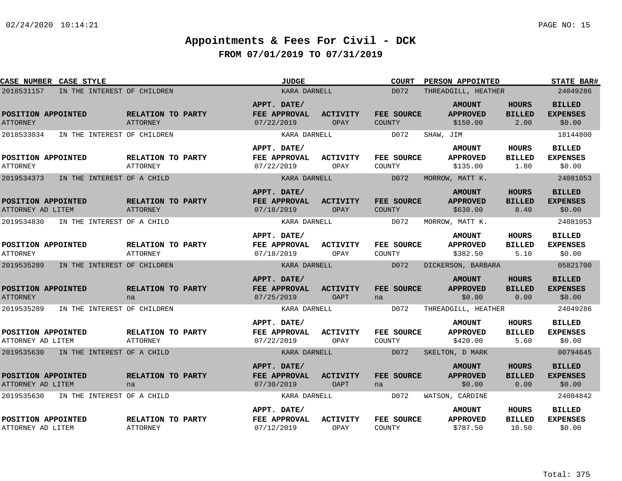| CASE NUMBER CASE STYLE                    |                                      | <b>JUDGE</b>                              |                                | <b>COURT</b>         | <b>PERSON APPOINTED</b>                      |                                        | <b>STATE BAR#</b>                          |
|-------------------------------------------|--------------------------------------|-------------------------------------------|--------------------------------|----------------------|----------------------------------------------|----------------------------------------|--------------------------------------------|
| 2018531157<br>IN THE INTEREST OF CHILDREN |                                      | KARA DARNELL                              |                                | D072                 | THREADGILL, HEATHER                          |                                        | 24049286                                   |
| POSITION APPOINTED<br><b>ATTORNEY</b>     | RELATION TO PARTY<br><b>ATTORNEY</b> | APPT. DATE/<br>FEE APPROVAL<br>07/22/2019 | <b>ACTIVITY</b><br>OPAY        | FEE SOURCE<br>COUNTY | <b>AMOUNT</b><br><b>APPROVED</b><br>\$150.00 | <b>HOURS</b><br><b>BILLED</b><br>2.00  | <b>BILLED</b><br><b>EXPENSES</b><br>\$0.00 |
| 2018533034<br>IN THE INTEREST OF CHILDREN |                                      | KARA DARNELL                              |                                | D072                 | SHAW, JIM                                    |                                        | 18144800                                   |
| POSITION APPOINTED<br><b>ATTORNEY</b>     | RELATION TO PARTY<br><b>ATTORNEY</b> | APPT. DATE/<br>FEE APPROVAL<br>07/22/2019 | <b>ACTIVITY</b><br>OPAY        | FEE SOURCE<br>COUNTY | <b>AMOUNT</b><br><b>APPROVED</b><br>\$135.00 | HOURS<br><b>BILLED</b><br>1.80         | <b>BILLED</b><br><b>EXPENSES</b><br>\$0.00 |
| 2019534373<br>IN THE INTEREST OF A CHILD  |                                      | KARA DARNELL                              |                                | D072                 | MORROW, MATT K.                              |                                        | 24081053                                   |
| POSITION APPOINTED<br>ATTORNEY AD LITEM   | RELATION TO PARTY<br><b>ATTORNEY</b> | APPT. DATE/<br>FEE APPROVAL<br>07/18/2019 | <b>ACTIVITY</b><br>OPAY        | FEE SOURCE<br>COUNTY | <b>AMOUNT</b><br><b>APPROVED</b><br>\$630.00 | <b>HOURS</b><br><b>BILLED</b><br>8.40  | <b>BILLED</b><br><b>EXPENSES</b><br>\$0.00 |
| 2019534830<br>IN THE INTEREST OF A CHILD  |                                      | KARA DARNELL                              |                                | D072                 | MORROW, MATT K.                              |                                        | 24081053                                   |
| POSITION APPOINTED<br><b>ATTORNEY</b>     | RELATION TO PARTY<br><b>ATTORNEY</b> | APPT. DATE/<br>FEE APPROVAL<br>07/18/2019 | <b>ACTIVITY</b><br>OPAY        | FEE SOURCE<br>COUNTY | <b>AMOUNT</b><br><b>APPROVED</b><br>\$382.50 | <b>HOURS</b><br><b>BILLED</b><br>5.10  | <b>BILLED</b><br><b>EXPENSES</b><br>\$0.00 |
| 2019535289<br>IN THE INTEREST OF CHILDREN |                                      | KARA DARNELL                              |                                | D072                 | DICKERSON, BARBARA                           |                                        | 05821700                                   |
| POSITION APPOINTED<br><b>ATTORNEY</b>     | RELATION TO PARTY<br>na              | APPT. DATE/<br>FEE APPROVAL<br>07/25/2019 | <b>ACTIVITY</b><br><b>OAPT</b> | FEE SOURCE<br>na     | <b>AMOUNT</b><br><b>APPROVED</b><br>\$0.00   | <b>HOURS</b><br><b>BILLED</b><br>0.00  | <b>BILLED</b><br><b>EXPENSES</b><br>\$0.00 |
| 2019535289<br>IN THE INTEREST OF CHILDREN |                                      | KARA DARNELL                              |                                | D072                 | THREADGILL, HEATHER                          |                                        | 24049286                                   |
| POSITION APPOINTED<br>ATTORNEY AD LITEM   | RELATION TO PARTY<br>ATTORNEY        | APPT. DATE/<br>FEE APPROVAL<br>07/22/2019 | <b>ACTIVITY</b><br>OPAY        | FEE SOURCE<br>COUNTY | <b>AMOUNT</b><br><b>APPROVED</b><br>\$420.00 | <b>HOURS</b><br><b>BILLED</b><br>5.60  | <b>BILLED</b><br><b>EXPENSES</b><br>\$0.00 |
| 2019535630 IN THE INTEREST OF A CHILD     |                                      | KARA DARNELL                              |                                | D072                 | SKELTON, D MARK                              |                                        | 00794645                                   |
| POSITION APPOINTED<br>ATTORNEY AD LITEM   | RELATION TO PARTY<br>na              | APPT. DATE/<br>FEE APPROVAL<br>07/30/2019 | ACTIVITY<br>OAPT               | FEE SOURCE<br>na     | <b>AMOUNT</b><br><b>APPROVED</b><br>\$0.00   | <b>HOURS</b><br><b>BILLED</b><br>0.00  | <b>BILLED</b><br><b>EXPENSES</b><br>\$0.00 |
| 2019535630<br>IN THE INTEREST OF A CHILD  |                                      | KARA DARNELL                              |                                | D072                 | WATSON, CARDINE                              |                                        | 24084842                                   |
| POSITION APPOINTED<br>ATTORNEY AD LITEM   | RELATION TO PARTY<br><b>ATTORNEY</b> | APPT. DATE/<br>FEE APPROVAL<br>07/12/2019 | <b>ACTIVITY</b><br>OPAY        | FEE SOURCE<br>COUNTY | <b>AMOUNT</b><br><b>APPROVED</b><br>\$787.50 | <b>HOURS</b><br><b>BILLED</b><br>10.50 | <b>BILLED</b><br><b>EXPENSES</b><br>\$0.00 |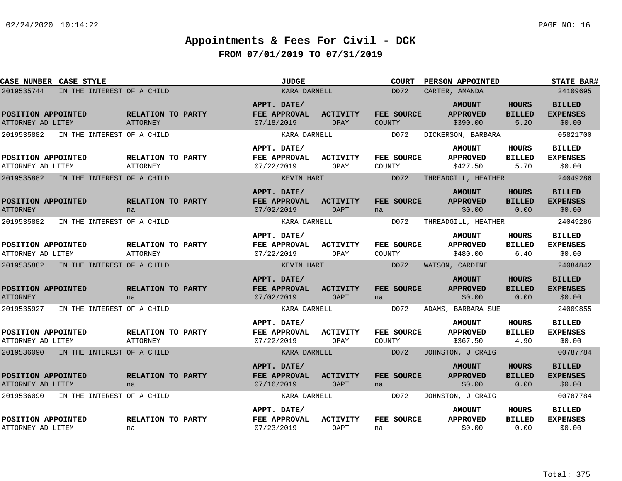| CASE NUMBER CASE STYLE                   |                                      | <b>JUDGE</b>                              |                                | <b>COURT</b>                | <b>PERSON APPOINTED</b>                      |                                       | <b>STATE BAR#</b>                          |
|------------------------------------------|--------------------------------------|-------------------------------------------|--------------------------------|-----------------------------|----------------------------------------------|---------------------------------------|--------------------------------------------|
| 2019535744<br>IN THE INTEREST OF A CHILD |                                      | KARA DARNELL                              |                                | D072                        | CARTER, AMANDA                               |                                       | 24109695                                   |
| POSITION APPOINTED<br>ATTORNEY AD LITEM  | RELATION TO PARTY<br>ATTORNEY        | APPT. DATE/<br>FEE APPROVAL<br>07/18/2019 | <b>ACTIVITY</b><br><b>OPAY</b> | FEE SOURCE<br><b>COUNTY</b> | <b>AMOUNT</b><br><b>APPROVED</b><br>\$390.00 | <b>HOURS</b><br><b>BILLED</b><br>5.20 | <b>BILLED</b><br><b>EXPENSES</b><br>\$0.00 |
| 2019535882<br>IN THE INTEREST OF A CHILD |                                      | KARA DARNELL                              |                                | D072                        | DICKERSON, BARBARA                           |                                       | 05821700                                   |
| POSITION APPOINTED<br>ATTORNEY AD LITEM  | RELATION TO PARTY<br>ATTORNEY        | APPT. DATE/<br>FEE APPROVAL<br>07/22/2019 | <b>ACTIVITY</b><br>OPAY        | FEE SOURCE<br>COUNTY        | <b>AMOUNT</b><br><b>APPROVED</b><br>\$427.50 | <b>HOURS</b><br><b>BILLED</b><br>5.70 | <b>BILLED</b><br><b>EXPENSES</b><br>\$0.00 |
| 2019535882<br>IN THE INTEREST OF A CHILD |                                      | KEVIN HART                                |                                | D072                        | THREADGILL, HEATHER                          |                                       | 24049286                                   |
| POSITION APPOINTED<br><b>ATTORNEY</b>    | RELATION TO PARTY<br>na              | APPT. DATE/<br>FEE APPROVAL<br>07/02/2019 | <b>ACTIVITY</b><br>OAPT        | FEE SOURCE<br>na            | <b>AMOUNT</b><br><b>APPROVED</b><br>\$0.00   | <b>HOURS</b><br><b>BILLED</b><br>0.00 | <b>BILLED</b><br><b>EXPENSES</b><br>\$0.00 |
| 2019535882<br>IN THE INTEREST OF A CHILD |                                      | KARA DARNELL                              |                                | D072                        | THREADGILL, HEATHER                          |                                       | 24049286                                   |
| POSITION APPOINTED<br>ATTORNEY AD LITEM  | RELATION TO PARTY<br><b>ATTORNEY</b> | APPT. DATE/<br>FEE APPROVAL<br>07/22/2019 | ACTIVITY<br>OPAY               | FEE SOURCE<br><b>COUNTY</b> | <b>AMOUNT</b><br><b>APPROVED</b><br>\$480.00 | HOURS<br><b>BILLED</b><br>6.40        | <b>BILLED</b><br><b>EXPENSES</b><br>\$0.00 |
| 2019535882<br>IN THE INTEREST OF A CHILD |                                      | KEVIN HART                                |                                | D072                        | WATSON, CARDINE                              |                                       | 24084842                                   |
| POSITION APPOINTED<br><b>ATTORNEY</b>    | RELATION TO PARTY<br>na              | APPT. DATE/<br>FEE APPROVAL<br>07/02/2019 | <b>ACTIVITY</b><br><b>OAPT</b> | FEE SOURCE<br>na            | <b>AMOUNT</b><br><b>APPROVED</b><br>\$0.00   | <b>HOURS</b><br><b>BILLED</b><br>0.00 | <b>BILLED</b><br><b>EXPENSES</b><br>\$0.00 |
| 2019535927<br>IN THE INTEREST OF A CHILD |                                      | KARA DARNELL                              |                                | D072                        | ADAMS, BARBARA SUE                           |                                       | 24009855                                   |
| POSITION APPOINTED<br>ATTORNEY AD LITEM  | RELATION TO PARTY<br>ATTORNEY        | APPT. DATE/<br>FEE APPROVAL<br>07/22/2019 | <b>ACTIVITY</b><br>OPAY        | FEE SOURCE<br>COUNTY        | <b>AMOUNT</b><br><b>APPROVED</b><br>\$367.50 | HOURS<br><b>BILLED</b><br>4.90        | <b>BILLED</b><br><b>EXPENSES</b><br>\$0.00 |
| 2019536090<br>IN THE INTEREST OF A CHILD |                                      | KARA DARNELL                              |                                | D072                        | JOHNSTON, J CRAIG                            |                                       | 00787784                                   |
| POSITION APPOINTED<br>ATTORNEY AD LITEM  | RELATION TO PARTY<br>na              | APPT. DATE/<br>FEE APPROVAL<br>07/16/2019 | <b>ACTIVITY</b><br>OAPT        | FEE SOURCE<br>na            | <b>AMOUNT</b><br><b>APPROVED</b><br>\$0.00   | <b>HOURS</b><br><b>BILLED</b><br>0.00 | <b>BILLED</b><br><b>EXPENSES</b><br>\$0.00 |
| 2019536090<br>IN THE INTEREST OF A CHILD |                                      | KARA DARNELL                              |                                | D072                        | JOHNSTON, J CRAIG                            |                                       | 00787784                                   |
| POSITION APPOINTED<br>ATTORNEY AD LITEM  | RELATION TO PARTY<br>na              | APPT. DATE/<br>FEE APPROVAL<br>07/23/2019 | <b>ACTIVITY</b><br>OAPT        | FEE SOURCE<br>na            | <b>AMOUNT</b><br><b>APPROVED</b><br>\$0.00   | HOURS<br><b>BILLED</b><br>0.00        | <b>BILLED</b><br><b>EXPENSES</b><br>\$0.00 |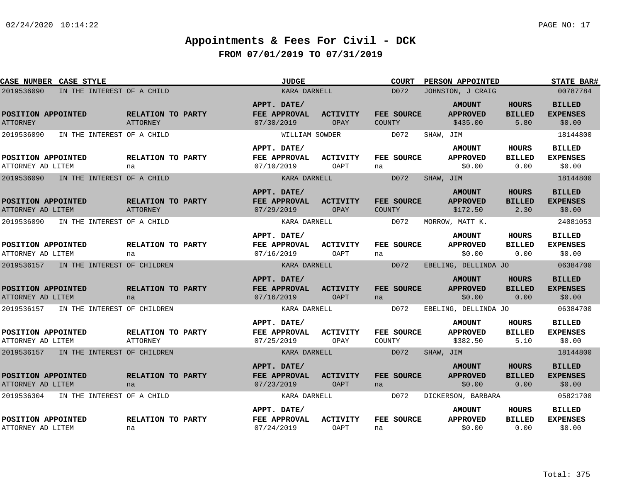| CASE NUMBER CASE STYLE                    |                               | <b>JUDGE</b>                                     |                                | <b>COURT</b>                       | <b>PERSON APPOINTED</b>                      |                                       | <b>STATE BAR#</b>                          |
|-------------------------------------------|-------------------------------|--------------------------------------------------|--------------------------------|------------------------------------|----------------------------------------------|---------------------------------------|--------------------------------------------|
| 2019536090<br>IN THE INTEREST OF A CHILD  |                               | KARA DARNELL                                     |                                | D072                               | JOHNSTON, J CRAIG                            |                                       | 00787784                                   |
| POSITION APPOINTED<br><b>ATTORNEY</b>     | RELATION TO PARTY<br>ATTORNEY | APPT. DATE/<br>FEE APPROVAL<br>07/30/2019        | <b>ACTIVITY</b><br>OPAY        | <b>FEE SOURCE</b><br><b>COUNTY</b> | <b>AMOUNT</b><br><b>APPROVED</b><br>\$435.00 | <b>HOURS</b><br><b>BILLED</b><br>5.80 | <b>BILLED</b><br><b>EXPENSES</b><br>\$0.00 |
| 2019536090<br>IN THE INTEREST OF A CHILD  |                               | WILLIAM SOWDER                                   |                                | D072                               | SHAW, JIM                                    |                                       | 18144800                                   |
|                                           |                               | APPT. DATE/                                      |                                |                                    | <b>AMOUNT</b>                                | HOURS                                 | <b>BILLED</b>                              |
| POSITION APPOINTED<br>ATTORNEY AD LITEM   | RELATION TO PARTY<br>na       | FEE APPROVAL<br>07/10/2019                       | <b>ACTIVITY</b><br>OAPT        | FEE SOURCE<br>na                   | <b>APPROVED</b><br>\$0.00                    | <b>BILLED</b><br>0.00                 | <b>EXPENSES</b><br>\$0.00                  |
| 2019536090<br>IN THE INTEREST OF A CHILD  |                               | KARA DARNELL                                     |                                | D072                               | SHAW, JIM                                    |                                       | 18144800                                   |
| POSITION APPOINTED<br>ATTORNEY AD LITEM   | RELATION TO PARTY<br>ATTORNEY | APPT. DATE/<br>FEE APPROVAL<br>07/29/2019        | <b>ACTIVITY</b><br>OPAY        | FEE SOURCE<br><b>COUNTY</b>        | <b>AMOUNT</b><br><b>APPROVED</b><br>\$172.50 | <b>HOURS</b><br><b>BILLED</b><br>2.30 | <b>BILLED</b><br><b>EXPENSES</b><br>\$0.00 |
| 2019536090<br>IN THE INTEREST OF A CHILD  |                               | KARA DARNELL                                     |                                | D072                               | MORROW, MATT K.                              |                                       | 24081053                                   |
| POSITION APPOINTED<br>ATTORNEY AD LITEM   | RELATION TO PARTY<br>na       | APPT. DATE/<br><b>FEE APPROVAL</b><br>07/16/2019 | ACTIVITY<br>OAPT               | FEE SOURCE<br>na                   | <b>AMOUNT</b><br><b>APPROVED</b><br>\$0.00   | <b>HOURS</b><br><b>BILLED</b><br>0.00 | <b>BILLED</b><br><b>EXPENSES</b><br>\$0.00 |
| 2019536157<br>IN THE INTEREST OF CHILDREN |                               | KARA DARNELL                                     |                                | D072                               | EBELING, DELLINDA JO                         |                                       | 06384700                                   |
| POSITION APPOINTED<br>ATTORNEY AD LITEM   | RELATION TO PARTY<br>na       | APPT. DATE/<br>FEE APPROVAL<br>07/16/2019        | <b>ACTIVITY</b><br><b>OAPT</b> | FEE SOURCE<br>na                   | <b>AMOUNT</b><br><b>APPROVED</b><br>\$0.00   | <b>HOURS</b><br><b>BILLED</b><br>0.00 | <b>BILLED</b><br><b>EXPENSES</b><br>\$0.00 |
| 2019536157<br>IN THE INTEREST OF CHILDREN |                               | KARA DARNELL                                     |                                | D072                               | EBELING, DELLINDA JO                         |                                       | 06384700                                   |
| POSITION APPOINTED<br>ATTORNEY AD LITEM   | RELATION TO PARTY<br>ATTORNEY | APPT. DATE/<br>FEE APPROVAL<br>07/25/2019        | <b>ACTIVITY</b><br>OPAY        | FEE SOURCE<br>COUNTY               | <b>AMOUNT</b><br><b>APPROVED</b><br>\$382.50 | <b>HOURS</b><br><b>BILLED</b><br>5.10 | <b>BILLED</b><br><b>EXPENSES</b><br>\$0.00 |
| 2019536157<br>IN THE INTEREST OF CHILDREN |                               | KARA DARNELL                                     |                                | D072                               | SHAW, JIM                                    |                                       | 18144800                                   |
| POSITION APPOINTED<br>ATTORNEY AD LITEM   | RELATION TO PARTY<br>na       | APPT. DATE/<br>FEE APPROVAL<br>07/23/2019        | <b>ACTIVITY</b><br><b>OAPT</b> | FEE SOURCE<br>na                   | <b>AMOUNT</b><br><b>APPROVED</b><br>\$0.00   | <b>HOURS</b><br><b>BILLED</b><br>0.00 | <b>BILLED</b><br><b>EXPENSES</b><br>\$0.00 |
| 2019536304<br>IN THE INTEREST OF A CHILD  |                               | KARA DARNELL                                     |                                | D072                               | DICKERSON, BARBARA                           |                                       | 05821700                                   |
| POSITION APPOINTED<br>ATTORNEY AD LITEM   | RELATION TO PARTY<br>na       | APPT. DATE/<br>FEE APPROVAL<br>07/24/2019        | <b>ACTIVITY</b><br>OAPT        | FEE SOURCE<br>na                   | <b>AMOUNT</b><br><b>APPROVED</b><br>\$0.00   | HOURS<br><b>BILLED</b><br>0.00        | <b>BILLED</b><br><b>EXPENSES</b><br>\$0.00 |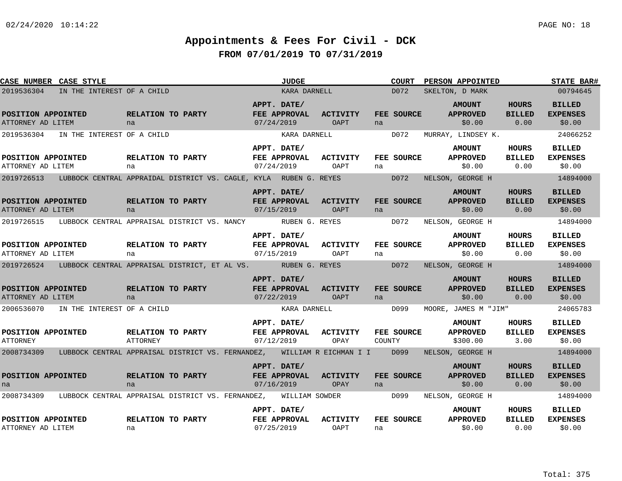| CASE NUMBER CASE STYLE                                                                                 |                            |                                        |                                                                   |            | <b>JUDGE</b>                       |                                      |                   | <b>COURT</b>      | <b>PERSON APPOINTED</b>                      |                                                                                                    | <b>STATE BAR#</b>                          |
|--------------------------------------------------------------------------------------------------------|----------------------------|----------------------------------------|-------------------------------------------------------------------|------------|------------------------------------|--------------------------------------|-------------------|-------------------|----------------------------------------------|----------------------------------------------------------------------------------------------------|--------------------------------------------|
| 2019536304                                                                                             | IN THE INTEREST OF A CHILD |                                        |                                                                   |            |                                    | KARA DARNELL                         |                   | D072              | SKELTON, D MARK                              |                                                                                                    | 00794645                                   |
| POSITION APPOINTED<br>ATTORNEY AD LITEM                                                                |                            | RELATION TO PARTY<br>na na             |                                                                   | 07/24/2019 | APPT. DATE/                        | FEE APPROVAL ACTIVITY<br>OAPT        | na                | FEE SOURCE        | <b>AMOUNT</b><br><b>EXAPPROVED</b><br>\$0.00 | <b>HOURS</b><br><b>BILLED</b><br>$\begin{array}{ccc} & & 0.00 \end{array}$                         | <b>BILLED</b><br><b>EXPENSES</b><br>\$0.00 |
| 2019536304 IN THE INTEREST OF A CHILD                                                                  |                            |                                        |                                                                   |            | KARA DARNELL                       |                                      | D072              |                   |                                              |                                                                                                    | MURRAY, LINDSEY K. 24066252                |
| POSITION APPOINTED<br>ATTORNEY AD LITEM                                                                |                            | na                                     | <b>RELATION TO PARTY</b>                                          | 07/24/2019 | APPT. DATE/<br><b>FEE APPROVAL</b> | <b>ACTIVITY</b><br>OAPT              | na                | <b>FEE SOURCE</b> | <b>AMOUNT</b><br><b>APPROVED</b><br>\$0.00   | HOURS<br><b>BILLED</b><br>0.00                                                                     | <b>BILLED</b><br><b>EXPENSES</b><br>\$0.00 |
| 2019726513                                                                                             |                            |                                        | LUBBOCK CENTRAL APPRAIDAL DISTRICT VS. CAGLE, KYLA RUBEN G. REYES |            |                                    |                                      | $\overline{D}072$ |                   | NELSON, GEORGE H                             |                                                                                                    | 14894000                                   |
| POSITION APPOINTED<br>ATTORNEY AD LITEM                                                                |                            | na                                     | RELATION TO PARTY                                                 | 07/15/2019 | APPT. DATE/                        | FEE APPROVAL ACTIVITY<br>OAPT        | na                | FEE SOURCE        | <b>AMOUNT</b><br><b>APPROVED</b><br>\$0.00   | <b>HOURS</b><br><b>BILLED</b><br>$\begin{array}{ c c c c c }\n\hline\n0.00 \\ \hline\n\end{array}$ | <b>BILLED</b><br><b>EXPENSES</b><br>\$0.00 |
| 2019726515 LUBBOCK CENTRAL APPRAISAL DISTRICT VS. NANCY RUBEN G. REYES                                 |                            |                                        |                                                                   |            |                                    |                                      | D072              |                   | NELSON, GEORGE H                             |                                                                                                    | 14894000                                   |
| POSITION APPOINTED<br>ATTORNEY AD LITEM                                                                |                            | <b>RELATION TO PARTY</b><br>na         |                                                                   | 07/15/2019 | APPT. DATE/<br><b>FEE APPROVAL</b> | <b>ACTIVITY</b><br>OAPT              | na                | <b>FEE SOURCE</b> | <b>AMOUNT</b><br><b>APPROVED</b><br>\$0.00   | <b>HOURS</b><br>BILLED<br>0.00                                                                     | <b>BILLED</b><br><b>EXPENSES</b><br>\$0.00 |
| 2019726524 LUBBOCK CENTRAL APPRAISAL DISTRICT, ET AL VS. RUBEN G. REYES DO72 NELSON, GEORGE H 14894000 |                            |                                        |                                                                   |            |                                    |                                      |                   |                   |                                              |                                                                                                    |                                            |
| POSITION APPOINTED<br>ATTORNEY AD LITEM                                                                |                            | <b>EXAMPLE RELATION TO PARTY</b><br>na |                                                                   | 07/22/2019 | APPT. DATE/                        | FEE APPROVAL ACTIVITY<br><b>OAPT</b> | na                | FEE SOURCE        | <b>AMOUNT</b><br><b>APPROVED</b><br>\$0.00   | <b>HOURS</b><br><b>BILLED</b><br>0.00                                                              | <b>BILLED</b><br><b>EXPENSES</b><br>\$0.00 |
| 2006536070 IN THE INTEREST OF A CHILD                                                                  |                            |                                        |                                                                   |            | KARA DARNELL                       |                                      |                   |                   | D099 MOORE, JAMES M "JIM"                    |                                                                                                    | 24065783                                   |
| POSITION APPOINTED<br>ATTORNEY                                                                         |                            | ATTORNEY                               | <b>RELATION TO PARTY</b>                                          | 07/12/2019 | APPT. DATE/<br>FEE APPROVAL        | ACTIVITY<br>OPAY                     | COUNTY            | <b>FEE SOURCE</b> | <b>AMOUNT</b><br><b>APPROVED</b><br>\$300.00 | <b>HOURS</b><br><b>BILLED</b><br>3.00                                                              | <b>BILLED</b><br><b>EXPENSES</b><br>\$0.00 |
| 2008734309 LUBBOCK CENTRAL APPRAISAL DISTRICT VS. FERNANDEZ, WILLIAM R EICHMAN I I D099                |                            |                                        |                                                                   |            |                                    |                                      |                   |                   | NELSON, GEORGE H                             |                                                                                                    | 14894000                                   |
| POSITION APPOINTED<br>na                                                                               |                            | <b>RELATION TO PARTY</b><br>na         |                                                                   | 07/16/2019 | APPT. DATE/<br><b>FEE APPROVAL</b> | <b>ACTIVITY</b><br>OPAY              | na na ma          | <b>FEE SOURCE</b> | <b>AMOUNT</b><br><b>APPROVED</b><br>\$0.00   | <b>HOURS</b><br><b>BILLED</b><br>0.00                                                              | <b>BILLED</b><br><b>EXPENSES</b><br>\$0.00 |
| 2008734309 LUBBOCK CENTRAL APPRAISAL DISTRICT VS. FERNANDEZ, WILLIAM SOWDER DO99 NELSON, GEORGE H      |                            |                                        |                                                                   |            |                                    |                                      |                   |                   |                                              |                                                                                                    | 14894000                                   |
| POSITION APPOINTED<br>ATTORNEY AD LITEM                                                                |                            | na                                     | RELATION TO PARTY                                                 | 07/25/2019 | APPT. DATE/                        | FEE APPROVAL ACTIVITY<br>OAPT        | na na             | FEE SOURCE        | <b>AMOUNT</b><br><b>APPROVED</b><br>\$0.00   | HOURS<br><b>BILLED</b><br>0.00                                                                     | BILLED<br><b>EXPENSES</b><br>\$0.00        |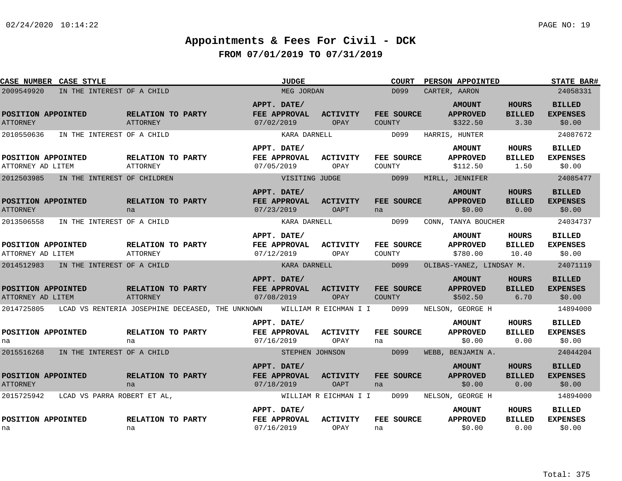| <b>CASE NUMBER CASE STYLE</b>           |                                                  | <b>JUDGE</b>                                                                | <b>COURT</b>                | <b>PERSON APPOINTED</b>                                                                | <b>STATE BAR#</b>                          |
|-----------------------------------------|--------------------------------------------------|-----------------------------------------------------------------------------|-----------------------------|----------------------------------------------------------------------------------------|--------------------------------------------|
| 2009549920                              | IN THE INTEREST OF A CHILD                       | MEG JORDAN                                                                  | D099                        | CARTER, AARON                                                                          | 24058331                                   |
| POSITION APPOINTED<br><b>ATTORNEY</b>   | RELATION TO PARTY<br>ATTORNEY                    | APPT. DATE/<br>FEE APPROVAL<br><b>ACTIVITY</b><br>07/02/2019<br>OPAY        | <b>FEE SOURCE</b><br>COUNTY | <b>HOURS</b><br><b>AMOUNT</b><br><b>APPROVED</b><br><b>BILLED</b><br>3.30<br>\$322.50  | <b>BILLED</b><br><b>EXPENSES</b><br>\$0.00 |
| 2010550636                              | IN THE INTEREST OF A CHILD                       | KARA DARNELL                                                                | D099                        | HARRIS, HUNTER                                                                         | 24087672                                   |
| POSITION APPOINTED<br>ATTORNEY AD LITEM | RELATION TO PARTY<br>ATTORNEY                    | APPT. DATE/<br>FEE APPROVAL<br><b>ACTIVITY</b><br>07/05/2019<br>OPAY        | FEE SOURCE<br>COUNTY        | HOURS<br><b>AMOUNT</b><br><b>BILLED</b><br><b>APPROVED</b><br>\$112.50<br>1.50         | <b>BILLED</b><br><b>EXPENSES</b><br>\$0.00 |
| 2012503985                              | IN THE INTEREST OF CHILDREN                      | VISITING JUDGE                                                              | D099                        | MIRLL, JENNIFER                                                                        | 24085477                                   |
| POSITION APPOINTED<br><b>ATTORNEY</b>   | RELATION TO PARTY<br>na                          | APPT. DATE/<br>FEE APPROVAL<br><b>ACTIVITY</b><br>07/23/2019<br>OAPT        | FEE SOURCE<br>na            | <b>AMOUNT</b><br>HOURS<br><b>APPROVED</b><br><b>BILLED</b><br>\$0.00<br>0.00           | <b>BILLED</b><br><b>EXPENSES</b><br>\$0.00 |
| 2013506558                              | IN THE INTEREST OF A CHILD                       | KARA DARNELL                                                                | D099                        | CONN, TANYA BOUCHER                                                                    | 24034737                                   |
| POSITION APPOINTED<br>ATTORNEY AD LITEM | RELATION TO PARTY<br>ATTORNEY                    | APPT. DATE/<br><b>FEE APPROVAL</b><br><b>ACTIVITY</b><br>07/12/2019<br>OPAY | FEE SOURCE<br>COUNTY        | <b>AMOUNT</b><br><b>HOURS</b><br><b>APPROVED</b><br><b>BILLED</b><br>\$780.00<br>10.40 | <b>BILLED</b><br><b>EXPENSES</b><br>\$0.00 |
| 2014512983                              | IN THE INTEREST OF A CHILD                       | KARA DARNELL                                                                | D099                        | OLIBAS-YANEZ, LINDSAY M.                                                               | 24071119                                   |
| POSITION APPOINTED<br>ATTORNEY AD LITEM | RELATION TO PARTY<br>ATTORNEY                    | APPT. DATE/<br>FEE APPROVAL<br><b>ACTIVITY</b><br>07/08/2019<br>OPAY        | FEE SOURCE<br><b>COUNTY</b> | <b>AMOUNT</b><br>HOURS<br><b>BILLED</b><br><b>APPROVED</b><br>6.70<br>\$502.50         | <b>BILLED</b><br><b>EXPENSES</b><br>\$0.00 |
| 2014725805                              | LCAD VS RENTERIA JOSEPHINE DECEASED, THE UNKNOWN | WILLIAM R EICHMAN I I                                                       | D099                        | NELSON, GEORGE H                                                                       | 14894000                                   |
| POSITION APPOINTED<br>na                | RELATION TO PARTY<br>na                          | APPT. DATE/<br>FEE APPROVAL<br><b>ACTIVITY</b><br>07/16/2019<br>OPAY        | FEE SOURCE<br>na            | <b>AMOUNT</b><br><b>HOURS</b><br><b>APPROVED</b><br><b>BILLED</b><br>\$0.00<br>0.00    | <b>BILLED</b><br><b>EXPENSES</b><br>\$0.00 |
| 2015516268                              | IN THE INTEREST OF A CHILD                       | STEPHEN JOHNSON                                                             | D099                        | WEBB, BENJAMIN A.                                                                      | 24044204                                   |
| POSITION APPOINTED<br><b>ATTORNEY</b>   | RELATION TO PARTY<br>na                          | APPT. DATE/<br>FEE APPROVAL<br><b>ACTIVITY</b><br>07/18/2019<br>OAPT        | FEE SOURCE<br>na            | <b>AMOUNT</b><br><b>HOURS</b><br><b>APPROVED</b><br><b>BILLED</b><br>\$0.00<br>0.00    | <b>BILLED</b><br><b>EXPENSES</b><br>\$0.00 |
| 2015725942                              | LCAD VS PARRA ROBERT ET AL.                      | WILLIAM R EICHMAN I I                                                       | D099                        | NELSON, GEORGE H                                                                       | 14894000                                   |
| POSITION APPOINTED<br>na                | RELATION TO PARTY<br>na                          | APPT. DATE/<br>FEE APPROVAL<br><b>ACTIVITY</b><br>07/16/2019<br>OPAY        | FEE SOURCE<br>na            | <b>HOURS</b><br><b>AMOUNT</b><br><b>APPROVED</b><br><b>BILLED</b><br>\$0.00<br>0.00    | <b>BILLED</b><br><b>EXPENSES</b><br>\$0.00 |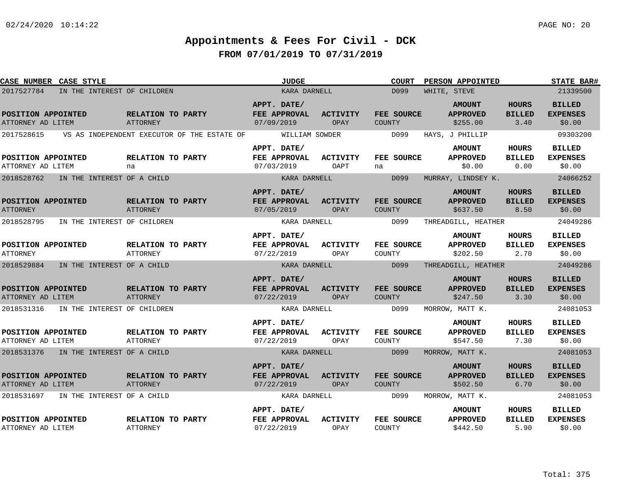| CASE NUMBER CASE STYLE                    |                                             | <b>JUDGE</b>                                     |                         | <b>COURT</b>                | PERSON APPOINTED                             |                                       | <b>STATE BAR#</b>                          |
|-------------------------------------------|---------------------------------------------|--------------------------------------------------|-------------------------|-----------------------------|----------------------------------------------|---------------------------------------|--------------------------------------------|
| 2017527784<br>IN THE INTEREST OF CHILDREN |                                             | KARA DARNELL                                     |                         | D099                        | WHITE, STEVE                                 |                                       | 21339500                                   |
| POSITION APPOINTED<br>ATTORNEY AD LITEM   | <b>RELATION TO PARTY</b><br>ATTORNEY        | APPT. DATE/<br>FEE APPROVAL<br>07/09/2019        | <b>ACTIVITY</b><br>OPAY | FEE SOURCE<br><b>COUNTY</b> | <b>AMOUNT</b><br><b>APPROVED</b><br>\$255.00 | <b>HOURS</b><br><b>BILLED</b><br>3.40 | <b>BILLED</b><br><b>EXPENSES</b><br>\$0.00 |
| 2017528615                                | VS AS INDEPENDENT EXECUTOR OF THE ESTATE OF | WILLIAM SOWDER                                   |                         | D099                        | HAYS, J PHILLIP                              |                                       | 09303200                                   |
| POSITION APPOINTED<br>ATTORNEY AD LITEM   | RELATION TO PARTY<br>na                     | APPT. DATE/<br>FEE APPROVAL<br>07/03/2019        | <b>ACTIVITY</b><br>OAPT | FEE SOURCE<br>na            | <b>AMOUNT</b><br><b>APPROVED</b><br>\$0.00   | HOURS<br><b>BILLED</b><br>0.00        | <b>BILLED</b><br><b>EXPENSES</b><br>\$0.00 |
| 2018528762<br>IN THE INTEREST OF A CHILD  |                                             | KARA DARNELL                                     |                         | D099                        | MURRAY, LINDSEY K.                           |                                       | 24066252                                   |
| POSITION APPOINTED<br><b>ATTORNEY</b>     | RELATION TO PARTY<br>ATTORNEY               | APPT. DATE/<br><b>FEE APPROVAL</b><br>07/05/2019 | ACTIVITY<br>OPAY        | FEE SOURCE<br><b>COUNTY</b> | <b>AMOUNT</b><br><b>APPROVED</b><br>\$637.50 | <b>HOURS</b><br><b>BILLED</b><br>8.50 | <b>BILLED</b><br><b>EXPENSES</b><br>\$0.00 |
| 2018528795<br>IN THE INTEREST OF CHILDREN |                                             | KARA DARNELL                                     |                         | D099                        | THREADGILL, HEATHER                          |                                       | 24049286                                   |
| POSITION APPOINTED<br><b>ATTORNEY</b>     | RELATION TO PARTY<br>ATTORNEY               | APPT. DATE/<br>FEE APPROVAL<br>07/22/2019        | <b>ACTIVITY</b><br>OPAY | FEE SOURCE<br>COUNTY        | <b>AMOUNT</b><br><b>APPROVED</b><br>\$202.50 | <b>HOURS</b><br><b>BILLED</b><br>2.70 | <b>BILLED</b><br><b>EXPENSES</b><br>\$0.00 |
| 2018529884<br>IN THE INTEREST OF A CHILD  |                                             | KARA DARNELL                                     |                         | D099                        | THREADGILL, HEATHER                          |                                       | 24049286                                   |
| POSITION APPOINTED<br>ATTORNEY AD LITEM   | RELATION TO PARTY<br>ATTORNEY               | APPT. DATE/<br>FEE APPROVAL<br>07/22/2019        | <b>ACTIVITY</b><br>OPAY | FEE SOURCE<br><b>COUNTY</b> | <b>AMOUNT</b><br><b>APPROVED</b><br>\$247.50 | <b>HOURS</b><br><b>BILLED</b><br>3.30 | <b>BILLED</b><br><b>EXPENSES</b><br>\$0.00 |
| 2018531316<br>IN THE INTEREST OF CHILDREN |                                             | KARA DARNELL                                     |                         | D099                        | MORROW, MATT K.                              |                                       | 24081053                                   |
| POSITION APPOINTED<br>ATTORNEY AD LITEM   | <b>RELATION TO PARTY</b><br>ATTORNEY        | APPT. DATE/<br>FEE APPROVAL<br>07/22/2019        | <b>ACTIVITY</b><br>OPAY | FEE SOURCE<br>COUNTY        | <b>AMOUNT</b><br><b>APPROVED</b><br>\$547.50 | <b>HOURS</b><br><b>BILLED</b><br>7.30 | <b>BILLED</b><br><b>EXPENSES</b><br>\$0.00 |
| 2018531376 IN THE INTEREST OF A CHILD     |                                             | KARA DARNELL                                     |                         | D099                        | MORROW, MATT K.                              |                                       | 24081053                                   |
| POSITION APPOINTED<br>ATTORNEY AD LITEM   | RELATION TO PARTY<br>ATTORNEY               | APPT. DATE/<br>FEE APPROVAL<br>07/22/2019        | <b>ACTIVITY</b><br>OPAY | FEE SOURCE<br><b>COUNTY</b> | <b>AMOUNT</b><br><b>APPROVED</b><br>\$502.50 | <b>HOURS</b><br><b>BILLED</b><br>6.70 | <b>BILLED</b><br><b>EXPENSES</b><br>\$0.00 |
| 2018531697 IN THE INTEREST OF A CHILD     |                                             | KARA DARNELL                                     |                         | D099                        | MORROW, MATT K.                              |                                       | 24081053                                   |
| POSITION APPOINTED<br>ATTORNEY AD LITEM   | RELATION TO PARTY<br><b>ATTORNEY</b>        | APPT. DATE/<br>FEE APPROVAL<br>07/22/2019        | <b>ACTIVITY</b><br>OPAY | FEE SOURCE<br>COUNTY        | <b>AMOUNT</b><br><b>APPROVED</b><br>\$442.50 | HOURS<br><b>BILLED</b><br>5.90        | <b>BILLED</b><br><b>EXPENSES</b><br>\$0.00 |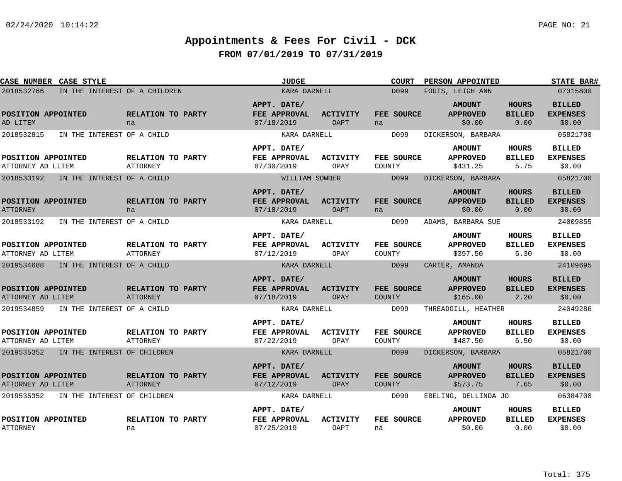| CASE NUMBER CASE STYLE                      |                                      | <b>JUDGE</b>                              |                         | <b>COURT</b>                | PERSON APPOINTED                             |                                       | <b>STATE BAR#</b>                          |
|---------------------------------------------|--------------------------------------|-------------------------------------------|-------------------------|-----------------------------|----------------------------------------------|---------------------------------------|--------------------------------------------|
| IN THE INTEREST OF A CHILDREN<br>2018532766 |                                      | KARA DARNELL                              |                         | D099                        | FOUTS, LEIGH ANN                             |                                       | 07315800                                   |
| POSITION APPOINTED<br>AD LITEM              | RELATION TO PARTY<br>na              | APPT. DATE/<br>FEE APPROVAL<br>07/18/2019 | <b>ACTIVITY</b><br>OAPT | FEE SOURCE<br>na            | <b>AMOUNT</b><br><b>APPROVED</b><br>\$0.00   | <b>HOURS</b><br><b>BILLED</b><br>0.00 | <b>BILLED</b><br><b>EXPENSES</b><br>\$0.00 |
| IN THE INTEREST OF A CHILD<br>2018532815    |                                      | KARA DARNELL                              |                         | D099                        | DICKERSON, BARBARA                           |                                       | 05821700                                   |
| POSITION APPOINTED<br>ATTORNEY AD LITEM     | RELATION TO PARTY<br><b>ATTORNEY</b> | APPT. DATE/<br>FEE APPROVAL<br>07/30/2019 | <b>ACTIVITY</b><br>OPAY | FEE SOURCE<br>COUNTY        | <b>AMOUNT</b><br><b>APPROVED</b><br>\$431.25 | HOURS<br><b>BILLED</b><br>5.75        | <b>BILLED</b><br><b>EXPENSES</b><br>\$0.00 |
| 2018533192<br>IN THE INTEREST OF A CHILD    |                                      | WILLIAM SOWDER                            |                         | D099                        | DICKERSON, BARBARA                           |                                       | 05821700                                   |
| POSITION APPOINTED<br><b>ATTORNEY</b>       | RELATION TO PARTY<br>na              | APPT. DATE/<br>FEE APPROVAL<br>07/18/2019 | <b>ACTIVITY</b><br>OAPT | FEE SOURCE<br>na            | <b>AMOUNT</b><br><b>APPROVED</b><br>\$0.00   | <b>HOURS</b><br><b>BILLED</b><br>0.00 | <b>BILLED</b><br><b>EXPENSES</b><br>\$0.00 |
| 2018533192<br>IN THE INTEREST OF A CHILD    |                                      | KARA DARNELL                              |                         | D099                        | ADAMS, BARBARA SUE                           |                                       | 24009855                                   |
| POSITION APPOINTED<br>ATTORNEY AD LITEM     | RELATION TO PARTY<br><b>ATTORNEY</b> | APPT. DATE/<br>FEE APPROVAL<br>07/12/2019 | ACTIVITY<br>OPAY        | FEE SOURCE<br>COUNTY        | <b>AMOUNT</b><br><b>APPROVED</b><br>\$397.50 | <b>HOURS</b><br><b>BILLED</b><br>5.30 | <b>BILLED</b><br><b>EXPENSES</b><br>\$0.00 |
| 2019534688<br>IN THE INTEREST OF A CHILD    |                                      | KARA DARNELL                              |                         | D099                        | CARTER, AMANDA                               |                                       | 24109695                                   |
| POSITION APPOINTED<br>ATTORNEY AD LITEM     | RELATION TO PARTY<br><b>ATTORNEY</b> | APPT. DATE/<br>FEE APPROVAL<br>07/18/2019 | <b>ACTIVITY</b><br>OPAY | FEE SOURCE<br><b>COUNTY</b> | <b>AMOUNT</b><br><b>APPROVED</b><br>\$165.00 | <b>HOURS</b><br><b>BILLED</b><br>2.20 | <b>BILLED</b><br><b>EXPENSES</b><br>\$0.00 |
| 2019534859<br>IN THE INTEREST OF A CHILD    |                                      | KARA DARNELL                              |                         | D099                        | THREADGILL, HEATHER                          |                                       | 24049286                                   |
| POSITION APPOINTED<br>ATTORNEY AD LITEM     | RELATION TO PARTY<br>ATTORNEY        | APPT. DATE/<br>FEE APPROVAL<br>07/22/2019 | <b>ACTIVITY</b><br>OPAY | FEE SOURCE<br>COUNTY        | <b>AMOUNT</b><br><b>APPROVED</b><br>\$487.50 | <b>HOURS</b><br><b>BILLED</b><br>6.50 | <b>BILLED</b><br><b>EXPENSES</b><br>\$0.00 |
| 2019535352<br>IN THE INTEREST OF CHILDREN   |                                      | KARA DARNELL                              |                         | D099                        | DICKERSON, BARBARA                           |                                       | 05821700                                   |
| POSITION APPOINTED<br>ATTORNEY AD LITEM     | RELATION TO PARTY<br>ATTORNEY        | APPT. DATE/<br>FEE APPROVAL<br>07/12/2019 | <b>ACTIVITY</b><br>OPAY | FEE SOURCE<br><b>COUNTY</b> | <b>AMOUNT</b><br><b>APPROVED</b><br>\$573.75 | <b>HOURS</b><br><b>BILLED</b><br>7.65 | <b>BILLED</b><br><b>EXPENSES</b><br>\$0.00 |
| 2019535352<br>IN THE INTEREST OF CHILDREN   |                                      | KARA DARNELL                              |                         | D099                        | EBELING, DELLINDA JO                         |                                       | 06384700                                   |
| POSITION APPOINTED<br><b>ATTORNEY</b>       | RELATION TO PARTY<br>na              | APPT. DATE/<br>FEE APPROVAL<br>07/25/2019 | <b>ACTIVITY</b><br>OAPT | FEE SOURCE<br>na            | <b>AMOUNT</b><br><b>APPROVED</b><br>\$0.00   | HOURS<br><b>BILLED</b><br>0.00        | <b>BILLED</b><br><b>EXPENSES</b><br>\$0.00 |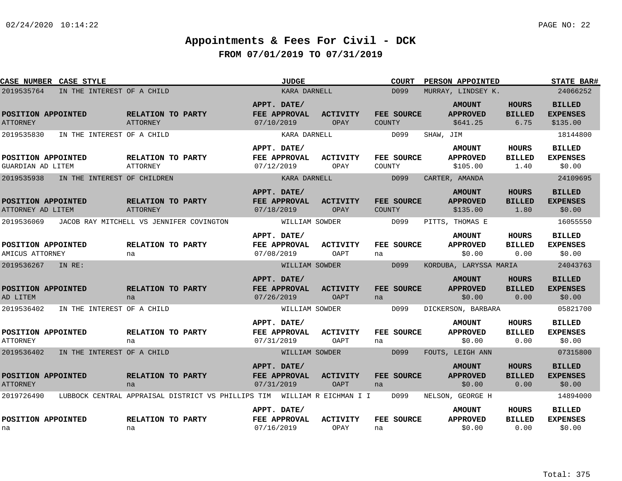| <b>CASE STYLE</b><br><b>CASE NUMBER</b> |                                                    | <b>JUDGE</b>                                                                       | <b>COURT</b>                | PERSON APPOINTED                             |                                       | <b>STATE BAR#</b>                            |
|-----------------------------------------|----------------------------------------------------|------------------------------------------------------------------------------------|-----------------------------|----------------------------------------------|---------------------------------------|----------------------------------------------|
| 2019535764                              | IN THE INTEREST OF A CHILD                         | KARA DARNELL                                                                       | D099                        | MURRAY, LINDSEY K.                           |                                       | 24066252                                     |
| POSITION APPOINTED<br><b>ATTORNEY</b>   | RELATION TO PARTY<br><b>ATTORNEY</b>               | APPT. DATE/<br>FEE APPROVAL<br><b>ACTIVITY</b><br>07/10/2019<br>OPAY               | FEE SOURCE<br><b>COUNTY</b> | <b>AMOUNT</b><br><b>APPROVED</b><br>\$641.25 | <b>HOURS</b><br><b>BILLED</b><br>6.75 | <b>BILLED</b><br><b>EXPENSES</b><br>\$135.00 |
| 2019535830                              | IN THE INTEREST OF A CHILD                         | KARA DARNELL                                                                       | D099                        | SHAW, JIM                                    |                                       | 18144800                                     |
| POSITION APPOINTED<br>GUARDIAN AD LITEM | RELATION TO PARTY<br><b>ATTORNEY</b>               | APPT. DATE/<br>FEE APPROVAL<br>ACTIVITY<br>07/12/2019<br>OPAY                      | FEE SOURCE<br>COUNTY        | <b>AMOUNT</b><br><b>APPROVED</b><br>\$105.00 | <b>HOURS</b><br><b>BILLED</b><br>1.40 | <b>BILLED</b><br><b>EXPENSES</b><br>\$0.00   |
| 2019535938                              | IN THE INTEREST OF CHILDREN                        | KARA DARNELL                                                                       | D099                        | CARTER, AMANDA                               |                                       | 24109695                                     |
| POSITION APPOINTED<br>ATTORNEY AD LITEM | RELATION TO PARTY<br>ATTORNEY                      | APPT. DATE/<br><b>FEE APPROVAL</b><br><b>ACTIVITY</b><br>07/18/2019<br>OPAY        | FEE SOURCE<br><b>COUNTY</b> | <b>AMOUNT</b><br><b>APPROVED</b><br>\$135.00 | <b>HOURS</b><br><b>BILLED</b><br>1.80 | <b>BILLED</b><br><b>EXPENSES</b><br>\$0.00   |
| 2019536069                              | JACOB RAY MITCHELL VS JENNIFER COVINGTON           | WILLIAM SOWDER                                                                     | D099                        | PITTS, THOMAS E                              |                                       | 16055550                                     |
| POSITION APPOINTED<br>AMICUS ATTORNEY   | RELATION TO PARTY<br>na                            | APPT. DATE/<br>FEE APPROVAL<br>ACTIVITY<br>07/08/2019<br>OAPT                      | FEE SOURCE<br>na            | <b>AMOUNT</b><br><b>APPROVED</b><br>\$0.00   | <b>HOURS</b><br><b>BILLED</b><br>0.00 | <b>BILLED</b><br><b>EXPENSES</b><br>\$0.00   |
| 2019536267<br>IN RE:                    |                                                    | WILLIAM SOWDER                                                                     | D099                        | KORDUBA, LARYSSA MARIA                       |                                       | 24043763                                     |
| POSITION APPOINTED<br>AD LITEM          | RELATION TO PARTY<br>na                            | APPT. DATE/<br>FEE APPROVAL<br><b>ACTIVITY</b><br>07/26/2019<br><b>OAPT</b>        | FEE SOURCE<br>na            | <b>AMOUNT</b><br><b>APPROVED</b><br>\$0.00   | HOURS<br><b>BILLED</b><br>0.00        | <b>BILLED</b><br><b>EXPENSES</b><br>\$0.00   |
| 2019536402                              | IN THE INTEREST OF A CHILD                         | WILLIAM SOWDER                                                                     | D099                        | DICKERSON, BARBARA                           |                                       | 05821700                                     |
| POSITION APPOINTED<br>ATTORNEY          | RELATION TO PARTY<br>na                            | APPT. DATE/<br>FEE APPROVAL<br><b>ACTIVITY</b><br>07/31/2019<br>OAPT               | FEE SOURCE<br>na            | <b>AMOUNT</b><br><b>APPROVED</b><br>\$0.00   | <b>HOURS</b><br><b>BILLED</b><br>0.00 | <b>BILLED</b><br><b>EXPENSES</b><br>\$0.00   |
| 2019536402                              | IN THE INTEREST OF A CHILD                         | WILLIAM SOWDER                                                                     | D099                        | FOUTS, LEIGH ANN                             |                                       | 07315800                                     |
| POSITION APPOINTED<br><b>ATTORNEY</b>   | RELATION TO PARTY<br>na                            | APPT. DATE/<br><b>FEE APPROVAL</b><br><b>ACTIVITY</b><br>07/31/2019<br><b>OAPT</b> | FEE SOURCE<br>na            | <b>AMOUNT</b><br><b>APPROVED</b><br>\$0.00   | <b>HOURS</b><br><b>BILLED</b><br>0.00 | <b>BILLED</b><br><b>EXPENSES</b><br>\$0.00   |
| 2019726490                              | LUBBOCK CENTRAL APPRAISAL DISTRICT VS PHILLIPS TIM | WILLIAM R EICHMAN I I                                                              | D099                        | NELSON, GEORGE H                             |                                       | 14894000                                     |
| POSITION APPOINTED<br>na                | RELATION TO PARTY<br>na                            | APPT. DATE/<br>FEE APPROVAL<br><b>ACTIVITY</b><br>OPAY<br>07/16/2019               | FEE SOURCE<br>na            | <b>AMOUNT</b><br><b>APPROVED</b><br>\$0.00   | HOURS<br><b>BILLED</b><br>0.00        | BILLED<br><b>EXPENSES</b><br>\$0.00          |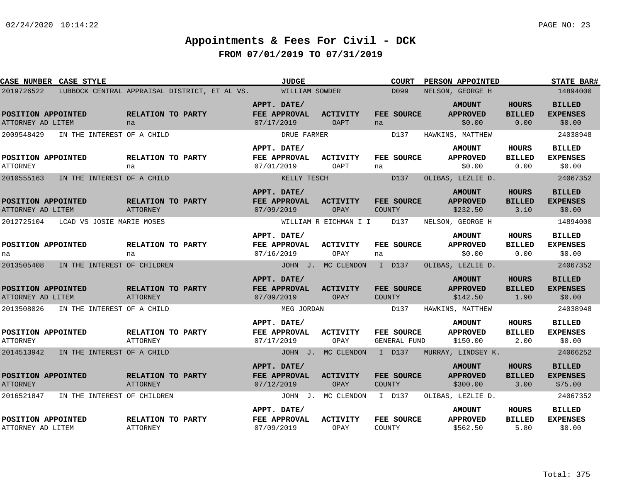| CASE NUMBER CASE STYLE                  |                             |                                      |                                               | <b>JUDGE</b>                              |                                | <b>COURT</b>                       | <b>PERSON APPOINTED</b>                      |                                       | <b>STATE BAR#</b>                           |
|-----------------------------------------|-----------------------------|--------------------------------------|-----------------------------------------------|-------------------------------------------|--------------------------------|------------------------------------|----------------------------------------------|---------------------------------------|---------------------------------------------|
| 2019726522                              |                             |                                      | LUBBOCK CENTRAL APPRAISAL DISTRICT, ET AL VS. | WILLIAM SOWDER                            |                                | D099                               | NELSON, GEORGE H                             |                                       | 14894000                                    |
| POSITION APPOINTED<br>ATTORNEY AD LITEM |                             | RELATION TO PARTY<br>na              |                                               | APPT. DATE/<br>FEE APPROVAL<br>07/17/2019 | <b>ACTIVITY</b><br><b>OAPT</b> | FEE SOURCE<br>na                   | <b>AMOUNT</b><br><b>APPROVED</b><br>\$0.00   | <b>HOURS</b><br><b>BILLED</b><br>0.00 | <b>BILLED</b><br><b>EXPENSES</b><br>\$0.00  |
| 2009548429                              | IN THE INTEREST OF A CHILD  |                                      |                                               | DRUE FARMER                               |                                | D137                               | HAWKINS, MATTHEW                             |                                       | 24038948                                    |
| POSITION APPOINTED<br>ATTORNEY          |                             | RELATION TO PARTY<br>na              |                                               | APPT. DATE/<br>FEE APPROVAL<br>07/01/2019 | <b>ACTIVITY</b><br>OAPT        | FEE SOURCE<br>na                   | <b>AMOUNT</b><br><b>APPROVED</b><br>\$0.00   | <b>HOURS</b><br><b>BILLED</b><br>0.00 | <b>BILLED</b><br><b>EXPENSES</b><br>\$0.00  |
| 2010555163                              | IN THE INTEREST OF A CHILD  |                                      |                                               | KELLY TESCH                               |                                | D137                               | OLIBAS, LEZLIE D.                            |                                       | 24067352                                    |
| POSITION APPOINTED<br>ATTORNEY AD LITEM |                             | RELATION TO PARTY<br>ATTORNEY        |                                               | APPT. DATE/<br>FEE APPROVAL<br>07/09/2019 | <b>ACTIVITY</b><br>OPAY        | FEE SOURCE<br><b>COUNTY</b>        | <b>AMOUNT</b><br><b>APPROVED</b><br>\$232.50 | <b>HOURS</b><br><b>BILLED</b><br>3.10 | <b>BILLED</b><br><b>EXPENSES</b><br>\$0.00  |
| 2012725104                              | LCAD VS JOSIE MARIE MOSES   |                                      |                                               |                                           | WILLIAM R EICHMAN I I          | D137                               | NELSON, GEORGE H                             |                                       | 14894000                                    |
| POSITION APPOINTED<br>na                |                             | RELATION TO PARTY<br>na              |                                               | APPT. DATE/<br>FEE APPROVAL<br>07/16/2019 | <b>ACTIVITY</b><br>OPAY        | FEE SOURCE<br>na                   | <b>AMOUNT</b><br><b>APPROVED</b><br>\$0.00   | HOURS<br><b>BILLED</b><br>0.00        | <b>BILLED</b><br><b>EXPENSES</b><br>\$0.00  |
| 2013505408                              | IN THE INTEREST OF CHILDREN |                                      |                                               |                                           | JOHN J. MC CLENDON             | I D137                             | OLIBAS, LEZLIE D.                            |                                       | 24067352                                    |
| POSITION APPOINTED<br>ATTORNEY AD LITEM |                             | RELATION TO PARTY<br><b>ATTORNEY</b> |                                               | APPT. DATE/<br>FEE APPROVAL<br>07/09/2019 | <b>ACTIVITY</b><br>OPAY        | <b>FEE SOURCE</b><br><b>COUNTY</b> | <b>AMOUNT</b><br><b>APPROVED</b><br>\$142.50 | <b>HOURS</b><br><b>BILLED</b><br>1.90 | <b>BILLED</b><br><b>EXPENSES</b><br>\$0.00  |
| 2013508026                              | IN THE INTEREST OF A CHILD  |                                      |                                               | MEG JORDAN                                |                                | D137                               | HAWKINS, MATTHEW                             |                                       | 24038948                                    |
| POSITION APPOINTED<br><b>ATTORNEY</b>   |                             | RELATION TO PARTY<br>ATTORNEY        |                                               | APPT. DATE/<br>FEE APPROVAL<br>07/17/2019 | <b>ACTIVITY</b><br>OPAY        | FEE SOURCE<br>GENERAL FUND         | <b>AMOUNT</b><br><b>APPROVED</b><br>\$150.00 | <b>HOURS</b><br><b>BILLED</b><br>2.00 | <b>BILLED</b><br><b>EXPENSES</b><br>\$0.00  |
| 2014513942                              | IN THE INTEREST OF A CHILD  |                                      |                                               |                                           | JOHN J. MC CLENDON             | I D137                             | MURRAY, LINDSEY K.                           |                                       | 24066252                                    |
| POSITION APPOINTED<br><b>ATTORNEY</b>   |                             | RELATION TO PARTY<br>ATTORNEY        |                                               | APPT. DATE/<br>FEE APPROVAL<br>07/12/2019 | <b>ACTIVITY</b><br>OPAY        | FEE SOURCE<br><b>COUNTY</b>        | <b>AMOUNT</b><br><b>APPROVED</b><br>\$300.00 | <b>HOURS</b><br><b>BILLED</b><br>3.00 | <b>BILLED</b><br><b>EXPENSES</b><br>\$75.00 |
| 2016521847                              | IN THE INTEREST OF CHILDREN |                                      |                                               |                                           | JOHN J. MC CLENDON             | I D137                             | OLIBAS, LEZLIE D.                            |                                       | 24067352                                    |
| POSITION APPOINTED<br>ATTORNEY AD LITEM |                             | RELATION TO PARTY<br><b>ATTORNEY</b> |                                               | APPT. DATE/<br>FEE APPROVAL<br>07/09/2019 | <b>ACTIVITY</b><br>OPAY        | FEE SOURCE<br>COUNTY               | <b>AMOUNT</b><br><b>APPROVED</b><br>\$562.50 | <b>HOURS</b><br><b>BILLED</b><br>5.80 | <b>BILLED</b><br><b>EXPENSES</b><br>\$0.00  |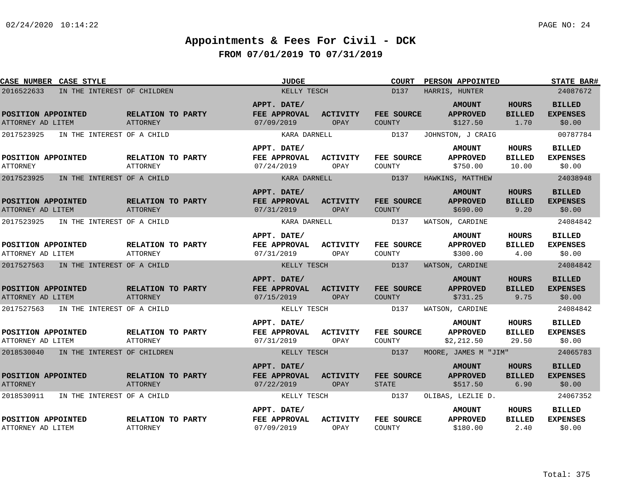| CASE NUMBER CASE STYLE                    |                                      | <b>JUDGE</b>                              |                         | <b>COURT</b>                | PERSON APPOINTED                               |                                       | <b>STATE BAR#</b>                          |
|-------------------------------------------|--------------------------------------|-------------------------------------------|-------------------------|-----------------------------|------------------------------------------------|---------------------------------------|--------------------------------------------|
| IN THE INTEREST OF CHILDREN<br>2016522633 |                                      | KELLY TESCH                               |                         | D137                        | HARRIS, HUNTER                                 |                                       | 24087672                                   |
| POSITION APPOINTED<br>ATTORNEY AD LITEM   | RELATION TO PARTY<br>ATTORNEY        | APPT. DATE/<br>FEE APPROVAL<br>07/09/2019 | <b>ACTIVITY</b><br>OPAY | FEE SOURCE<br>COUNTY        | <b>AMOUNT</b><br><b>APPROVED</b><br>\$127.50   | <b>HOURS</b><br><b>BILLED</b><br>1.70 | <b>BILLED</b><br><b>EXPENSES</b><br>\$0.00 |
| 2017523925<br>IN THE INTEREST OF A CHILD  |                                      | KARA DARNELL                              |                         | D137                        | JOHNSTON, J CRAIG                              |                                       | 00787784                                   |
| POSITION APPOINTED<br><b>ATTORNEY</b>     | RELATION TO PARTY<br><b>ATTORNEY</b> | APPT. DATE/<br>FEE APPROVAL<br>07/24/2019 | <b>ACTIVITY</b><br>OPAY | FEE SOURCE<br>COUNTY        | <b>AMOUNT</b><br><b>APPROVED</b><br>\$750.00   | HOURS<br><b>BILLED</b><br>10.00       | <b>BILLED</b><br><b>EXPENSES</b><br>\$0.00 |
| 2017523925<br>IN THE INTEREST OF A CHILD  |                                      | KARA DARNELL                              |                         | D137                        | HAWKINS, MATTHEW                               |                                       | 24038948                                   |
| POSITION APPOINTED<br>ATTORNEY AD LITEM   | RELATION TO PARTY<br>ATTORNEY        | APPT. DATE/<br>FEE APPROVAL<br>07/31/2019 | <b>ACTIVITY</b><br>OPAY | FEE SOURCE<br><b>COUNTY</b> | <b>AMOUNT</b><br><b>APPROVED</b><br>\$690.00   | <b>HOURS</b><br><b>BILLED</b><br>9.20 | <b>BILLED</b><br><b>EXPENSES</b><br>\$0.00 |
| 2017523925<br>IN THE INTEREST OF A CHILD  |                                      | KARA DARNELL                              |                         | D137                        | WATSON, CARDINE                                |                                       | 24084842                                   |
| POSITION APPOINTED<br>ATTORNEY AD LITEM   | RELATION TO PARTY<br>ATTORNEY        | APPT. DATE/<br>FEE APPROVAL<br>07/31/2019 | <b>ACTIVITY</b><br>OPAY | FEE SOURCE<br>COUNTY        | <b>AMOUNT</b><br><b>APPROVED</b><br>\$300.00   | <b>HOURS</b><br><b>BILLED</b><br>4.00 | <b>BILLED</b><br><b>EXPENSES</b><br>\$0.00 |
| 2017527563<br>IN THE INTEREST OF A CHILD  |                                      | KELLY TESCH                               |                         | D137                        | WATSON, CARDINE                                |                                       | 24084842                                   |
| POSITION APPOINTED<br>ATTORNEY AD LITEM   | RELATION TO PARTY<br><b>ATTORNEY</b> | APPT. DATE/<br>FEE APPROVAL<br>07/15/2019 | ACTIVITY<br>OPAY        | FEE SOURCE<br>COUNTY        | <b>AMOUNT</b><br><b>APPROVED</b><br>\$731.25   | <b>HOURS</b><br><b>BILLED</b><br>9.75 | <b>BILLED</b><br><b>EXPENSES</b><br>\$0.00 |
| 2017527563<br>IN THE INTEREST OF A CHILD  |                                      | KELLY TESCH                               |                         | D137                        | WATSON, CARDINE                                |                                       | 24084842                                   |
| POSITION APPOINTED<br>ATTORNEY AD LITEM   | RELATION TO PARTY<br>ATTORNEY        | APPT. DATE/<br>FEE APPROVAL<br>07/31/2019 | <b>ACTIVITY</b><br>OPAY | FEE SOURCE<br>COUNTY        | <b>AMOUNT</b><br><b>APPROVED</b><br>\$2,212.50 | HOURS<br><b>BILLED</b><br>29.50       | <b>BILLED</b><br><b>EXPENSES</b><br>\$0.00 |
| 2018530040 IN THE INTEREST OF CHILDREN    |                                      | KELLY TESCH                               |                         | D137                        | MOORE, JAMES M "JIM"                           |                                       | 24065783                                   |
| POSITION APPOINTED<br><b>ATTORNEY</b>     | RELATION TO PARTY<br><b>ATTORNEY</b> | APPT. DATE/<br>FEE APPROVAL<br>07/22/2019 | ACTIVITY<br>OPAY        | FEE SOURCE<br><b>STATE</b>  | <b>AMOUNT</b><br><b>APPROVED</b><br>\$517.50   | <b>HOURS</b><br><b>BILLED</b><br>6.90 | <b>BILLED</b><br><b>EXPENSES</b><br>\$0.00 |
| 2018530911<br>IN THE INTEREST OF A CHILD  |                                      | KELLY TESCH                               |                         | D137                        | OLIBAS, LEZLIE D.                              |                                       | 24067352                                   |
| POSITION APPOINTED<br>ATTORNEY AD LITEM   | RELATION TO PARTY<br><b>ATTORNEY</b> | APPT. DATE/<br>FEE APPROVAL<br>07/09/2019 | <b>ACTIVITY</b><br>OPAY | FEE SOURCE<br>COUNTY        | <b>AMOUNT</b><br><b>APPROVED</b><br>\$180.00   | HOURS<br><b>BILLED</b><br>2.40        | <b>BILLED</b><br><b>EXPENSES</b><br>\$0.00 |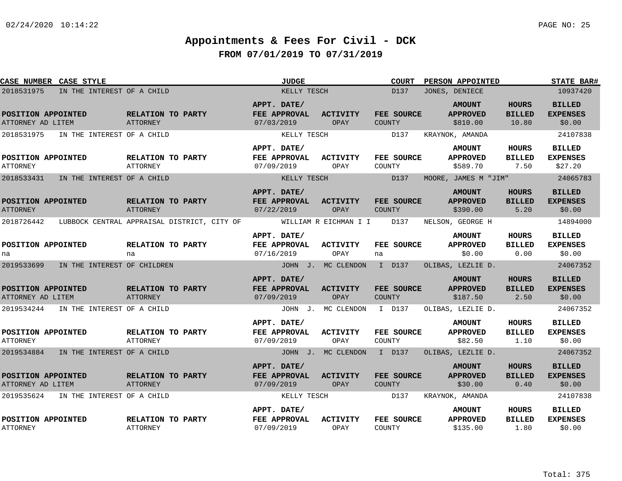| CASE NUMBER CASE STYLE                              |                            |                                      |                                             | <b>JUDGE</b>                                             |                         | <b>COURT</b>                 | PERSON APPOINTED                                                |                                        | <b>STATE BAR#</b>                                       |
|-----------------------------------------------------|----------------------------|--------------------------------------|---------------------------------------------|----------------------------------------------------------|-------------------------|------------------------------|-----------------------------------------------------------------|----------------------------------------|---------------------------------------------------------|
| 2018531975                                          | IN THE INTEREST OF A CHILD |                                      |                                             | KELLY TESCH                                              |                         | D137                         | JONES, DENIECE                                                  |                                        | 10937420                                                |
| POSITION APPOINTED<br>ATTORNEY AD LITEM             |                            | RELATION TO PARTY<br>ATTORNEY        |                                             | APPT. DATE/<br>FEE APPROVAL<br>07/03/2019                | <b>ACTIVITY</b><br>OPAY | FEE SOURCE<br><b>COUNTY</b>  | <b>AMOUNT</b><br><b>APPROVED</b><br>\$810.00                    | <b>HOURS</b><br><b>BILLED</b><br>10.80 | <b>BILLED</b><br><b>EXPENSES</b><br>\$0.00              |
| 2018531975<br>POSITION APPOINTED<br><b>ATTORNEY</b> | IN THE INTEREST OF A CHILD | RELATION TO PARTY<br><b>ATTORNEY</b> |                                             | KELLY TESCH<br>APPT. DATE/<br>FEE APPROVAL<br>07/09/2019 | <b>ACTIVITY</b><br>OPAY | D137<br>FEE SOURCE<br>COUNTY | KRAYNOK, AMANDA<br><b>AMOUNT</b><br><b>APPROVED</b><br>\$589.70 | HOURS<br><b>BILLED</b><br>7.50         | 24107838<br><b>BILLED</b><br><b>EXPENSES</b><br>\$27.20 |
| 2018533431                                          | IN THE INTEREST OF A CHILD |                                      |                                             | KELLY TESCH                                              |                         | D137                         | MOORE, JAMES M "JIM"                                            |                                        | 24065783                                                |
| POSITION APPOINTED<br><b>ATTORNEY</b>               |                            | RELATION TO PARTY<br>ATTORNEY        |                                             | APPT. DATE/<br>FEE APPROVAL<br>07/22/2019                | <b>ACTIVITY</b><br>OPAY | FEE SOURCE<br><b>COUNTY</b>  | <b>AMOUNT</b><br><b>APPROVED</b><br>\$390.00                    | <b>HOURS</b><br><b>BILLED</b><br>5.20  | <b>BILLED</b><br><b>EXPENSES</b><br>\$0.00              |
| 2018726442                                          |                            |                                      | LUBBOCK CENTRAL APPRAISAL DISTRICT, CITY OF |                                                          | WILLIAM R EICHMAN I I   | D137                         | NELSON, GEORGE H                                                |                                        | 14894000                                                |
| POSITION APPOINTED<br>na                            |                            | RELATION TO PARTY<br>na              |                                             | APPT. DATE/<br>FEE APPROVAL<br>07/16/2019                | <b>ACTIVITY</b><br>OPAY | FEE SOURCE<br>na             | <b>AMOUNT</b><br><b>APPROVED</b><br>\$0.00                      | <b>HOURS</b><br><b>BILLED</b><br>0.00  | <b>BILLED</b><br><b>EXPENSES</b><br>\$0.00              |
| 2019533699 IN THE INTEREST OF CHILDREN              |                            |                                      |                                             |                                                          | JOHN J. MC CLENDON      | I D137                       | OLIBAS, LEZLIE D.                                               |                                        | 24067352                                                |
| POSITION APPOINTED<br>ATTORNEY AD LITEM             |                            | RELATION TO PARTY<br>ATTORNEY        |                                             | APPT. DATE/<br>FEE APPROVAL<br>07/09/2019                | <b>ACTIVITY</b><br>OPAY | FEE SOURCE<br>COUNTY         | <b>AMOUNT</b><br><b>APPROVED</b><br>\$187.50                    | <b>HOURS</b><br><b>BILLED</b><br>2.50  | <b>BILLED</b><br><b>EXPENSES</b><br>\$0.00              |
| 2019534244                                          | IN THE INTEREST OF A CHILD |                                      |                                             |                                                          | JOHN J. MC CLENDON      | I D137                       | OLIBAS, LEZLIE D.                                               |                                        | 24067352                                                |
| POSITION APPOINTED<br><b>ATTORNEY</b>               |                            | RELATION TO PARTY<br>ATTORNEY        |                                             | APPT. DATE/<br>FEE APPROVAL<br>07/09/2019                | ACTIVITY<br>OPAY        | FEE SOURCE<br>COUNTY         | <b>AMOUNT</b><br><b>APPROVED</b><br>\$82.50                     | <b>HOURS</b><br><b>BILLED</b><br>1.10  | <b>BILLED</b><br><b>EXPENSES</b><br>\$0.00              |
| 2019534884                                          | IN THE INTEREST OF A CHILD |                                      |                                             |                                                          | JOHN J. MC CLENDON      | I D137                       | OLIBAS, LEZLIE D.                                               |                                        | 24067352                                                |
| POSITION APPOINTED<br>ATTORNEY AD LITEM             |                            | RELATION TO PARTY<br>ATTORNEY        |                                             | APPT. DATE/<br><b>FEE APPROVAL</b><br>07/09/2019         | <b>ACTIVITY</b><br>OPAY | FEE SOURCE<br><b>COUNTY</b>  | <b>AMOUNT</b><br><b>APPROVED</b><br>\$30.00                     | <b>HOURS</b><br><b>BILLED</b><br>0.40  | <b>BILLED</b><br><b>EXPENSES</b><br>\$0.00              |
| 2019535624                                          | IN THE INTEREST OF A CHILD |                                      |                                             | KELLY TESCH                                              |                         | D137                         | KRAYNOK, AMANDA                                                 |                                        | 24107838                                                |
| POSITION APPOINTED<br><b>ATTORNEY</b>               |                            | RELATION TO PARTY<br>ATTORNEY        |                                             | APPT. DATE/<br>FEE APPROVAL<br>07/09/2019                | <b>ACTIVITY</b><br>OPAY | FEE SOURCE<br>COUNTY         | <b>AMOUNT</b><br><b>APPROVED</b><br>\$135.00                    | <b>HOURS</b><br><b>BILLED</b><br>1.80  | <b>BILLED</b><br><b>EXPENSES</b><br>\$0.00              |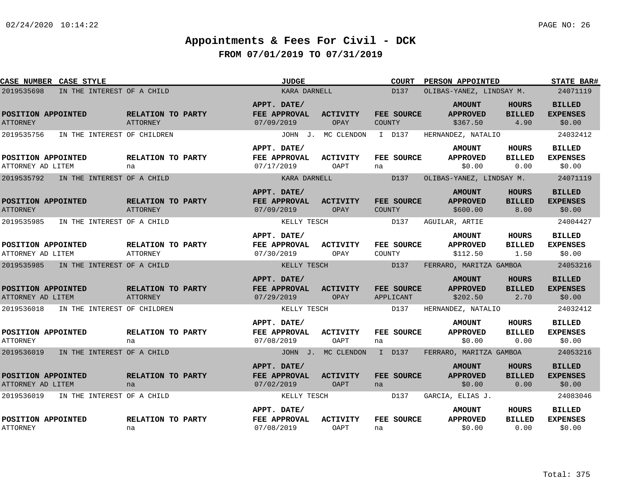| CASE NUMBER CASE STYLE                    |                                      | <b>JUDGE</b>                                     |                         | <b>COURT</b>                   | <b>PERSON APPOINTED</b>                      |                                       | <b>STATE BAR#</b>                          |
|-------------------------------------------|--------------------------------------|--------------------------------------------------|-------------------------|--------------------------------|----------------------------------------------|---------------------------------------|--------------------------------------------|
| 2019535698<br>IN THE INTEREST OF A CHILD  |                                      | KARA DARNELL                                     |                         | D137                           | OLIBAS-YANEZ, LINDSAY M.                     |                                       | 24071119                                   |
| POSITION APPOINTED<br><b>ATTORNEY</b>     | RELATION TO PARTY<br><b>ATTORNEY</b> | APPT. DATE/<br>FEE APPROVAL<br>07/09/2019        | <b>ACTIVITY</b><br>OPAY | FEE SOURCE<br><b>COUNTY</b>    | <b>AMOUNT</b><br><b>APPROVED</b><br>\$367.50 | <b>HOURS</b><br><b>BILLED</b><br>4.90 | <b>BILLED</b><br><b>EXPENSES</b><br>\$0.00 |
| 2019535756<br>IN THE INTEREST OF CHILDREN |                                      |                                                  | JOHN J. MC CLENDON      | I D137                         | HERNANDEZ, NATALIO                           |                                       | 24032412                                   |
|                                           |                                      | APPT. DATE/                                      |                         |                                | <b>AMOUNT</b>                                | <b>HOURS</b>                          | <b>BILLED</b>                              |
| POSITION APPOINTED<br>ATTORNEY AD LITEM   | RELATION TO PARTY<br>na              | FEE APPROVAL<br>07/17/2019                       | <b>ACTIVITY</b><br>OAPT | FEE SOURCE<br>na               | <b>APPROVED</b><br>\$0.00                    | <b>BILLED</b><br>0.00                 | <b>EXPENSES</b><br>\$0.00                  |
| 2019535792<br>IN THE INTEREST OF A CHILD  |                                      | KARA DARNELL                                     |                         | D137                           | OLIBAS-YANEZ, LINDSAY M.                     |                                       | 24071119                                   |
| POSITION APPOINTED<br><b>ATTORNEY</b>     | RELATION TO PARTY<br>ATTORNEY        | APPT. DATE/<br><b>FEE APPROVAL</b><br>07/09/2019 | <b>ACTIVITY</b><br>OPAY | FEE SOURCE<br><b>COUNTY</b>    | <b>AMOUNT</b><br><b>APPROVED</b><br>\$600.00 | <b>HOURS</b><br><b>BILLED</b><br>8.00 | <b>BILLED</b><br><b>EXPENSES</b><br>\$0.00 |
| 2019535985<br>IN THE INTEREST OF A CHILD  |                                      | KELLY TESCH                                      |                         | D137                           | AGUILAR, ARTIE                               |                                       | 24004427                                   |
| POSITION APPOINTED<br>ATTORNEY AD LITEM   | RELATION TO PARTY<br><b>ATTORNEY</b> | APPT. DATE/<br><b>FEE APPROVAL</b><br>07/30/2019 | ACTIVITY<br>OPAY        | FEE SOURCE<br>COUNTY           | <b>AMOUNT</b><br><b>APPROVED</b><br>\$112.50 | HOURS<br><b>BILLED</b><br>1.50        | <b>BILLED</b><br><b>EXPENSES</b><br>\$0.00 |
| 2019535985<br>IN THE INTEREST OF A CHILD  |                                      | KELLY TESCH                                      |                         | D137                           | FERRARO, MARITZA GAMBOA                      |                                       | 24053216                                   |
| POSITION APPOINTED<br>ATTORNEY AD LITEM   | RELATION TO PARTY<br><b>ATTORNEY</b> | APPT. DATE/<br>FEE APPROVAL<br>07/29/2019        | <b>ACTIVITY</b><br>OPAY | <b>FEE SOURCE</b><br>APPLICANT | <b>AMOUNT</b><br><b>APPROVED</b><br>\$202.50 | HOURS<br><b>BILLED</b><br>2.70        | <b>BILLED</b><br><b>EXPENSES</b><br>\$0.00 |
| 2019536018<br>IN THE INTEREST OF CHILDREN |                                      | KELLY TESCH                                      |                         | D137                           | HERNANDEZ, NATALIO                           |                                       | 24032412                                   |
| POSITION APPOINTED<br><b>ATTORNEY</b>     | RELATION TO PARTY<br>na              | APPT. DATE/<br>FEE APPROVAL<br>07/08/2019        | <b>ACTIVITY</b><br>OAPT | FEE SOURCE<br>na               | <b>AMOUNT</b><br><b>APPROVED</b><br>\$0.00   | <b>HOURS</b><br><b>BILLED</b><br>0.00 | <b>BILLED</b><br><b>EXPENSES</b><br>\$0.00 |
| 2019536019<br>IN THE INTEREST OF A CHILD  |                                      |                                                  | JOHN J. MC CLENDON      | I D137                         | FERRARO, MARITZA GAMBOA                      |                                       | 24053216                                   |
| POSITION APPOINTED<br>ATTORNEY AD LITEM   | RELATION TO PARTY<br>na              | APPT. DATE/<br>FEE APPROVAL<br>07/02/2019        | <b>ACTIVITY</b><br>OAPT | FEE SOURCE<br>na               | <b>AMOUNT</b><br><b>APPROVED</b><br>\$0.00   | HOURS<br><b>BILLED</b><br>0.00        | <b>BILLED</b><br><b>EXPENSES</b><br>\$0.00 |
| 2019536019<br>IN THE INTEREST OF A CHILD  |                                      | KELLY TESCH                                      |                         | D137                           | GARCIA, ELIAS J.                             |                                       | 24083046                                   |
| POSITION APPOINTED<br><b>ATTORNEY</b>     | RELATION TO PARTY<br>na              | APPT. DATE/<br>FEE APPROVAL<br>07/08/2019        | <b>ACTIVITY</b><br>OAPT | FEE SOURCE<br>na               | <b>AMOUNT</b><br><b>APPROVED</b><br>\$0.00   | HOURS<br><b>BILLED</b><br>0.00        | <b>BILLED</b><br><b>EXPENSES</b><br>\$0.00 |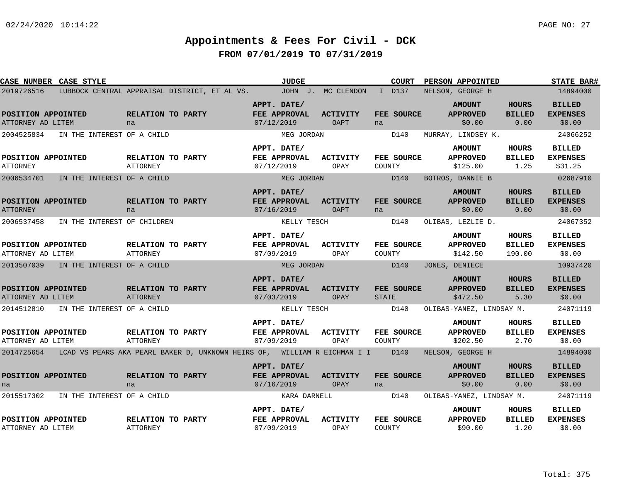| <b>CASE NUMBER CASE STYLE</b>           |                                                                                          |                                      | <b>JUDGE</b>                              |                         | <b>COURT</b>                | PERSON APPOINTED                             |                                         | <b>STATE BAR#</b>                           |
|-----------------------------------------|------------------------------------------------------------------------------------------|--------------------------------------|-------------------------------------------|-------------------------|-----------------------------|----------------------------------------------|-----------------------------------------|---------------------------------------------|
| 2019726516                              | LUBBOCK CENTRAL APPRAISAL DISTRICT, ET AL VS. JOHN J. MC CLENDON                         |                                      |                                           |                         | I D137                      | NELSON, GEORGE H                             |                                         | 14894000                                    |
| POSITION APPOINTED<br>ATTORNEY AD LITEM |                                                                                          | RELATION TO PARTY<br>na              | APPT. DATE/<br>FEE APPROVAL<br>07/12/2019 | <b>ACTIVITY</b><br>OAPT | FEE SOURCE<br>na            | <b>AMOUNT</b><br><b>APPROVED</b><br>\$0.00   | <b>HOURS</b><br><b>BILLED</b><br>0.00   | <b>BILLED</b><br><b>EXPENSES</b><br>\$0.00  |
| 2004525834                              | IN THE INTEREST OF A CHILD                                                               |                                      | MEG JORDAN                                |                         | D140                        | MURRAY, LINDSEY K.                           |                                         | 24066252                                    |
| POSITION APPOINTED<br><b>ATTORNEY</b>   |                                                                                          | RELATION TO PARTY<br><b>ATTORNEY</b> | APPT. DATE/<br>FEE APPROVAL<br>07/12/2019 | <b>ACTIVITY</b><br>OPAY | <b>FEE SOURCE</b><br>COUNTY | <b>AMOUNT</b><br><b>APPROVED</b><br>\$125.00 | HOURS<br><b>BILLED</b><br>1.25          | <b>BILLED</b><br><b>EXPENSES</b><br>\$31.25 |
| 2006534701                              | IN THE INTEREST OF A CHILD                                                               |                                      | MEG JORDAN                                |                         | D140                        | BOTROS, DANNIE B                             |                                         | 02687910                                    |
| POSITION APPOINTED<br><b>ATTORNEY</b>   |                                                                                          | RELATION TO PARTY<br>na              | APPT. DATE/<br>FEE APPROVAL<br>07/16/2019 | <b>ACTIVITY</b><br>OAPT | FEE SOURCE<br>na            | <b>AMOUNT</b><br><b>APPROVED</b><br>\$0.00   | <b>HOURS</b><br><b>BILLED</b><br>0.00   | <b>BILLED</b><br><b>EXPENSES</b><br>\$0.00  |
| 2006537458                              | IN THE INTEREST OF CHILDREN                                                              |                                      | KELLY TESCH                               |                         | D140                        | OLIBAS, LEZLIE D.                            |                                         | 24067352                                    |
| POSITION APPOINTED<br>ATTORNEY AD LITEM |                                                                                          | RELATION TO PARTY<br>ATTORNEY        | APPT. DATE/<br>FEE APPROVAL<br>07/09/2019 | <b>ACTIVITY</b><br>OPAY | FEE SOURCE<br>COUNTY        | <b>AMOUNT</b><br><b>APPROVED</b><br>\$142.50 | <b>HOURS</b><br><b>BILLED</b><br>190.00 | <b>BILLED</b><br><b>EXPENSES</b><br>\$0.00  |
|                                         | 2013507039 IN THE INTEREST OF A CHILD                                                    |                                      | MEG JORDAN                                |                         | D140                        | JONES, DENIECE                               |                                         | 10937420                                    |
| POSITION APPOINTED<br>ATTORNEY AD LITEM |                                                                                          | RELATION TO PARTY<br><b>ATTORNEY</b> | APPT. DATE/<br>FEE APPROVAL<br>07/03/2019 | ACTIVITY<br>OPAY        | FEE SOURCE<br><b>STATE</b>  | <b>AMOUNT</b><br><b>APPROVED</b><br>\$472.50 | <b>HOURS</b><br><b>BILLED</b><br>5.30   | <b>BILLED</b><br><b>EXPENSES</b><br>\$0.00  |
|                                         | 2014512810 IN THE INTEREST OF A CHILD                                                    |                                      | KELLY TESCH                               |                         | D140                        | OLIBAS-YANEZ, LINDSAY M.                     |                                         | 24071119                                    |
| POSITION APPOINTED<br>ATTORNEY AD LITEM |                                                                                          | RELATION TO PARTY<br>ATTORNEY        | APPT. DATE/<br>FEE APPROVAL<br>07/09/2019 | ACTIVITY<br>OPAY        | FEE SOURCE<br>COUNTY        | <b>AMOUNT</b><br><b>APPROVED</b><br>\$202.50 | HOURS<br><b>BILLED</b><br>2.70          | <b>BILLED</b><br><b>EXPENSES</b><br>\$0.00  |
|                                         | 2014725654 LCAD VS PEARS AKA PEARL BAKER D, UNKNOWN HEIRS OF, WILLIAM R EICHMAN I I D140 |                                      |                                           |                         |                             | NELSON, GEORGE H                             |                                         | 14894000                                    |
| POSITION APPOINTED<br>na                |                                                                                          | RELATION TO PARTY<br>na              | APPT. DATE/<br>FEE APPROVAL<br>07/16/2019 | ACTIVITY<br>OPAY        | <b>FEE SOURCE</b><br>na     | <b>AMOUNT</b><br><b>APPROVED</b><br>\$0.00   | HOURS<br><b>BILLED</b><br>0.00          | <b>BILLED</b><br><b>EXPENSES</b><br>\$0.00  |
| 2015517302                              | IN THE INTEREST OF A CHILD                                                               |                                      | KARA DARNELL                              |                         | D140                        | OLIBAS-YANEZ, LINDSAY M.                     |                                         | 24071119                                    |
| POSITION APPOINTED<br>ATTORNEY AD LITEM |                                                                                          | RELATION TO PARTY<br>ATTORNEY        | APPT. DATE/<br>FEE APPROVAL<br>07/09/2019 | <b>ACTIVITY</b><br>OPAY | <b>FEE SOURCE</b><br>COUNTY | <b>AMOUNT</b><br><b>APPROVED</b><br>\$90.00  | HOURS<br><b>BILLED</b><br>1.20          | <b>BILLED</b><br><b>EXPENSES</b><br>\$0.00  |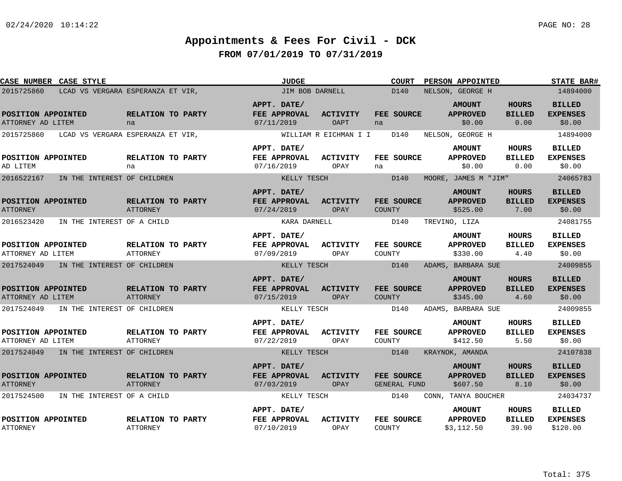| CASE NUMBER CASE STYLE                  |                                      | <b>JUDGE</b>                                     |                                | <b>COURT</b>                      | PERSON APPOINTED                               |                                       | <b>STATE BAR#</b>                            |
|-----------------------------------------|--------------------------------------|--------------------------------------------------|--------------------------------|-----------------------------------|------------------------------------------------|---------------------------------------|----------------------------------------------|
| 2015725860                              | LCAD VS VERGARA ESPERANZA ET VIR,    | JIM BOB DARNELL                                  |                                | D140                              | NELSON, GEORGE H                               |                                       | 14894000                                     |
| POSITION APPOINTED<br>ATTORNEY AD LITEM | RELATION TO PARTY<br>na              | APPT. DATE/<br>FEE APPROVAL<br>07/11/2019        | <b>ACTIVITY</b><br><b>OAPT</b> | FEE SOURCE<br>na                  | <b>AMOUNT</b><br><b>APPROVED</b><br>\$0.00     | <b>HOURS</b><br><b>BILLED</b><br>0.00 | <b>BILLED</b><br><b>EXPENSES</b><br>\$0.00   |
| 2015725860                              | LCAD VS VERGARA ESPERANZA ET VIR,    |                                                  | WILLIAM R EICHMAN I I          | D140                              | NELSON, GEORGE H                               |                                       | 14894000                                     |
| POSITION APPOINTED<br>AD LITEM          | RELATION TO PARTY<br>na              | APPT. DATE/<br>FEE APPROVAL<br>07/16/2019        | ACTIVITY<br>OPAY               | FEE SOURCE<br>na                  | <b>AMOUNT</b><br><b>APPROVED</b><br>\$0.00     | HOURS<br><b>BILLED</b><br>0.00        | <b>BILLED</b><br><b>EXPENSES</b><br>\$0.00   |
| 2016522167                              | IN THE INTEREST OF CHILDREN          | KELLY TESCH                                      |                                | D140                              | MOORE, JAMES M "JIM"                           |                                       | 24065783                                     |
| POSITION APPOINTED<br><b>ATTORNEY</b>   | RELATION TO PARTY<br>ATTORNEY        | APPT. DATE/<br>FEE APPROVAL<br>07/24/2019        | <b>ACTIVITY</b><br>OPAY        | FEE SOURCE<br><b>COUNTY</b>       | <b>AMOUNT</b><br><b>APPROVED</b><br>\$525.00   | <b>HOURS</b><br><b>BILLED</b><br>7.00 | <b>BILLED</b><br><b>EXPENSES</b><br>\$0.00   |
| 2016523420                              | IN THE INTEREST OF A CHILD           | KARA DARNELL                                     |                                | D140                              | TREVINO, LIZA                                  |                                       | 24081755                                     |
| POSITION APPOINTED<br>ATTORNEY AD LITEM | RELATION TO PARTY<br><b>ATTORNEY</b> | APPT. DATE/<br>FEE APPROVAL<br>07/09/2019        | <b>ACTIVITY</b><br>OPAY        | FEE SOURCE<br>COUNTY              | <b>AMOUNT</b><br><b>APPROVED</b><br>\$330.00   | HOURS<br><b>BILLED</b><br>4.40        | <b>BILLED</b><br><b>EXPENSES</b><br>\$0.00   |
| 2017524049                              | IN THE INTEREST OF CHILDREN          | KELLY TESCH                                      |                                | D140                              | ADAMS, BARBARA SUE                             |                                       | 24009855                                     |
| POSITION APPOINTED<br>ATTORNEY AD LITEM | RELATION TO PARTY<br><b>ATTORNEY</b> | APPT. DATE/<br>FEE APPROVAL<br>07/15/2019        | <b>ACTIVITY</b><br>OPAY        | FEE SOURCE<br><b>COUNTY</b>       | <b>AMOUNT</b><br><b>APPROVED</b><br>\$345.00   | <b>HOURS</b><br><b>BILLED</b><br>4.60 | <b>BILLED</b><br><b>EXPENSES</b><br>\$0.00   |
| 2017524049                              | IN THE INTEREST OF CHILDREN          | KELLY TESCH                                      |                                | D140                              | ADAMS, BARBARA SUE                             |                                       | 24009855                                     |
| POSITION APPOINTED<br>ATTORNEY AD LITEM | RELATION TO PARTY<br><b>ATTORNEY</b> | APPT. DATE/<br><b>FEE APPROVAL</b><br>07/22/2019 | ACTIVITY<br>OPAY               | FEE SOURCE<br>COUNTY              | <b>AMOUNT</b><br><b>APPROVED</b><br>\$412.50   | HOURS<br><b>BILLED</b><br>5.50        | <b>BILLED</b><br><b>EXPENSES</b><br>\$0.00   |
| 2017524049                              | IN THE INTEREST OF CHILDREN          | KELLY TESCH                                      |                                | D140                              | KRAYNOK, AMANDA                                |                                       | 24107838                                     |
| POSITION APPOINTED<br><b>ATTORNEY</b>   | RELATION TO PARTY<br><b>ATTORNEY</b> | APPT. DATE/<br>FEE APPROVAL<br>07/03/2019        | <b>ACTIVITY</b><br>OPAY        | FEE SOURCE<br><b>GENERAL FUND</b> | <b>AMOUNT</b><br><b>APPROVED</b><br>\$607.50   | <b>HOURS</b><br><b>BILLED</b><br>8.10 | <b>BILLED</b><br><b>EXPENSES</b><br>\$0.00   |
| 2017524500                              | IN THE INTEREST OF A CHILD           | KELLY TESCH                                      |                                | D140                              | CONN, TANYA BOUCHER                            |                                       | 24034737                                     |
| POSITION APPOINTED<br><b>ATTORNEY</b>   | RELATION TO PARTY<br><b>ATTORNEY</b> | APPT. DATE/<br>FEE APPROVAL<br>07/10/2019        | <b>ACTIVITY</b><br>OPAY        | FEE SOURCE<br><b>COUNTY</b>       | <b>AMOUNT</b><br><b>APPROVED</b><br>\$3,112.50 | HOURS<br><b>BILLED</b><br>39.90       | <b>BILLED</b><br><b>EXPENSES</b><br>\$120.00 |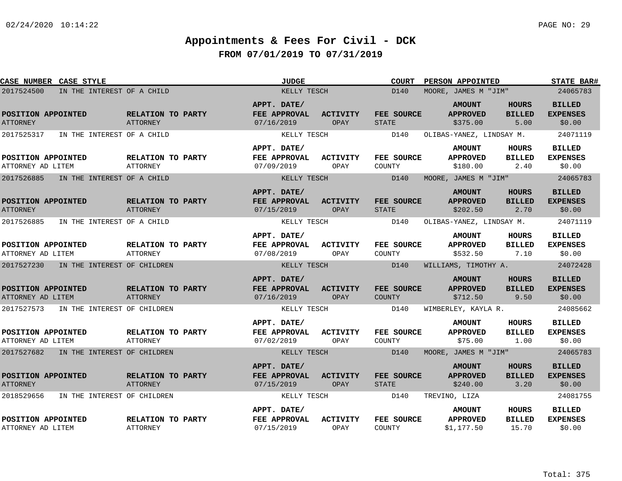| CASE NUMBER CASE STYLE                    |                                      | <b>JUDGE</b>                              |                         | <b>COURT</b><br>PERSON APPOINTED | <b>STATE BAR#</b>                              |                                       |                                            |
|-------------------------------------------|--------------------------------------|-------------------------------------------|-------------------------|----------------------------------|------------------------------------------------|---------------------------------------|--------------------------------------------|
| 2017524500<br>IN THE INTEREST OF A CHILD  |                                      | KELLY TESCH                               |                         | D140                             | MOORE, JAMES M "JIM"                           |                                       | 24065783                                   |
| POSITION APPOINTED<br><b>ATTORNEY</b>     | RELATION TO PARTY<br><b>ATTORNEY</b> | APPT. DATE/<br>FEE APPROVAL<br>07/16/2019 | <b>ACTIVITY</b><br>OPAY | FEE SOURCE<br><b>STATE</b>       | <b>AMOUNT</b><br><b>APPROVED</b><br>\$375.00   | <b>HOURS</b><br><b>BILLED</b><br>5.00 | <b>BILLED</b><br><b>EXPENSES</b><br>\$0.00 |
| 2017525317<br>IN THE INTEREST OF A CHILD  |                                      | KELLY TESCH                               |                         | D140                             | OLIBAS-YANEZ, LINDSAY M.                       |                                       | 24071119                                   |
| POSITION APPOINTED<br>ATTORNEY AD LITEM   | RELATION TO PARTY<br>ATTORNEY        | APPT. DATE/<br>FEE APPROVAL<br>07/09/2019 | ACTIVITY<br>OPAY        | FEE SOURCE<br>COUNTY             | <b>AMOUNT</b><br><b>APPROVED</b><br>\$180.00   | HOURS<br><b>BILLED</b><br>2.40        | <b>BILLED</b><br><b>EXPENSES</b><br>\$0.00 |
| 2017526885<br>IN THE INTEREST OF A CHILD  |                                      | KELLY TESCH                               |                         | D140                             | MOORE, JAMES M "JIM"                           |                                       | 24065783                                   |
| POSITION APPOINTED<br><b>ATTORNEY</b>     | RELATION TO PARTY<br>ATTORNEY        | APPT. DATE/<br>FEE APPROVAL<br>07/15/2019 | <b>ACTIVITY</b><br>OPAY | FEE SOURCE<br><b>STATE</b>       | <b>AMOUNT</b><br><b>APPROVED</b><br>\$202.50   | <b>HOURS</b><br><b>BILLED</b><br>2.70 | <b>BILLED</b><br><b>EXPENSES</b><br>\$0.00 |
| 2017526885<br>IN THE INTEREST OF A CHILD  |                                      | KELLY TESCH                               |                         | D140                             | OLIBAS-YANEZ, LINDSAY M.                       |                                       | 24071119                                   |
| POSITION APPOINTED<br>ATTORNEY AD LITEM   | RELATION TO PARTY<br><b>ATTORNEY</b> | APPT. DATE/<br>FEE APPROVAL<br>07/08/2019 | <b>ACTIVITY</b><br>OPAY | FEE SOURCE<br>COUNTY             | <b>AMOUNT</b><br><b>APPROVED</b><br>\$532.50   | HOURS<br><b>BILLED</b><br>7.10        | <b>BILLED</b><br><b>EXPENSES</b><br>\$0.00 |
| 2017527230<br>IN THE INTEREST OF CHILDREN |                                      | KELLY TESCH                               |                         | D140                             | WILLIAMS, TIMOTHY A.                           |                                       | 24072428                                   |
| POSITION APPOINTED<br>ATTORNEY AD LITEM   | RELATION TO PARTY<br>ATTORNEY        | APPT. DATE/<br>FEE APPROVAL<br>07/16/2019 | <b>ACTIVITY</b><br>OPAY | FEE SOURCE<br><b>COUNTY</b>      | <b>AMOUNT</b><br><b>APPROVED</b><br>\$712.50   | <b>HOURS</b><br><b>BILLED</b><br>9.50 | <b>BILLED</b><br><b>EXPENSES</b><br>\$0.00 |
| 2017527573<br>IN THE INTEREST OF CHILDREN |                                      | KELLY TESCH                               |                         | D140                             | WIMBERLEY, KAYLA R.                            |                                       | 24085662                                   |
| POSITION APPOINTED<br>ATTORNEY AD LITEM   | RELATION TO PARTY<br>ATTORNEY        | APPT. DATE/<br>FEE APPROVAL<br>07/02/2019 | <b>ACTIVITY</b><br>OPAY | FEE SOURCE<br>COUNTY             | <b>AMOUNT</b><br><b>APPROVED</b><br>\$75.00    | HOURS<br><b>BILLED</b><br>1.00        | <b>BILLED</b><br><b>EXPENSES</b><br>\$0.00 |
| 2017527682<br>IN THE INTEREST OF CHILDREN |                                      | KELLY TESCH                               |                         | D140                             | MOORE, JAMES M "JIM"                           |                                       | 24065783                                   |
| POSITION APPOINTED<br><b>ATTORNEY</b>     | RELATION TO PARTY<br><b>ATTORNEY</b> | APPT. DATE/<br>FEE APPROVAL<br>07/15/2019 | <b>ACTIVITY</b><br>OPAY | FEE SOURCE<br><b>STATE</b>       | <b>AMOUNT</b><br><b>APPROVED</b><br>\$240.00   | <b>HOURS</b><br><b>BILLED</b><br>3.20 | <b>BILLED</b><br><b>EXPENSES</b><br>\$0.00 |
| 2018529656<br>IN THE INTEREST OF CHILDREN |                                      | KELLY TESCH                               |                         | D140                             | TREVINO, LIZA                                  |                                       | 24081755                                   |
| POSITION APPOINTED<br>ATTORNEY AD LITEM   | RELATION TO PARTY<br><b>ATTORNEY</b> | APPT. DATE/<br>FEE APPROVAL<br>07/15/2019 | <b>ACTIVITY</b><br>OPAY | FEE SOURCE<br>COUNTY             | <b>AMOUNT</b><br><b>APPROVED</b><br>\$1,177.50 | HOURS<br><b>BILLED</b><br>15.70       | <b>BILLED</b><br><b>EXPENSES</b><br>\$0.00 |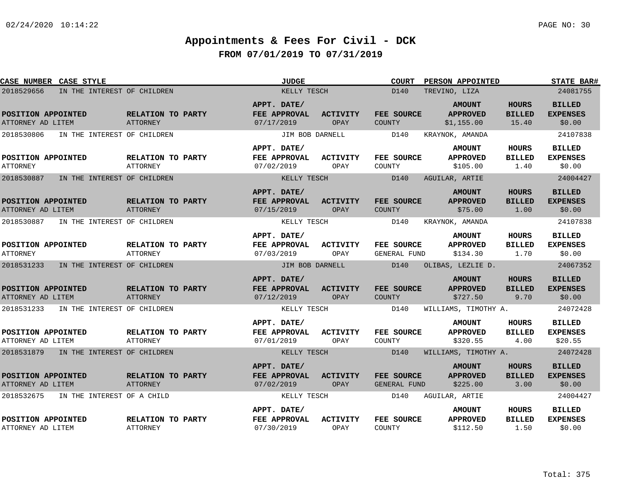| CASE NUMBER CASE STYLE                    |                                      | <b>JUDGE</b>                              |                         | <b>COURT</b>                      | PERSON APPOINTED                               |                                        | <b>STATE BAR#</b>                           |
|-------------------------------------------|--------------------------------------|-------------------------------------------|-------------------------|-----------------------------------|------------------------------------------------|----------------------------------------|---------------------------------------------|
| 2018529656<br>IN THE INTEREST OF CHILDREN |                                      | KELLY TESCH                               |                         | D140                              | TREVINO, LIZA                                  |                                        | 24081755                                    |
| POSITION APPOINTED<br>ATTORNEY AD LITEM   | RELATION TO PARTY<br>ATTORNEY        | APPT. DATE/<br>FEE APPROVAL<br>07/17/2019 | <b>ACTIVITY</b><br>OPAY | FEE SOURCE<br><b>COUNTY</b>       | <b>AMOUNT</b><br><b>APPROVED</b><br>\$1,155.00 | <b>HOURS</b><br><b>BILLED</b><br>15.40 | <b>BILLED</b><br><b>EXPENSES</b><br>\$0.00  |
| IN THE INTEREST OF CHILDREN<br>2018530806 |                                      | JIM BOB DARNELL                           |                         | D140                              | KRAYNOK, AMANDA                                |                                        | 24107838                                    |
| POSITION APPOINTED<br><b>ATTORNEY</b>     | RELATION TO PARTY<br><b>ATTORNEY</b> | APPT. DATE/<br>FEE APPROVAL<br>07/02/2019 | <b>ACTIVITY</b><br>OPAY | <b>FEE SOURCE</b><br>COUNTY       | <b>AMOUNT</b><br><b>APPROVED</b><br>\$105.00   | HOURS<br><b>BILLED</b><br>1.40         | <b>BILLED</b><br><b>EXPENSES</b><br>\$0.00  |
| 2018530887<br>IN THE INTEREST OF CHILDREN |                                      | KELLY TESCH                               |                         | D140                              | AGUILAR, ARTIE                                 |                                        | 24004427                                    |
| POSITION APPOINTED<br>ATTORNEY AD LITEM   | RELATION TO PARTY<br>ATTORNEY        | APPT. DATE/<br>FEE APPROVAL<br>07/15/2019 | <b>ACTIVITY</b><br>OPAY | FEE SOURCE<br>COUNTY              | <b>AMOUNT</b><br><b>APPROVED</b><br>\$75.00    | <b>HOURS</b><br><b>BILLED</b><br>1.00  | <b>BILLED</b><br><b>EXPENSES</b><br>\$0.00  |
| 2018530887<br>IN THE INTEREST OF CHILDREN |                                      | KELLY TESCH                               |                         | D140                              | KRAYNOK, AMANDA                                |                                        | 24107838                                    |
| POSITION APPOINTED<br><b>ATTORNEY</b>     | RELATION TO PARTY<br><b>ATTORNEY</b> | APPT. DATE/<br>FEE APPROVAL<br>07/03/2019 | ACTIVITY<br>OPAY        | FEE SOURCE<br><b>GENERAL FUND</b> | <b>AMOUNT</b><br><b>APPROVED</b><br>\$134.30   | <b>HOURS</b><br><b>BILLED</b><br>1.70  | <b>BILLED</b><br><b>EXPENSES</b><br>\$0.00  |
| 2018531233<br>IN THE INTEREST OF CHILDREN |                                      | JIM BOB DARNELL                           |                         | D140                              | OLIBAS, LEZLIE D.                              |                                        | 24067352                                    |
| POSITION APPOINTED<br>ATTORNEY AD LITEM   | RELATION TO PARTY<br><b>ATTORNEY</b> | APPT. DATE/<br>FEE APPROVAL<br>07/12/2019 | <b>ACTIVITY</b><br>OPAY | FEE SOURCE<br><b>COUNTY</b>       | <b>AMOUNT</b><br><b>APPROVED</b><br>\$727.50   | <b>HOURS</b><br><b>BILLED</b><br>9.70  | <b>BILLED</b><br><b>EXPENSES</b><br>\$0.00  |
| IN THE INTEREST OF CHILDREN<br>2018531233 |                                      | KELLY TESCH                               |                         | D140                              | WILLIAMS, TIMOTHY A.                           |                                        | 24072428                                    |
| POSITION APPOINTED<br>ATTORNEY AD LITEM   | <b>RELATION TO PARTY</b><br>ATTORNEY | APPT. DATE/<br>FEE APPROVAL<br>07/01/2019 | <b>ACTIVITY</b><br>OPAY | FEE SOURCE<br>COUNTY              | <b>AMOUNT</b><br><b>APPROVED</b><br>\$320.55   | HOURS<br><b>BILLED</b><br>4.00         | <b>BILLED</b><br><b>EXPENSES</b><br>\$20.55 |
| 2018531879 IN THE INTEREST OF CHILDREN    |                                      | KELLY TESCH                               |                         | D140                              | WILLIAMS, TIMOTHY A.                           |                                        | 24072428                                    |
| POSITION APPOINTED<br>ATTORNEY AD LITEM   | RELATION TO PARTY<br>ATTORNEY        | APPT. DATE/<br>FEE APPROVAL<br>07/02/2019 | <b>ACTIVITY</b><br>OPAY | FEE SOURCE<br><b>GENERAL FUND</b> | <b>AMOUNT</b><br><b>APPROVED</b><br>\$225.00   | <b>HOURS</b><br><b>BILLED</b><br>3.00  | <b>BILLED</b><br><b>EXPENSES</b><br>\$0.00  |
| 2018532675<br>IN THE INTEREST OF A CHILD  |                                      | KELLY TESCH                               |                         | D140                              | AGUILAR, ARTIE                                 |                                        | 24004427                                    |
| POSITION APPOINTED<br>ATTORNEY AD LITEM   | RELATION TO PARTY<br><b>ATTORNEY</b> | APPT. DATE/<br>FEE APPROVAL<br>07/30/2019 | <b>ACTIVITY</b><br>OPAY | FEE SOURCE<br>COUNTY              | <b>AMOUNT</b><br><b>APPROVED</b><br>\$112.50   | HOURS<br><b>BILLED</b><br>1.50         | <b>BILLED</b><br><b>EXPENSES</b><br>\$0.00  |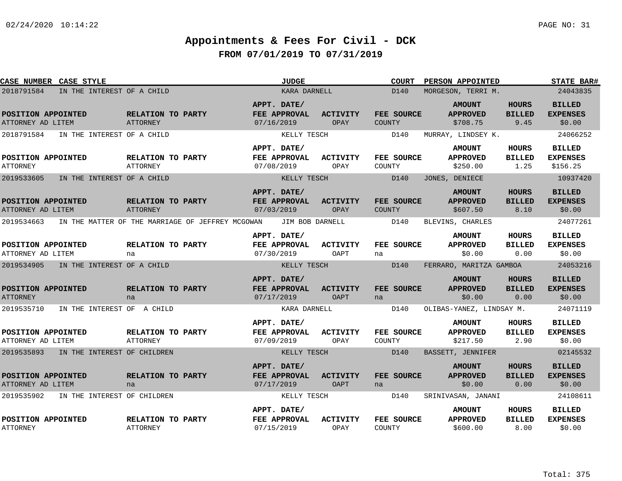| CASE NUMBER CASE STYLE                  |                             |                                      |                                                  |                                                  | <b>JUDGE</b>    |                                |               | <b>COURT</b>      | PERSON APPOINTED                             |                                       | <b>STATE BAR#</b>                            |
|-----------------------------------------|-----------------------------|--------------------------------------|--------------------------------------------------|--------------------------------------------------|-----------------|--------------------------------|---------------|-------------------|----------------------------------------------|---------------------------------------|----------------------------------------------|
| 2018791584                              | IN THE INTEREST OF A CHILD  |                                      |                                                  |                                                  | KARA DARNELL    |                                |               | D140              | MORGESON, TERRI M.                           |                                       | 24043835                                     |
| POSITION APPOINTED<br>ATTORNEY AD LITEM |                             | RELATION TO PARTY<br>ATTORNEY        |                                                  | APPT. DATE/<br>FEE APPROVAL<br>07/16/2019        |                 | <b>ACTIVITY</b><br>OPAY        | <b>COUNTY</b> | FEE SOURCE        | <b>AMOUNT</b><br><b>APPROVED</b><br>\$708.75 | <b>HOURS</b><br><b>BILLED</b><br>9.45 | <b>BILLED</b><br><b>EXPENSES</b><br>\$0.00   |
| 2018791584                              | IN THE INTEREST OF A CHILD  |                                      |                                                  |                                                  | KELLY TESCH     |                                |               | D140              | MURRAY, LINDSEY K.                           |                                       | 24066252                                     |
| POSITION APPOINTED<br>ATTORNEY          |                             | RELATION TO PARTY<br><b>ATTORNEY</b> |                                                  | APPT. DATE/<br>FEE APPROVAL<br>07/08/2019        |                 | <b>ACTIVITY</b><br>OPAY        | COUNTY        | <b>FEE SOURCE</b> | <b>AMOUNT</b><br><b>APPROVED</b><br>\$250.00 | <b>HOURS</b><br><b>BILLED</b><br>1.25 | <b>BILLED</b><br><b>EXPENSES</b><br>\$156.25 |
| 2019533605                              | IN THE INTEREST OF A CHILD  |                                      |                                                  |                                                  | KELLY TESCH     |                                |               | D140              | JONES, DENIECE                               |                                       | 10937420                                     |
| POSITION APPOINTED<br>ATTORNEY AD LITEM |                             | RELATION TO PARTY<br>ATTORNEY        |                                                  | APPT. DATE/<br>FEE APPROVAL<br>07/03/2019        |                 | <b>ACTIVITY</b><br>OPAY        | <b>COUNTY</b> | <b>FEE SOURCE</b> | <b>AMOUNT</b><br><b>APPROVED</b><br>\$607.50 | <b>HOURS</b><br><b>BILLED</b><br>8.10 | <b>BILLED</b><br><b>EXPENSES</b><br>\$0.00   |
| 2019534663                              |                             |                                      | IN THE MATTER OF THE MARRIAGE OF JEFFREY MCGOWAN |                                                  | JIM BOB DARNELL |                                |               | D140              | BLEVINS, CHARLES                             |                                       | 24077261                                     |
| POSITION APPOINTED<br>ATTORNEY AD LITEM |                             | RELATION TO PARTY<br>na              |                                                  | APPT. DATE/<br>FEE APPROVAL<br>07/30/2019        |                 | <b>ACTIVITY</b><br>OAPT        | na            | FEE SOURCE        | <b>AMOUNT</b><br><b>APPROVED</b><br>\$0.00   | <b>HOURS</b><br><b>BILLED</b><br>0.00 | <b>BILLED</b><br><b>EXPENSES</b><br>\$0.00   |
| 2019534905                              | IN THE INTEREST OF A CHILD  |                                      |                                                  |                                                  | KELLY TESCH     |                                |               | D140              | FERRARO, MARITZA GAMBOA                      |                                       | 24053216                                     |
| POSITION APPOINTED<br><b>ATTORNEY</b>   |                             | RELATION TO PARTY<br>na              |                                                  | APPT. DATE/<br><b>FEE APPROVAL</b><br>07/17/2019 |                 | <b>ACTIVITY</b><br><b>OAPT</b> | na            | FEE SOURCE        | <b>AMOUNT</b><br><b>APPROVED</b><br>\$0.00   | <b>HOURS</b><br><b>BILLED</b><br>0.00 | <b>BILLED</b><br><b>EXPENSES</b><br>\$0.00   |
| 2019535710                              | IN THE INTEREST OF A CHILD  |                                      |                                                  |                                                  | KARA DARNELL    |                                |               | D140              | OLIBAS-YANEZ, LINDSAY M.                     |                                       | 24071119                                     |
| POSITION APPOINTED<br>ATTORNEY AD LITEM |                             | RELATION TO PARTY<br>ATTORNEY        |                                                  | APPT. DATE/<br>FEE APPROVAL<br>07/09/2019        |                 | <b>ACTIVITY</b><br>OPAY        | COUNTY        | FEE SOURCE        | <b>AMOUNT</b><br><b>APPROVED</b><br>\$217.50 | HOURS<br><b>BILLED</b><br>2.90        | <b>BILLED</b><br><b>EXPENSES</b><br>\$0.00   |
| 2019535893                              | IN THE INTEREST OF CHILDREN |                                      |                                                  |                                                  | KELLY TESCH     |                                |               | D140              | BASSETT, JENNIFER                            |                                       | 02145532                                     |
| POSITION APPOINTED<br>ATTORNEY AD LITEM |                             | RELATION TO PARTY<br>na              |                                                  | APPT. DATE/<br><b>FEE APPROVAL</b><br>07/17/2019 |                 | <b>ACTIVITY</b><br>OAPT        | na            | <b>FEE SOURCE</b> | <b>AMOUNT</b><br><b>APPROVED</b><br>\$0.00   | HOURS<br><b>BILLED</b><br>0.00        | <b>BILLED</b><br><b>EXPENSES</b><br>\$0.00   |
| 2019535902                              | IN THE INTEREST OF CHILDREN |                                      |                                                  |                                                  | KELLY TESCH     |                                |               | D140              | SRINIVASAN, JANANI                           |                                       | 24108611                                     |
| POSITION APPOINTED<br><b>ATTORNEY</b>   |                             | RELATION TO PARTY<br><b>ATTORNEY</b> |                                                  | APPT. DATE/<br>FEE APPROVAL<br>07/15/2019        |                 | <b>ACTIVITY</b><br>OPAY        | COUNTY        | FEE SOURCE        | <b>AMOUNT</b><br><b>APPROVED</b><br>\$600.00 | HOURS<br><b>BILLED</b><br>8.00        | <b>BILLED</b><br><b>EXPENSES</b><br>\$0.00   |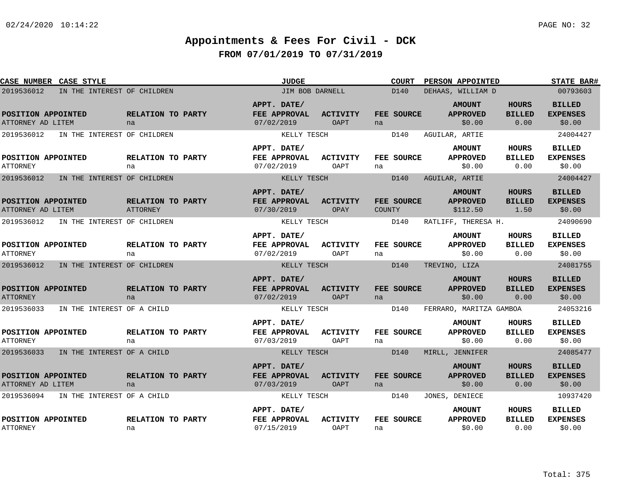| CASE NUMBER CASE STYLE                  |                             |                               | <b>JUDGE</b>                              |                                | <b>COURT</b>         | PERSON APPOINTED                             |                                       | <b>STATE BAR#</b>                          |
|-----------------------------------------|-----------------------------|-------------------------------|-------------------------------------------|--------------------------------|----------------------|----------------------------------------------|---------------------------------------|--------------------------------------------|
| 2019536012                              | IN THE INTEREST OF CHILDREN |                               | JIM BOB DARNELL                           |                                | D140                 | DEHAAS, WILLIAM D                            |                                       | 00793603                                   |
| POSITION APPOINTED<br>ATTORNEY AD LITEM |                             | RELATION TO PARTY<br>na       | APPT. DATE/<br>FEE APPROVAL<br>07/02/2019 | <b>ACTIVITY</b><br><b>OAPT</b> | FEE SOURCE<br>na     | <b>AMOUNT</b><br><b>APPROVED</b><br>\$0.00   | <b>HOURS</b><br><b>BILLED</b><br>0.00 | <b>BILLED</b><br><b>EXPENSES</b><br>\$0.00 |
| 2019536012                              | IN THE INTEREST OF CHILDREN |                               | KELLY TESCH                               |                                | D140                 | AGUILAR, ARTIE                               |                                       | 24004427                                   |
| POSITION APPOINTED<br><b>ATTORNEY</b>   |                             | RELATION TO PARTY<br>na       | APPT. DATE/<br>FEE APPROVAL<br>07/02/2019 | ACTIVITY<br>OAPT               | FEE SOURCE<br>na     | <b>AMOUNT</b><br><b>APPROVED</b><br>\$0.00   | HOURS<br><b>BILLED</b><br>0.00        | <b>BILLED</b><br><b>EXPENSES</b><br>\$0.00 |
| 2019536012                              | IN THE INTEREST OF CHILDREN |                               | KELLY TESCH                               |                                | D140                 | AGUILAR, ARTIE                               |                                       | 24004427                                   |
| POSITION APPOINTED<br>ATTORNEY AD LITEM |                             | RELATION TO PARTY<br>ATTORNEY | APPT. DATE/<br>FEE APPROVAL<br>07/30/2019 | <b>ACTIVITY</b><br>OPAY        | FEE SOURCE<br>COUNTY | <b>AMOUNT</b><br><b>APPROVED</b><br>\$112.50 | <b>HOURS</b><br><b>BILLED</b><br>1.50 | <b>BILLED</b><br><b>EXPENSES</b><br>\$0.00 |
| 2019536012                              | IN THE INTEREST OF CHILDREN |                               | KELLY TESCH                               |                                | D140                 | RATLIFF, THERESA H.                          |                                       | 24090690                                   |
| POSITION APPOINTED<br><b>ATTORNEY</b>   |                             | RELATION TO PARTY<br>na       | APPT. DATE/<br>FEE APPROVAL<br>07/02/2019 | <b>ACTIVITY</b><br>OAPT        | FEE SOURCE<br>na     | <b>AMOUNT</b><br><b>APPROVED</b><br>\$0.00   | <b>HOURS</b><br><b>BILLED</b><br>0.00 | <b>BILLED</b><br><b>EXPENSES</b><br>\$0.00 |
| 2019536012                              | IN THE INTEREST OF CHILDREN |                               | KELLY TESCH                               |                                | D140                 | TREVINO, LIZA                                |                                       | 24081755                                   |
| POSITION APPOINTED<br><b>ATTORNEY</b>   |                             | RELATION TO PARTY<br>na       | APPT. DATE/<br>FEE APPROVAL<br>07/02/2019 | <b>ACTIVITY</b><br><b>OAPT</b> | FEE SOURCE<br>na     | <b>AMOUNT</b><br><b>APPROVED</b><br>\$0.00   | <b>HOURS</b><br><b>BILLED</b><br>0.00 | <b>BILLED</b><br><b>EXPENSES</b><br>\$0.00 |
| 2019536033                              | IN THE INTEREST OF A CHILD  |                               | KELLY TESCH                               |                                | D140                 | FERRARO, MARITZA GAMBOA                      |                                       | 24053216                                   |
| POSITION APPOINTED<br><b>ATTORNEY</b>   |                             | RELATION TO PARTY<br>na       | APPT. DATE/<br>FEE APPROVAL<br>07/03/2019 | <b>ACTIVITY</b><br><b>OAPT</b> | FEE SOURCE<br>na     | <b>AMOUNT</b><br><b>APPROVED</b><br>\$0.00   | <b>HOURS</b><br><b>BILLED</b><br>0.00 | <b>BILLED</b><br><b>EXPENSES</b><br>\$0.00 |
| 2019536033                              | IN THE INTEREST OF A CHILD  |                               | KELLY TESCH                               |                                | D140                 | MIRLL, JENNIFER                              |                                       | 24085477                                   |
| POSITION APPOINTED<br>ATTORNEY AD LITEM |                             | RELATION TO PARTY<br>na       | APPT. DATE/<br>FEE APPROVAL<br>07/03/2019 | <b>ACTIVITY</b><br><b>OAPT</b> | FEE SOURCE<br>na     | <b>AMOUNT</b><br><b>APPROVED</b><br>\$0.00   | <b>HOURS</b><br><b>BILLED</b><br>0.00 | <b>BILLED</b><br><b>EXPENSES</b><br>\$0.00 |
| 2019536094                              | IN THE INTEREST OF A CHILD  |                               | KELLY TESCH                               |                                | D140                 | JONES, DENIECE                               |                                       | 10937420                                   |
| POSITION APPOINTED<br><b>ATTORNEY</b>   |                             | RELATION TO PARTY<br>na       | APPT. DATE/<br>FEE APPROVAL<br>07/15/2019 | <b>ACTIVITY</b><br><b>OAPT</b> | FEE SOURCE<br>na     | <b>AMOUNT</b><br><b>APPROVED</b><br>\$0.00   | <b>HOURS</b><br><b>BILLED</b><br>0.00 | <b>BILLED</b><br><b>EXPENSES</b><br>\$0.00 |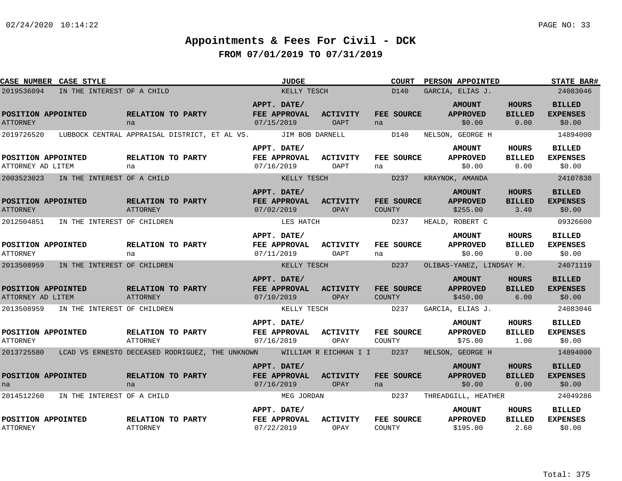| <b>CASE NUMBER CASE STYLE</b>           |                                        |                                      | <b>JUDGE</b>                                                          |                         | <b>COURT</b>                       | PERSON APPOINTED                             |                                       | <b>STATE BAR#</b>                          |
|-----------------------------------------|----------------------------------------|--------------------------------------|-----------------------------------------------------------------------|-------------------------|------------------------------------|----------------------------------------------|---------------------------------------|--------------------------------------------|
| 2019536094                              | IN THE INTEREST OF A CHILD             |                                      |                                                                       | KELLY TESCH             | D140                               | GARCIA, ELIAS J.                             |                                       | 24083046                                   |
| POSITION APPOINTED<br><b>ATTORNEY</b>   |                                        | <b>RELATION TO PARTY</b><br>na       | APPT. DATE/<br><b>FEE APPROVAL</b><br>07/15/2019                      | <b>ACTIVITY</b><br>OAPT | <b>FEE SOURCE</b><br>na            | <b>AMOUNT</b><br><b>APPROVED</b><br>\$0.00   | <b>HOURS</b><br><b>BILLED</b><br>0.00 | <b>BILLED</b><br><b>EXPENSES</b><br>\$0.00 |
| 2019726520                              |                                        |                                      | LUBBOCK CENTRAL APPRAISAL DISTRICT, ET AL VS. JIM BOB DARNELL         |                         | D140                               | NELSON, GEORGE H                             |                                       | 14894000                                   |
| POSITION APPOINTED<br>ATTORNEY AD LITEM |                                        | <b>RELATION TO PARTY</b><br>na       | APPT. DATE/<br>FEE APPROVAL<br>07/16/2019                             | ACTIVITY<br>OAPT        | <b>FEE SOURCE</b><br>na            | <b>AMOUNT</b><br><b>APPROVED</b><br>\$0.00   | HOURS<br><b>BILLED</b><br>0.00        | <b>BILLED</b><br><b>EXPENSES</b><br>\$0.00 |
| 2003523023                              | IN THE INTEREST OF A CHILD             |                                      | KELLY TESCH                                                           |                         | D <sub>237</sub>                   | KRAYNOK, AMANDA                              |                                       | 24107838                                   |
| POSITION APPOINTED<br><b>ATTORNEY</b>   |                                        | RELATION TO PARTY<br><b>ATTORNEY</b> | APPT. DATE/<br>FEE APPROVAL<br>07/02/2019                             | <b>ACTIVITY</b><br>OPAY | FEE SOURCE<br>COUNTY               | <b>AMOUNT</b><br><b>APPROVED</b><br>\$255.00 | <b>HOURS</b><br><b>BILLED</b><br>3.40 | <b>BILLED</b><br><b>EXPENSES</b><br>\$0.00 |
|                                         | 2012504851 IN THE INTEREST OF CHILDREN |                                      | LES HATCH                                                             |                         | D237                               | HEALD, ROBERT C                              |                                       | 09326600                                   |
| POSITION APPOINTED<br><b>ATTORNEY</b>   |                                        | RELATION TO PARTY<br>na              | APPT. DATE/<br>FEE APPROVAL<br>07/11/2019                             | <b>ACTIVITY</b><br>OAPT | FEE SOURCE<br>na                   | <b>AMOUNT</b><br><b>APPROVED</b><br>\$0.00   | HOURS<br><b>BILLED</b><br>0.00        | <b>BILLED</b><br><b>EXPENSES</b><br>\$0.00 |
| 2013508959                              | IN THE INTEREST OF CHILDREN            |                                      | KELLY TESCH                                                           |                         | D237                               | OLIBAS-YANEZ, LINDSAY M. 24071119            |                                       |                                            |
| POSITION APPOINTED<br>ATTORNEY AD LITEM |                                        | RELATION TO PARTY<br>ATTORNEY        | APPT. DATE/<br>FEE APPROVAL<br>07/10/2019                             | ACTIVITY<br>OPAY        | <b>FEE SOURCE</b><br><b>COUNTY</b> | <b>AMOUNT</b><br><b>APPROVED</b><br>\$450.00 | <b>HOURS</b><br><b>BILLED</b><br>6.00 | <b>BILLED</b><br><b>EXPENSES</b><br>\$0.00 |
|                                         | 2013508959 IN THE INTEREST OF CHILDREN |                                      | KELLY TESCH                                                           |                         | D237                               | GARCIA, ELIAS J.                             |                                       | 24083046                                   |
| POSITION APPOINTED<br><b>ATTORNEY</b>   |                                        | <b>RELATION TO PARTY</b><br>ATTORNEY | APPT. DATE/<br><b>FEE APPROVAL</b><br>07/16/2019                      | <b>ACTIVITY</b><br>OPAY | <b>FEE SOURCE</b><br>COUNTY        | <b>AMOUNT</b><br><b>APPROVED</b><br>\$75.00  | HOURS<br><b>BILLED</b><br>1.00        | <b>BILLED</b><br><b>EXPENSES</b><br>\$0.00 |
| 2013725580                              |                                        |                                      | LCAD VS ERNESTO DECEASED RODRIGUEZ, THE UNKNOWN WILLIAM R EICHMAN I I |                         | D237                               | NELSON, GEORGE H                             |                                       | 14894000                                   |
| POSITION APPOINTED<br>na                |                                        | RELATION TO PARTY<br>na              | APPT. DATE/<br>FEE APPROVAL<br>07/16/2019                             | <b>ACTIVITY</b><br>OPAY | FEE SOURCE<br>na                   | <b>AMOUNT</b><br><b>APPROVED</b><br>\$0.00   | <b>HOURS</b><br><b>BILLED</b><br>0.00 | <b>BILLED</b><br><b>EXPENSES</b><br>\$0.00 |
|                                         | 2014512260 IN THE INTEREST OF A CHILD  |                                      | MEG JORDAN                                                            |                         | D <sub>237</sub>                   | THREADGILL, HEATHER                          |                                       | 24049286                                   |
| POSITION APPOINTED<br><b>ATTORNEY</b>   |                                        | RELATION TO PARTY<br>ATTORNEY        | APPT. DATE/<br>FEE APPROVAL<br>07/22/2019                             | <b>ACTIVITY</b><br>OPAY | <b>FEE SOURCE</b><br>COUNTY        | <b>AMOUNT</b><br><b>APPROVED</b><br>\$195.00 | HOURS<br><b>BILLED</b><br>2.60        | <b>BILLED</b><br><b>EXPENSES</b><br>\$0.00 |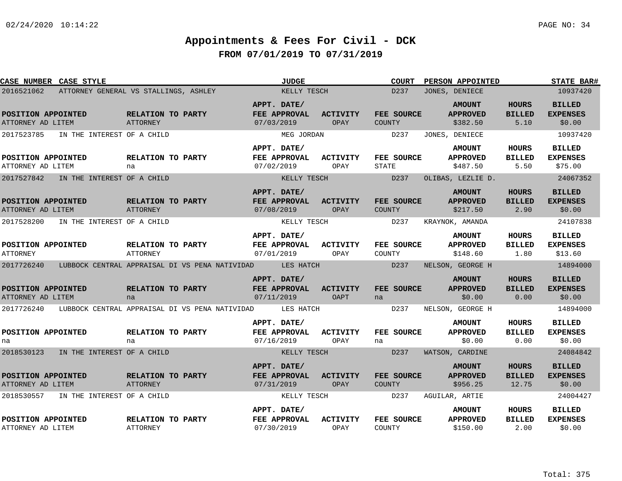| CASE NUMBER CASE STYLE                  |                                       |                                      |                                                          | <b>JUDGE</b>                              |                         | <b>COURT</b>               | PERSON APPOINTED                             |                                        | <b>STATE BAR#</b>                           |
|-----------------------------------------|---------------------------------------|--------------------------------------|----------------------------------------------------------|-------------------------------------------|-------------------------|----------------------------|----------------------------------------------|----------------------------------------|---------------------------------------------|
| 2016521062                              | ATTORNEY GENERAL VS STALLINGS, ASHLEY |                                      |                                                          | KELLY TESCH                               |                         | D237                       | JONES, DENIECE                               |                                        | 10937420                                    |
| POSITION APPOINTED<br>ATTORNEY AD LITEM |                                       | RELATION TO PARTY<br>ATTORNEY        |                                                          | APPT. DATE/<br>FEE APPROVAL<br>07/03/2019 | <b>ACTIVITY</b><br>OPAY | FEE SOURCE<br>COUNTY       | <b>AMOUNT</b><br><b>APPROVED</b><br>\$382.50 | <b>HOURS</b><br><b>BILLED</b><br>5.10  | <b>BILLED</b><br><b>EXPENSES</b><br>\$0.00  |
| 2017523785                              | IN THE INTEREST OF A CHILD            |                                      |                                                          | MEG JORDAN                                |                         | D237                       | JONES, DENIECE                               |                                        | 10937420                                    |
| POSITION APPOINTED<br>ATTORNEY AD LITEM |                                       | RELATION TO PARTY<br>na              |                                                          | APPT. DATE/<br>FEE APPROVAL<br>07/02/2019 | <b>ACTIVITY</b><br>OPAY | FEE SOURCE<br><b>STATE</b> | <b>AMOUNT</b><br><b>APPROVED</b><br>\$487.50 | HOURS<br><b>BILLED</b><br>5.50         | <b>BILLED</b><br><b>EXPENSES</b><br>\$75.00 |
| 2017527842                              | IN THE INTEREST OF A CHILD            |                                      |                                                          | KELLY TESCH                               |                         | D237                       | OLIBAS, LEZLIE D.                            |                                        | 24067352                                    |
| POSITION APPOINTED<br>ATTORNEY AD LITEM |                                       | RELATION TO PARTY<br><b>ATTORNEY</b> |                                                          | APPT. DATE/<br>FEE APPROVAL<br>07/08/2019 | <b>ACTIVITY</b><br>OPAY | FEE SOURCE<br>COUNTY       | <b>AMOUNT</b><br><b>APPROVED</b><br>\$217.50 | <b>HOURS</b><br><b>BILLED</b><br>2.90  | <b>BILLED</b><br><b>EXPENSES</b><br>\$0.00  |
| 2017528200                              | IN THE INTEREST OF A CHILD            |                                      |                                                          | KELLY TESCH                               |                         | D237                       | KRAYNOK, AMANDA                              |                                        | 24107838                                    |
| POSITION APPOINTED<br><b>ATTORNEY</b>   |                                       | RELATION TO PARTY<br><b>ATTORNEY</b> |                                                          | APPT. DATE/<br>FEE APPROVAL<br>07/01/2019 | <b>ACTIVITY</b><br>OPAY | FEE SOURCE<br>COUNTY       | <b>AMOUNT</b><br><b>APPROVED</b><br>\$148.60 | HOURS<br><b>BILLED</b><br>1.80         | <b>BILLED</b><br><b>EXPENSES</b><br>\$13.60 |
| 2017726240                              |                                       |                                      | LUBBOCK CENTRAL APPRAISAL DI VS PENA NATIVIDAD LES HATCH |                                           |                         | D237                       | NELSON, GEORGE H                             |                                        | 14894000                                    |
| POSITION APPOINTED<br>ATTORNEY AD LITEM |                                       | RELATION TO PARTY<br>na              |                                                          | APPT. DATE/<br>FEE APPROVAL<br>07/11/2019 | <b>ACTIVITY</b><br>OAPT | FEE SOURCE<br>na           | <b>AMOUNT</b><br><b>APPROVED</b><br>\$0.00   | <b>HOURS</b><br><b>BILLED</b><br>0.00  | <b>BILLED</b><br><b>EXPENSES</b><br>\$0.00  |
| 2017726240                              |                                       |                                      | LUBBOCK CENTRAL APPRAISAL DI VS PENA NATIVIDAD           | LES HATCH                                 |                         | D237                       | NELSON, GEORGE H                             |                                        | 14894000                                    |
| POSITION APPOINTED<br>na                |                                       | RELATION TO PARTY<br>na              |                                                          | APPT. DATE/<br>FEE APPROVAL<br>07/16/2019 | <b>ACTIVITY</b><br>OPAY | FEE SOURCE<br>na           | <b>AMOUNT</b><br><b>APPROVED</b><br>\$0.00   | HOURS<br><b>BILLED</b><br>0.00         | <b>BILLED</b><br><b>EXPENSES</b><br>\$0.00  |
| 2018530123                              | IN THE INTEREST OF A CHILD            |                                      |                                                          | KELLY TESCH                               |                         | D237                       | WATSON, CARDINE                              |                                        | 24084842                                    |
| POSITION APPOINTED<br>ATTORNEY AD LITEM |                                       | RELATION TO PARTY<br><b>ATTORNEY</b> |                                                          | APPT. DATE/<br>FEE APPROVAL<br>07/31/2019 | <b>ACTIVITY</b><br>OPAY | FEE SOURCE<br>COUNTY       | <b>AMOUNT</b><br><b>APPROVED</b><br>\$956.25 | <b>HOURS</b><br><b>BILLED</b><br>12.75 | <b>BILLED</b><br><b>EXPENSES</b><br>\$0.00  |
| 2018530557                              | IN THE INTEREST OF A CHILD            |                                      |                                                          | KELLY TESCH                               |                         | D237                       | AGUILAR, ARTIE                               |                                        | 24004427                                    |
| POSITION APPOINTED<br>ATTORNEY AD LITEM |                                       | RELATION TO PARTY<br>ATTORNEY        |                                                          | APPT. DATE/<br>FEE APPROVAL<br>07/30/2019 | <b>ACTIVITY</b><br>OPAY | FEE SOURCE<br>COUNTY       | <b>AMOUNT</b><br><b>APPROVED</b><br>\$150.00 | HOURS<br><b>BILLED</b><br>2.00         | <b>BILLED</b><br><b>EXPENSES</b><br>\$0.00  |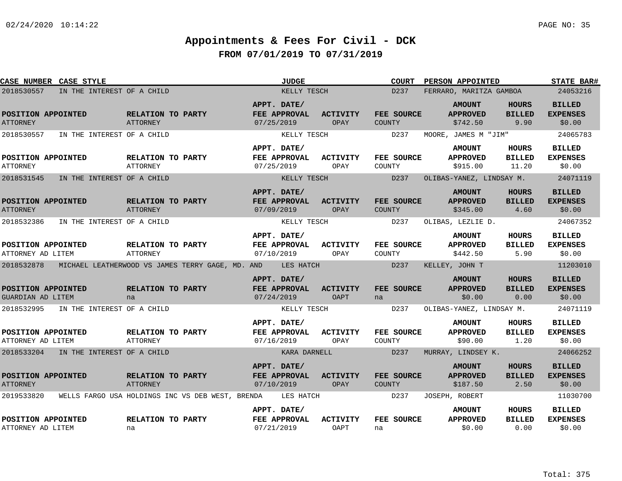| CASE NUMBER CASE STYLE                   |                                                  | <b>JUDGE</b>                              |                         | <b>COURT</b>         | PERSON APPOINTED                             |                                       | <b>STATE BAR#</b>                          |
|------------------------------------------|--------------------------------------------------|-------------------------------------------|-------------------------|----------------------|----------------------------------------------|---------------------------------------|--------------------------------------------|
| 2018530557<br>IN THE INTEREST OF A CHILD |                                                  | KELLY TESCH                               |                         | D237                 | FERRARO, MARITZA GAMBOA                      |                                       | 24053216                                   |
| POSITION APPOINTED<br><b>ATTORNEY</b>    | RELATION TO PARTY<br><b>ATTORNEY</b>             | APPT. DATE/<br>FEE APPROVAL<br>07/25/2019 | <b>ACTIVITY</b><br>OPAY | FEE SOURCE<br>COUNTY | <b>AMOUNT</b><br><b>APPROVED</b><br>\$742.50 | <b>HOURS</b><br><b>BILLED</b><br>9.90 | <b>BILLED</b><br><b>EXPENSES</b><br>\$0.00 |
| 2018530557<br>IN THE INTEREST OF A CHILD |                                                  | KELLY TESCH                               |                         | D237                 | MOORE, JAMES M "JIM"                         |                                       | 24065783                                   |
| POSITION APPOINTED<br><b>ATTORNEY</b>    | RELATION TO PARTY<br><b>ATTORNEY</b>             | APPT. DATE/<br>FEE APPROVAL<br>07/25/2019 | <b>ACTIVITY</b><br>OPAY | FEE SOURCE<br>COUNTY | <b>AMOUNT</b><br><b>APPROVED</b><br>\$915.00 | HOURS<br><b>BILLED</b><br>11.20       | <b>BILLED</b><br><b>EXPENSES</b><br>\$0.00 |
| 2018531545<br>IN THE INTEREST OF A CHILD |                                                  | KELLY TESCH                               |                         | D237                 | OLIBAS-YANEZ, LINDSAY M.                     |                                       | 24071119                                   |
| POSITION APPOINTED<br><b>ATTORNEY</b>    | RELATION TO PARTY<br><b>ATTORNEY</b>             | APPT. DATE/<br>FEE APPROVAL<br>07/09/2019 | <b>ACTIVITY</b><br>OPAY | FEE SOURCE<br>COUNTY | <b>AMOUNT</b><br><b>APPROVED</b><br>\$345.00 | <b>HOURS</b><br><b>BILLED</b><br>4.60 | <b>BILLED</b><br><b>EXPENSES</b><br>\$0.00 |
| 2018532386<br>IN THE INTEREST OF A CHILD |                                                  | KELLY TESCH                               |                         | D237                 | OLIBAS, LEZLIE D.                            |                                       | 24067352                                   |
| POSITION APPOINTED<br>ATTORNEY AD LITEM  | RELATION TO PARTY<br>ATTORNEY                    | APPT. DATE/<br>FEE APPROVAL<br>07/10/2019 | <b>ACTIVITY</b><br>OPAY | FEE SOURCE<br>COUNTY | <b>AMOUNT</b><br><b>APPROVED</b><br>\$442.50 | <b>HOURS</b><br><b>BILLED</b><br>5.90 | <b>BILLED</b><br><b>EXPENSES</b><br>\$0.00 |
| 2018532878                               | MICHAEL LEATHERWOOD VS JAMES TERRY GAGE, MD. AND | LES HATCH                                 |                         | D237                 | KELLEY, JOHN T                               |                                       | 11203010                                   |
| POSITION APPOINTED<br>GUARDIAN AD LITEM  | RELATION TO PARTY<br>na                          | APPT. DATE/<br>FEE APPROVAL<br>07/24/2019 | <b>ACTIVITY</b><br>OAPT | FEE SOURCE<br>na     | <b>AMOUNT</b><br><b>APPROVED</b><br>\$0.00   | <b>HOURS</b><br><b>BILLED</b><br>0.00 | <b>BILLED</b><br><b>EXPENSES</b><br>\$0.00 |
| 2018532995<br>IN THE INTEREST OF A CHILD |                                                  | KELLY TESCH                               |                         | D237                 | OLIBAS-YANEZ, LINDSAY M.                     |                                       | 24071119                                   |
| POSITION APPOINTED<br>ATTORNEY AD LITEM  | RELATION TO PARTY<br>ATTORNEY                    | APPT. DATE/<br>FEE APPROVAL<br>07/16/2019 | <b>ACTIVITY</b><br>OPAY | FEE SOURCE<br>COUNTY | <b>AMOUNT</b><br><b>APPROVED</b><br>\$90.00  | HOURS<br><b>BILLED</b><br>1.20        | <b>BILLED</b><br><b>EXPENSES</b><br>\$0.00 |
| 2018533204 IN THE INTEREST OF A CHILD    |                                                  | KARA DARNELL                              |                         | D237                 | MURRAY, LINDSEY K.                           |                                       | 24066252                                   |
| POSITION APPOINTED<br><b>ATTORNEY</b>    | RELATION TO PARTY<br><b>ATTORNEY</b>             | APPT. DATE/<br>FEE APPROVAL<br>07/10/2019 | <b>ACTIVITY</b><br>OPAY | FEE SOURCE<br>COUNTY | <b>AMOUNT</b><br><b>APPROVED</b><br>\$187.50 | <b>HOURS</b><br><b>BILLED</b><br>2.50 | <b>BILLED</b><br><b>EXPENSES</b><br>\$0.00 |
| 2019533820                               | WELLS FARGO USA HOLDINGS INC VS DEB WEST, BRENDA | LES HATCH                                 |                         | D237                 | JOSEPH, ROBERT                               |                                       | 11030700                                   |
| POSITION APPOINTED<br>ATTORNEY AD LITEM  | RELATION TO PARTY<br>na                          | APPT. DATE/<br>FEE APPROVAL<br>07/21/2019 | <b>ACTIVITY</b><br>OAPT | FEE SOURCE<br>na     | <b>AMOUNT</b><br><b>APPROVED</b><br>\$0.00   | HOURS<br><b>BILLED</b><br>0.00        | <b>BILLED</b><br><b>EXPENSES</b><br>\$0.00 |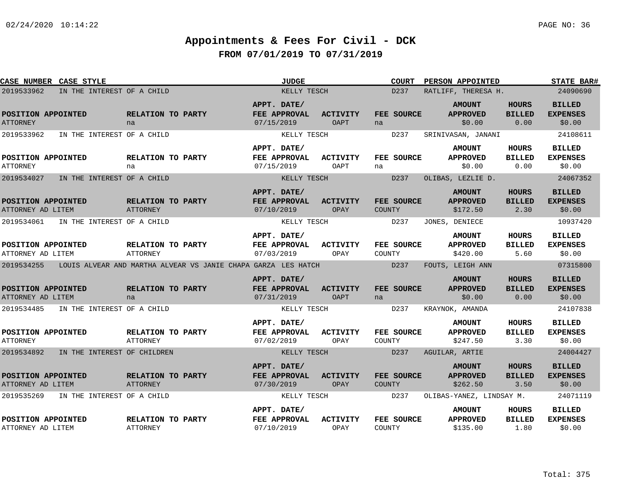| <b>CASE NUMBER CASE STYLE</b>           |                             |                                      |                                                               | <b>JUDGE</b>                      |                         | <b>COURT</b>                | PERSON APPOINTED                 |                               | <b>STATE BAR#</b>                |
|-----------------------------------------|-----------------------------|--------------------------------------|---------------------------------------------------------------|-----------------------------------|-------------------------|-----------------------------|----------------------------------|-------------------------------|----------------------------------|
| 2019533962                              | IN THE INTEREST OF A CHILD  |                                      |                                                               | KELLY TESCH                       |                         | D237                        | RATLIFF, THERESA H.              |                               | 24090690                         |
| POSITION APPOINTED                      |                             | RELATION TO PARTY                    |                                                               | APPT. DATE/<br>FEE APPROVAL       | <b>ACTIVITY</b>         | FEE SOURCE                  | <b>AMOUNT</b><br><b>APPROVED</b> | <b>HOURS</b><br><b>BILLED</b> | <b>BILLED</b><br><b>EXPENSES</b> |
| <b>ATTORNEY</b>                         |                             | na                                   |                                                               | 07/15/2019                        | OAPT                    | na                          | \$0.00                           | 0.00                          | \$0.00                           |
| 2019533962                              | IN THE INTEREST OF A CHILD  |                                      |                                                               | KELLY TESCH                       |                         | D237                        | SRINIVASAN, JANANI               |                               | 24108611                         |
|                                         |                             |                                      |                                                               | APPT. DATE/                       |                         |                             | <b>AMOUNT</b>                    | HOURS                         | <b>BILLED</b>                    |
| POSITION APPOINTED<br><b>ATTORNEY</b>   |                             | RELATION TO PARTY<br>na              |                                                               | FEE APPROVAL<br>07/15/2019        | <b>ACTIVITY</b><br>OAPT | FEE SOURCE<br>na            | <b>APPROVED</b><br>\$0.00        | <b>BILLED</b><br>0.00         | <b>EXPENSES</b><br>\$0.00        |
| 2019534027                              | IN THE INTEREST OF A CHILD  |                                      |                                                               | KELLY TESCH                       |                         | D237                        | OLIBAS, LEZLIE D.                |                               | 24067352                         |
|                                         |                             |                                      |                                                               | APPT. DATE/                       |                         |                             | <b>AMOUNT</b>                    | <b>HOURS</b>                  | <b>BILLED</b>                    |
| POSITION APPOINTED<br>ATTORNEY AD LITEM |                             | RELATION TO PARTY<br>ATTORNEY        |                                                               | FEE APPROVAL<br>07/10/2019        | <b>ACTIVITY</b><br>OPAY | FEE SOURCE<br><b>COUNTY</b> | <b>APPROVED</b><br>\$172.50      | <b>BILLED</b><br>2.30         | <b>EXPENSES</b><br>\$0.00        |
| 2019534061                              | IN THE INTEREST OF A CHILD  |                                      |                                                               | KELLY TESCH                       |                         | D237                        | JONES, DENIECE                   |                               | 10937420                         |
|                                         |                             |                                      |                                                               | APPT. DATE/                       |                         |                             | <b>AMOUNT</b>                    | <b>HOURS</b>                  | <b>BILLED</b>                    |
| POSITION APPOINTED<br>ATTORNEY AD LITEM |                             | RELATION TO PARTY<br><b>ATTORNEY</b> |                                                               | FEE APPROVAL<br>07/03/2019        | ACTIVITY<br>OPAY        | FEE SOURCE<br>COUNTY        | <b>APPROVED</b><br>\$420.00      | <b>BILLED</b><br>5.60         | <b>EXPENSES</b><br>\$0.00        |
| 2019534255                              |                             |                                      | LOUIS ALVEAR AND MARTHA ALVEAR VS JANIE CHAPA GARZA LES HATCH |                                   |                         | D237                        | FOUTS, LEIGH ANN                 |                               | 07315800                         |
|                                         |                             |                                      |                                                               | APPT. DATE/                       |                         |                             | <b>AMOUNT</b>                    | <b>HOURS</b>                  | <b>BILLED</b>                    |
| POSITION APPOINTED<br>ATTORNEY AD LITEM |                             | RELATION TO PARTY<br>na              |                                                               | FEE APPROVAL<br>07/31/2019        | <b>ACTIVITY</b><br>OAPT | FEE SOURCE<br>na            | <b>APPROVED</b><br>\$0.00        | <b>BILLED</b><br>0.00         | <b>EXPENSES</b><br>\$0.00        |
| 2019534485                              | IN THE INTEREST OF A CHILD  |                                      |                                                               | KELLY TESCH                       |                         | D <sub>237</sub>            | KRAYNOK, AMANDA                  |                               | 24107838                         |
|                                         |                             |                                      |                                                               | APPT. DATE/                       |                         |                             | <b>AMOUNT</b>                    | HOURS                         | <b>BILLED</b>                    |
| POSITION APPOINTED<br><b>ATTORNEY</b>   |                             | RELATION TO PARTY<br><b>ATTORNEY</b> |                                                               | <b>FEE APPROVAL</b><br>07/02/2019 | <b>ACTIVITY</b><br>OPAY | FEE SOURCE<br>COUNTY        | <b>APPROVED</b><br>\$247.50      | <b>BILLED</b><br>3.30         | <b>EXPENSES</b><br>\$0.00        |
| 2019534892                              | IN THE INTEREST OF CHILDREN |                                      |                                                               | KELLY TESCH                       |                         | D237                        | AGUILAR, ARTIE                   |                               | 24004427                         |
|                                         |                             |                                      |                                                               | APPT. DATE/                       |                         |                             | <b>AMOUNT</b>                    | <b>HOURS</b>                  | <b>BILLED</b>                    |
| POSITION APPOINTED<br>ATTORNEY AD LITEM |                             | RELATION TO PARTY<br><b>ATTORNEY</b> |                                                               | FEE APPROVAL<br>07/30/2019        | <b>ACTIVITY</b><br>OPAY | FEE SOURCE<br>COUNTY        | <b>APPROVED</b><br>\$262.50      | <b>BILLED</b><br>3.50         | <b>EXPENSES</b><br>\$0.00        |
| 2019535269                              | IN THE INTEREST OF A CHILD  |                                      |                                                               | KELLY TESCH                       |                         | D237                        | OLIBAS-YANEZ, LINDSAY M.         |                               | 24071119                         |
|                                         |                             |                                      |                                                               | APPT. DATE/                       |                         |                             | <b>AMOUNT</b>                    | HOURS                         | <b>BILLED</b>                    |
| POSITION APPOINTED<br>ATTORNEY AD LITEM |                             | RELATION TO PARTY<br>ATTORNEY        |                                                               | FEE APPROVAL<br>07/10/2019        | <b>ACTIVITY</b><br>OPAY | FEE SOURCE<br>COUNTY        | <b>APPROVED</b><br>\$135.00      | <b>BILLED</b><br>1.80         | <b>EXPENSES</b><br>\$0.00        |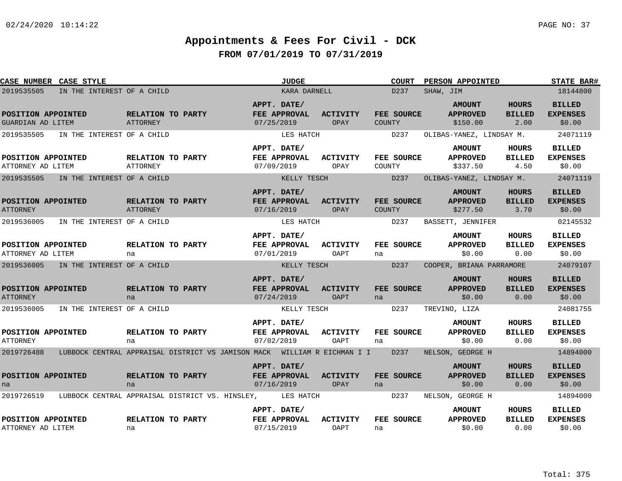| CASE NUMBER CASE STYLE                                     |                                      |                                                                          | <b>JUDGE</b>                       |                                          | <b>COURT</b>     | PERSON APPOINTED                             |                                       | <b>STATE BAR#</b>                          |
|------------------------------------------------------------|--------------------------------------|--------------------------------------------------------------------------|------------------------------------|------------------------------------------|------------------|----------------------------------------------|---------------------------------------|--------------------------------------------|
| 2019535505<br>IN THE INTEREST OF A CHILD                   |                                      |                                                                          | KARA DARNELL                       |                                          | D237             | SHAW, JIM                                    |                                       | 18144800                                   |
| POSITION APPOINTED<br>GUARDIAN AD LITEM                    | RELATION TO PARTY<br><b>ATTORNEY</b> | APPT. DATE/<br>07/25/2019                                                | FEE APPROVAL                       | <b>ACTIVITY</b><br>OPAY<br><b>COUNTY</b> | FEE SOURCE       | <b>AMOUNT</b><br><b>APPROVED</b><br>\$150.00 | <b>HOURS</b><br><b>BILLED</b><br>2.00 | <b>BILLED</b><br><b>EXPENSES</b><br>\$0.00 |
| 2019535505<br>IN THE INTEREST OF A CHILD                   |                                      |                                                                          | LES HATCH                          |                                          | D237             | OLIBAS-YANEZ, LINDSAY M.                     |                                       | 24071119                                   |
| POSITION APPOINTED<br>ATTORNEY AD LITEM                    | RELATION TO PARTY<br>ATTORNEY        | 07/09/2019                                                               | APPT. DATE/<br>FEE APPROVAL        | <b>ACTIVITY</b><br>OPAY<br>COUNTY        | FEE SOURCE       | <b>AMOUNT</b><br><b>APPROVED</b><br>\$337.50 | <b>HOURS</b><br><b>BILLED</b><br>4.50 | <b>BILLED</b><br><b>EXPENSES</b><br>\$0.00 |
| 2019535505<br>IN THE INTEREST OF A CHILD                   |                                      |                                                                          | KELLY TESCH                        |                                          | D237             | OLIBAS-YANEZ, LINDSAY M.                     |                                       | 24071119                                   |
| POSITION APPOINTED<br><b>ATTORNEY</b>                      | RELATION TO PARTY<br>ATTORNEY        | 07/16/2019                                                               | APPT. DATE/<br>FEE APPROVAL        | <b>ACTIVITY</b><br>COUNTY<br>OPAY        | FEE SOURCE       | <b>AMOUNT</b><br><b>APPROVED</b><br>\$277.50 | <b>HOURS</b><br><b>BILLED</b><br>3.70 | <b>BILLED</b><br><b>EXPENSES</b><br>\$0.00 |
| 2019536005<br>IN THE INTEREST OF A CHILD                   |                                      |                                                                          | LES HATCH                          |                                          | D237             | BASSETT, JENNIFER                            |                                       | 02145532                                   |
| POSITION APPOINTED<br>ATTORNEY AD LITEM                    | RELATION TO PARTY<br>na              | 07/01/2019                                                               | APPT. DATE/<br>FEE APPROVAL        | ACTIVITY<br>OAPT<br>na                   | FEE SOURCE       | <b>AMOUNT</b><br><b>APPROVED</b><br>\$0.00   | HOURS<br><b>BILLED</b><br>0.00        | <b>BILLED</b><br><b>EXPENSES</b><br>\$0.00 |
| 2019536005<br>IN THE INTEREST OF A CHILD                   |                                      |                                                                          | KELLY TESCH                        |                                          | D237             | COOPER, BRIANA PARRAMORE                     |                                       | 24079107                                   |
| POSITION APPOINTED<br><b>ATTORNEY</b>                      | RELATION TO PARTY<br>na              | 07/24/2019                                                               | APPT. DATE/<br>FEE APPROVAL        | <b>ACTIVITY</b><br><b>OAPT</b><br>na     | FEE SOURCE       | <b>AMOUNT</b><br><b>APPROVED</b><br>\$0.00   | <b>HOURS</b><br><b>BILLED</b><br>0.00 | <b>BILLED</b><br><b>EXPENSES</b><br>\$0.00 |
| 2019536005<br>IN THE INTEREST OF A CHILD                   |                                      |                                                                          | KELLY TESCH                        |                                          | D237             | TREVINO, LIZA                                |                                       | 24081755                                   |
| POSITION APPOINTED<br><b>ATTORNEY</b>                      | RELATION TO PARTY<br>na              | 07/02/2019                                                               | APPT. DATE/<br><b>FEE APPROVAL</b> | <b>ACTIVITY</b><br>OAPT<br>na            | FEE SOURCE       | <b>AMOUNT</b><br><b>APPROVED</b><br>\$0.00   | <b>HOURS</b><br><b>BILLED</b><br>0.00 | <b>BILLED</b><br><b>EXPENSES</b><br>\$0.00 |
| 2019726488                                                 |                                      | LUBBOCK CENTRAL APPRAISAL DISTRICT VS JAMISON MACK WILLIAM R EICHMAN I I |                                    |                                          | D <sub>237</sub> | NELSON, GEORGE H                             |                                       | 14894000                                   |
| POSITION APPOINTED<br>na                                   | RELATION TO PARTY<br>na              | 07/16/2019                                                               | APPT. DATE/<br><b>FEE APPROVAL</b> | <b>ACTIVITY</b><br><b>OPAY</b><br>na     | FEE SOURCE       | <b>AMOUNT</b><br><b>APPROVED</b><br>\$0.00   | <b>HOURS</b><br><b>BILLED</b><br>0.00 | <b>BILLED</b><br><b>EXPENSES</b><br>\$0.00 |
| 2019726519 LUBBOCK CENTRAL APPRAISAL DISTRICT VS. HINSLEY, |                                      |                                                                          | LES HATCH                          |                                          | D237             | NELSON, GEORGE H                             |                                       | 14894000                                   |
| POSITION APPOINTED<br>ATTORNEY AD LITEM                    | RELATION TO PARTY<br>na              | 07/15/2019                                                               | APPT. DATE/<br>FEE APPROVAL        | <b>ACTIVITY</b><br>OAPT<br>na            | FEE SOURCE       | <b>AMOUNT</b><br><b>APPROVED</b><br>\$0.00   | <b>HOURS</b><br><b>BILLED</b><br>0.00 | <b>BILLED</b><br><b>EXPENSES</b><br>\$0.00 |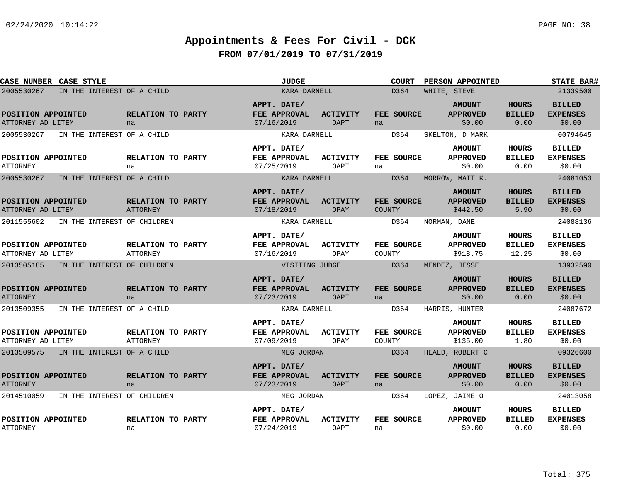| CASE NUMBER CASE STYLE                  |                                       |                                      | <b>JUDGE</b>                              |                                | <b>COURT</b>                | PERSON APPOINTED                             |                                        | <b>STATE BAR#</b>                          |
|-----------------------------------------|---------------------------------------|--------------------------------------|-------------------------------------------|--------------------------------|-----------------------------|----------------------------------------------|----------------------------------------|--------------------------------------------|
| 2005530267                              | IN THE INTEREST OF A CHILD            |                                      | KARA DARNELL                              |                                | D364                        | WHITE, STEVE                                 |                                        | 21339500                                   |
| POSITION APPOINTED<br>ATTORNEY AD LITEM |                                       | RELATION TO PARTY<br>na              | APPT. DATE/<br>FEE APPROVAL<br>07/16/2019 | <b>ACTIVITY</b><br><b>OAPT</b> | FEE SOURCE<br>na            | <b>AMOUNT</b><br><b>APPROVED</b><br>\$0.00   | <b>HOURS</b><br><b>BILLED</b><br>0.00  | <b>BILLED</b><br><b>EXPENSES</b><br>\$0.00 |
| 2005530267                              | IN THE INTEREST OF A CHILD            |                                      | KARA DARNELL                              |                                | D364                        | SKELTON, D MARK                              |                                        | 00794645                                   |
| POSITION APPOINTED<br><b>ATTORNEY</b>   |                                       | RELATION TO PARTY<br>na              | APPT. DATE/<br>FEE APPROVAL<br>07/25/2019 | <b>ACTIVITY</b><br>OAPT        | FEE SOURCE<br>na            | <b>AMOUNT</b><br><b>APPROVED</b><br>\$0.00   | <b>HOURS</b><br><b>BILLED</b><br>0.00  | <b>BILLED</b><br><b>EXPENSES</b><br>\$0.00 |
| 2005530267                              | IN THE INTEREST OF A CHILD            |                                      | KARA DARNELL                              |                                | D364                        | MORROW, MATT K.                              |                                        | 24081053                                   |
| POSITION APPOINTED<br>ATTORNEY AD LITEM |                                       | RELATION TO PARTY<br>ATTORNEY        | APPT. DATE/<br>FEE APPROVAL<br>07/18/2019 | <b>ACTIVITY</b><br>OPAY        | FEE SOURCE<br><b>COUNTY</b> | <b>AMOUNT</b><br><b>APPROVED</b><br>\$442.50 | <b>HOURS</b><br><b>BILLED</b><br>5.90  | <b>BILLED</b><br><b>EXPENSES</b><br>\$0.00 |
| 2011555602                              | IN THE INTEREST OF CHILDREN           |                                      | KARA DARNELL                              |                                | D364                        | NORMAN, DANE                                 |                                        | 24088136                                   |
| POSITION APPOINTED<br>ATTORNEY AD LITEM |                                       | RELATION TO PARTY<br><b>ATTORNEY</b> | APPT. DATE/<br>FEE APPROVAL<br>07/16/2019 | <b>ACTIVITY</b><br>OPAY        | FEE SOURCE<br>COUNTY        | <b>AMOUNT</b><br><b>APPROVED</b><br>\$918.75 | <b>HOURS</b><br><b>BILLED</b><br>12.25 | <b>BILLED</b><br><b>EXPENSES</b><br>\$0.00 |
| 2013505185                              | IN THE INTEREST OF CHILDREN           |                                      | VISITING JUDGE                            |                                | D364                        | MENDEZ, JESSE                                |                                        | 13932590                                   |
| POSITION APPOINTED<br><b>ATTORNEY</b>   |                                       | RELATION TO PARTY<br>na              | APPT. DATE/<br>FEE APPROVAL<br>07/23/2019 | <b>ACTIVITY</b><br><b>OAPT</b> | FEE SOURCE<br>na            | <b>AMOUNT</b><br><b>APPROVED</b><br>\$0.00   | <b>HOURS</b><br><b>BILLED</b><br>0.00  | <b>BILLED</b><br><b>EXPENSES</b><br>\$0.00 |
| 2013509355                              | IN THE INTEREST OF A CHILD            |                                      | KARA DARNELL                              |                                | D364                        | HARRIS, HUNTER                               |                                        | 24087672                                   |
| POSITION APPOINTED<br>ATTORNEY AD LITEM |                                       | RELATION TO PARTY<br><b>ATTORNEY</b> | APPT. DATE/<br>FEE APPROVAL<br>07/09/2019 | ACTIVITY<br>OPAY               | FEE SOURCE<br>COUNTY        | <b>AMOUNT</b><br><b>APPROVED</b><br>\$135.00 | <b>HOURS</b><br><b>BILLED</b><br>1.80  | <b>BILLED</b><br><b>EXPENSES</b><br>\$0.00 |
|                                         | 2013509575 IN THE INTEREST OF A CHILD |                                      | MEG JORDAN                                |                                | D364                        | HEALD, ROBERT C                              |                                        | 09326600                                   |
| POSITION APPOINTED<br><b>ATTORNEY</b>   |                                       | RELATION TO PARTY<br>na              | APPT. DATE/<br>FEE APPROVAL<br>07/23/2019 | <b>ACTIVITY</b><br><b>OAPT</b> | FEE SOURCE<br>na            | <b>AMOUNT</b><br><b>APPROVED</b><br>\$0.00   | <b>HOURS</b><br><b>BILLED</b><br>0.00  | <b>BILLED</b><br><b>EXPENSES</b><br>\$0.00 |
| 2014510059                              | IN THE INTEREST OF CHILDREN           |                                      | MEG JORDAN                                |                                | D364                        | LOPEZ, JAIME O                               |                                        | 24013058                                   |
| POSITION APPOINTED<br><b>ATTORNEY</b>   |                                       | RELATION TO PARTY<br>na              | APPT. DATE/<br>FEE APPROVAL<br>07/24/2019 | ACTIVITY<br><b>OAPT</b>        | FEE SOURCE<br>na            | <b>AMOUNT</b><br><b>APPROVED</b><br>\$0.00   | <b>HOURS</b><br><b>BILLED</b><br>0.00  | <b>BILLED</b><br><b>EXPENSES</b><br>\$0.00 |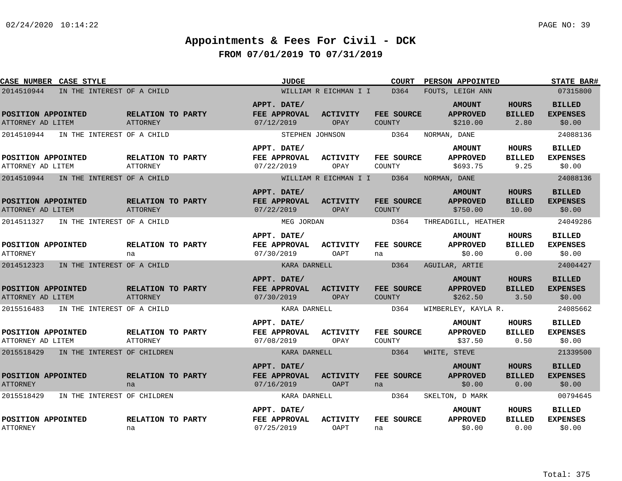| CASE NUMBER CASE STYLE                  |                                      | <b>JUDGE</b>                              |                                | <b>COURT</b>                | PERSON APPOINTED                             |                                        | <b>STATE BAR#</b>                          |
|-----------------------------------------|--------------------------------------|-------------------------------------------|--------------------------------|-----------------------------|----------------------------------------------|----------------------------------------|--------------------------------------------|
| 2014510944                              | IN THE INTEREST OF A CHILD           |                                           | WILLIAM R EICHMAN I I          | D364                        | FOUTS, LEIGH ANN                             |                                        | 07315800                                   |
| POSITION APPOINTED<br>ATTORNEY AD LITEM | RELATION TO PARTY<br><b>ATTORNEY</b> | APPT. DATE/<br>FEE APPROVAL<br>07/12/2019 | ACTIVITY<br>OPAY               | FEE SOURCE<br><b>COUNTY</b> | <b>AMOUNT</b><br><b>APPROVED</b><br>\$210.00 | <b>HOURS</b><br><b>BILLED</b><br>2.80  | <b>BILLED</b><br><b>EXPENSES</b><br>\$0.00 |
| 2014510944                              | IN THE INTEREST OF A CHILD           | STEPHEN JOHNSON                           |                                | D364                        | NORMAN, DANE                                 |                                        | 24088136                                   |
| POSITION APPOINTED<br>ATTORNEY AD LITEM | RELATION TO PARTY<br><b>ATTORNEY</b> | APPT. DATE/<br>FEE APPROVAL<br>07/22/2019 | ACTIVITY<br>OPAY               | FEE SOURCE<br>COUNTY        | <b>AMOUNT</b><br><b>APPROVED</b><br>\$693.75 | HOURS<br><b>BILLED</b><br>9.25         | <b>BILLED</b><br><b>EXPENSES</b><br>\$0.00 |
| 2014510944                              | IN THE INTEREST OF A CHILD           |                                           | WILLIAM R EICHMAN I I          | D364                        | NORMAN, DANE                                 |                                        | 24088136                                   |
| POSITION APPOINTED<br>ATTORNEY AD LITEM | RELATION TO PARTY<br><b>ATTORNEY</b> | APPT. DATE/<br>FEE APPROVAL<br>07/22/2019 | ACTIVITY<br>OPAY               | FEE SOURCE<br><b>COUNTY</b> | <b>AMOUNT</b><br><b>APPROVED</b><br>\$750.00 | <b>HOURS</b><br><b>BILLED</b><br>10.00 | <b>BILLED</b><br><b>EXPENSES</b><br>\$0.00 |
| 2014511327                              | IN THE INTEREST OF A CHILD           | MEG JORDAN                                |                                | D364                        | THREADGILL, HEATHER                          |                                        | 24049286                                   |
| POSITION APPOINTED<br><b>ATTORNEY</b>   | RELATION TO PARTY<br>na              | APPT. DATE/<br>FEE APPROVAL<br>07/30/2019 | <b>ACTIVITY</b><br>OAPT        | FEE SOURCE<br>na            | <b>AMOUNT</b><br><b>APPROVED</b><br>\$0.00   | <b>HOURS</b><br><b>BILLED</b><br>0.00  | <b>BILLED</b><br><b>EXPENSES</b><br>\$0.00 |
| 2014512323                              | IN THE INTEREST OF A CHILD           | KARA DARNELL                              |                                | D364                        | AGUILAR, ARTIE                               |                                        | 24004427                                   |
| POSITION APPOINTED<br>ATTORNEY AD LITEM | RELATION TO PARTY<br><b>ATTORNEY</b> | APPT. DATE/<br>FEE APPROVAL<br>07/30/2019 | <b>ACTIVITY</b><br>OPAY        | FEE SOURCE<br><b>COUNTY</b> | <b>AMOUNT</b><br><b>APPROVED</b><br>\$262.50 | <b>HOURS</b><br><b>BILLED</b><br>3.50  | <b>BILLED</b><br><b>EXPENSES</b><br>\$0.00 |
| 2015516483                              | IN THE INTEREST OF A CHILD           | KARA DARNELL                              |                                | D364                        | WIMBERLEY, KAYLA R.                          |                                        | 24085662                                   |
| POSITION APPOINTED<br>ATTORNEY AD LITEM | RELATION TO PARTY<br><b>ATTORNEY</b> | APPT. DATE/<br>FEE APPROVAL<br>07/08/2019 | <b>ACTIVITY</b><br>OPAY        | FEE SOURCE<br>COUNTY        | <b>AMOUNT</b><br><b>APPROVED</b><br>\$37.50  | HOURS<br><b>BILLED</b><br>0.50         | <b>BILLED</b><br><b>EXPENSES</b><br>\$0.00 |
| 2015518429                              | IN THE INTEREST OF CHILDREN          | KARA DARNELL                              |                                | D364                        | WHITE, STEVE                                 |                                        | 21339500                                   |
| POSITION APPOINTED<br><b>ATTORNEY</b>   | RELATION TO PARTY<br>na              | APPT. DATE/<br>FEE APPROVAL<br>07/16/2019 | <b>ACTIVITY</b><br><b>OAPT</b> | FEE SOURCE<br>na            | <b>AMOUNT</b><br><b>APPROVED</b><br>\$0.00   | <b>HOURS</b><br><b>BILLED</b><br>0.00  | <b>BILLED</b><br><b>EXPENSES</b><br>\$0.00 |
| 2015518429                              | IN THE INTEREST OF CHILDREN          | KARA DARNELL                              |                                | D364                        | SKELTON, D MARK                              |                                        | 00794645                                   |
| POSITION APPOINTED<br><b>ATTORNEY</b>   | RELATION TO PARTY<br>na              | APPT. DATE/<br>FEE APPROVAL<br>07/25/2019 | <b>ACTIVITY</b><br>OAPT        | FEE SOURCE<br>na            | <b>AMOUNT</b><br><b>APPROVED</b><br>\$0.00   | HOURS<br><b>BILLED</b><br>0.00         | <b>BILLED</b><br><b>EXPENSES</b><br>\$0.00 |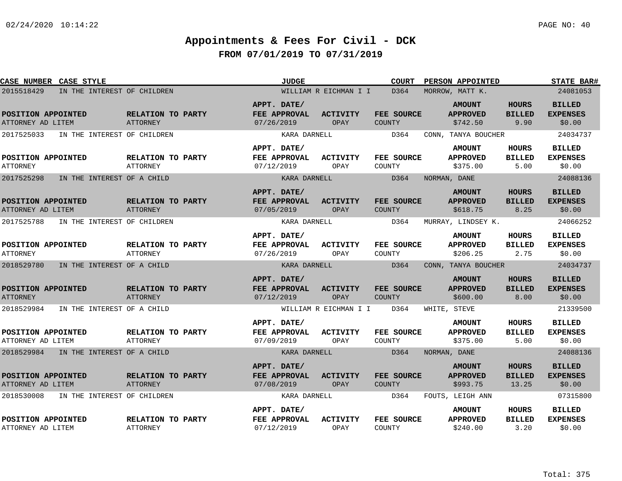| CASE NUMBER CASE STYLE                  |                             |                                      | <b>JUDGE</b>                              |                                | <b>COURT</b>                | PERSON APPOINTED                             |                                        | <b>STATE BAR#</b>                          |
|-----------------------------------------|-----------------------------|--------------------------------------|-------------------------------------------|--------------------------------|-----------------------------|----------------------------------------------|----------------------------------------|--------------------------------------------|
| 2015518429                              | IN THE INTEREST OF CHILDREN |                                      |                                           | WILLIAM R EICHMAN I I          | D364                        | MORROW, MATT K.                              |                                        | 24081053                                   |
| POSITION APPOINTED<br>ATTORNEY AD LITEM |                             | RELATION TO PARTY<br>ATTORNEY        | APPT. DATE/<br>FEE APPROVAL<br>07/26/2019 | <b>ACTIVITY</b><br>OPAY        | FEE SOURCE<br><b>COUNTY</b> | <b>AMOUNT</b><br><b>APPROVED</b><br>\$742.50 | <b>HOURS</b><br><b>BILLED</b><br>9.90  | <b>BILLED</b><br><b>EXPENSES</b><br>\$0.00 |
| 2017525033                              | IN THE INTEREST OF CHILDREN |                                      | KARA DARNELL                              |                                | D364                        | CONN, TANYA BOUCHER                          |                                        | 24034737                                   |
| POSITION APPOINTED<br><b>ATTORNEY</b>   |                             | RELATION TO PARTY<br><b>ATTORNEY</b> | APPT. DATE/<br>FEE APPROVAL<br>07/12/2019 | <b>ACTIVITY</b><br>OPAY        | FEE SOURCE<br>COUNTY        | <b>AMOUNT</b><br><b>APPROVED</b><br>\$375.00 | HOURS<br><b>BILLED</b><br>5.00         | <b>BILLED</b><br><b>EXPENSES</b><br>\$0.00 |
| 2017525298                              | IN THE INTEREST OF A CHILD  |                                      | KARA DARNELL                              |                                | D364                        | NORMAN, DANE                                 |                                        | 24088136                                   |
| POSITION APPOINTED<br>ATTORNEY AD LITEM |                             | RELATION TO PARTY<br><b>ATTORNEY</b> | APPT. DATE/<br>FEE APPROVAL<br>07/05/2019 | <b>ACTIVITY</b><br><b>OPAY</b> | FEE SOURCE<br><b>COUNTY</b> | <b>AMOUNT</b><br><b>APPROVED</b><br>\$618.75 | <b>HOURS</b><br><b>BILLED</b><br>8.25  | <b>BILLED</b><br><b>EXPENSES</b><br>\$0.00 |
| 2017525788                              | IN THE INTEREST OF CHILDREN |                                      | KARA DARNELL                              |                                | D364                        | MURRAY, LINDSEY K.                           |                                        | 24066252                                   |
| POSITION APPOINTED<br><b>ATTORNEY</b>   |                             | RELATION TO PARTY<br><b>ATTORNEY</b> | APPT. DATE/<br>FEE APPROVAL<br>07/26/2019 | ACTIVITY<br>OPAY               | FEE SOURCE<br>COUNTY        | <b>AMOUNT</b><br><b>APPROVED</b><br>\$206.25 | <b>HOURS</b><br><b>BILLED</b><br>2.75  | <b>BILLED</b><br><b>EXPENSES</b><br>\$0.00 |
| 2018529780                              | IN THE INTEREST OF A CHILD  |                                      | KARA DARNELL                              |                                | D364                        | CONN, TANYA BOUCHER                          |                                        | 24034737                                   |
| POSITION APPOINTED<br><b>ATTORNEY</b>   |                             | RELATION TO PARTY<br><b>ATTORNEY</b> | APPT. DATE/<br>FEE APPROVAL<br>07/12/2019 | <b>ACTIVITY</b><br>OPAY        | FEE SOURCE<br><b>COUNTY</b> | <b>AMOUNT</b><br><b>APPROVED</b><br>\$600.00 | <b>HOURS</b><br><b>BILLED</b><br>8.00  | <b>BILLED</b><br><b>EXPENSES</b><br>\$0.00 |
| 2018529984                              | IN THE INTEREST OF A CHILD  |                                      |                                           | WILLIAM R EICHMAN I I          | D364                        | WHITE, STEVE                                 |                                        | 21339500                                   |
| POSITION APPOINTED<br>ATTORNEY AD LITEM |                             | RELATION TO PARTY<br><b>ATTORNEY</b> | APPT. DATE/<br>FEE APPROVAL<br>07/09/2019 | ACTIVITY<br>OPAY               | FEE SOURCE<br>COUNTY        | <b>AMOUNT</b><br><b>APPROVED</b><br>\$375.00 | HOURS<br><b>BILLED</b><br>5.00         | <b>BILLED</b><br><b>EXPENSES</b><br>\$0.00 |
| 2018529984                              | IN THE INTEREST OF A CHILD  |                                      | KARA DARNELL                              |                                | D364                        | NORMAN, DANE                                 |                                        | 24088136                                   |
| POSITION APPOINTED<br>ATTORNEY AD LITEM |                             | RELATION TO PARTY<br><b>ATTORNEY</b> | APPT. DATE/<br>FEE APPROVAL<br>07/08/2019 | <b>ACTIVITY</b><br>OPAY        | FEE SOURCE<br><b>COUNTY</b> | <b>AMOUNT</b><br><b>APPROVED</b><br>\$993.75 | <b>HOURS</b><br><b>BILLED</b><br>13.25 | <b>BILLED</b><br><b>EXPENSES</b><br>\$0.00 |
| 2018530008                              | IN THE INTEREST OF CHILDREN |                                      | KARA DARNELL                              |                                | D364                        | FOUTS, LEIGH ANN                             |                                        | 07315800                                   |
| POSITION APPOINTED<br>ATTORNEY AD LITEM |                             | RELATION TO PARTY<br><b>ATTORNEY</b> | APPT. DATE/<br>FEE APPROVAL<br>07/12/2019 | <b>ACTIVITY</b><br>OPAY        | FEE SOURCE<br>COUNTY        | <b>AMOUNT</b><br><b>APPROVED</b><br>\$240.00 | HOURS<br><b>BILLED</b><br>3.20         | <b>BILLED</b><br><b>EXPENSES</b><br>\$0.00 |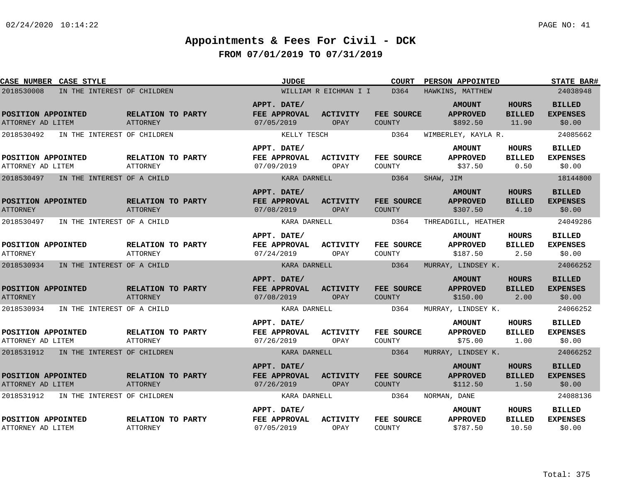| CASE NUMBER CASE STYLE                  |                             |                                      | <b>JUDGE</b>                              |                         | <b>COURT</b>                | PERSON APPOINTED                             |                                        | <b>STATE BAR#</b>                          |
|-----------------------------------------|-----------------------------|--------------------------------------|-------------------------------------------|-------------------------|-----------------------------|----------------------------------------------|----------------------------------------|--------------------------------------------|
| 2018530008                              | IN THE INTEREST OF CHILDREN |                                      |                                           | WILLIAM R EICHMAN I I   | D364                        | HAWKINS, MATTHEW                             |                                        | 24038948                                   |
| POSITION APPOINTED<br>ATTORNEY AD LITEM |                             | RELATION TO PARTY<br>ATTORNEY        | APPT. DATE/<br>FEE APPROVAL<br>07/05/2019 | <b>ACTIVITY</b><br>OPAY | FEE SOURCE<br>COUNTY        | <b>AMOUNT</b><br><b>APPROVED</b><br>\$892.50 | <b>HOURS</b><br><b>BILLED</b><br>11.90 | <b>BILLED</b><br><b>EXPENSES</b><br>\$0.00 |
| 2018530492                              | IN THE INTEREST OF CHILDREN |                                      | KELLY TESCH                               |                         | D364                        | WIMBERLEY, KAYLA R.                          |                                        | 24085662                                   |
| POSITION APPOINTED<br>ATTORNEY AD LITEM |                             | RELATION TO PARTY<br><b>ATTORNEY</b> | APPT. DATE/<br>FEE APPROVAL<br>07/09/2019 | <b>ACTIVITY</b><br>OPAY | FEE SOURCE<br>COUNTY        | <b>AMOUNT</b><br><b>APPROVED</b><br>\$37.50  | <b>HOURS</b><br><b>BILLED</b><br>0.50  | <b>BILLED</b><br><b>EXPENSES</b><br>\$0.00 |
| 2018530497                              | IN THE INTEREST OF A CHILD  |                                      | KARA DARNELL                              |                         | D364                        | SHAW, JIM                                    |                                        | 18144800                                   |
| POSITION APPOINTED<br><b>ATTORNEY</b>   |                             | RELATION TO PARTY<br>ATTORNEY        | APPT. DATE/<br>FEE APPROVAL<br>07/08/2019 | <b>ACTIVITY</b><br>OPAY | FEE SOURCE<br><b>COUNTY</b> | <b>AMOUNT</b><br><b>APPROVED</b><br>\$307.50 | <b>HOURS</b><br><b>BILLED</b><br>4.10  | <b>BILLED</b><br><b>EXPENSES</b><br>\$0.00 |
| 2018530497                              | IN THE INTEREST OF A CHILD  |                                      | KARA DARNELL                              |                         | D364                        | THREADGILL, HEATHER                          |                                        | 24049286                                   |
| POSITION APPOINTED<br><b>ATTORNEY</b>   |                             | RELATION TO PARTY<br>ATTORNEY        | APPT. DATE/<br>FEE APPROVAL<br>07/24/2019 | <b>ACTIVITY</b><br>OPAY | FEE SOURCE<br>COUNTY        | <b>AMOUNT</b><br><b>APPROVED</b><br>\$187.50 | <b>HOURS</b><br><b>BILLED</b><br>2.50  | <b>BILLED</b><br><b>EXPENSES</b><br>\$0.00 |
| 2018530934                              | IN THE INTEREST OF A CHILD  |                                      | KARA DARNELL                              |                         | D364                        | MURRAY, LINDSEY K.                           |                                        | 24066252                                   |
| POSITION APPOINTED<br><b>ATTORNEY</b>   |                             | RELATION TO PARTY<br><b>ATTORNEY</b> | APPT. DATE/<br>FEE APPROVAL<br>07/08/2019 | <b>ACTIVITY</b><br>OPAY | FEE SOURCE<br>COUNTY        | <b>AMOUNT</b><br><b>APPROVED</b><br>\$150.00 | <b>HOURS</b><br><b>BILLED</b><br>2.00  | <b>BILLED</b><br><b>EXPENSES</b><br>\$0.00 |
| 2018530934                              | IN THE INTEREST OF A CHILD  |                                      | KARA DARNELL                              |                         | D364                        | MURRAY, LINDSEY K.                           |                                        | 24066252                                   |
| POSITION APPOINTED<br>ATTORNEY AD LITEM |                             | RELATION TO PARTY<br><b>ATTORNEY</b> | APPT. DATE/<br>FEE APPROVAL<br>07/26/2019 | <b>ACTIVITY</b><br>OPAY | FEE SOURCE<br>COUNTY        | <b>AMOUNT</b><br><b>APPROVED</b><br>\$75.00  | <b>HOURS</b><br><b>BILLED</b><br>1.00  | <b>BILLED</b><br><b>EXPENSES</b><br>\$0.00 |
| 2018531912 IN THE INTEREST OF CHILDREN  |                             |                                      | KARA DARNELL                              |                         | D364                        | MURRAY, LINDSEY K.                           |                                        | 24066252                                   |
| POSITION APPOINTED<br>ATTORNEY AD LITEM |                             | RELATION TO PARTY<br>ATTORNEY        | APPT. DATE/<br>FEE APPROVAL<br>07/26/2019 | <b>ACTIVITY</b><br>OPAY | FEE SOURCE<br>COUNTY        | <b>AMOUNT</b><br><b>APPROVED</b><br>\$112.50 | <b>HOURS</b><br><b>BILLED</b><br>1.50  | <b>BILLED</b><br><b>EXPENSES</b><br>\$0.00 |
| 2018531912                              | IN THE INTEREST OF CHILDREN |                                      | KARA DARNELL                              |                         | D364                        | NORMAN, DANE                                 |                                        | 24088136                                   |
| POSITION APPOINTED<br>ATTORNEY AD LITEM |                             | RELATION TO PARTY<br><b>ATTORNEY</b> | APPT. DATE/<br>FEE APPROVAL<br>07/05/2019 | <b>ACTIVITY</b><br>OPAY | FEE SOURCE<br>COUNTY        | <b>AMOUNT</b><br><b>APPROVED</b><br>\$787.50 | HOURS<br><b>BILLED</b><br>10.50        | <b>BILLED</b><br><b>EXPENSES</b><br>\$0.00 |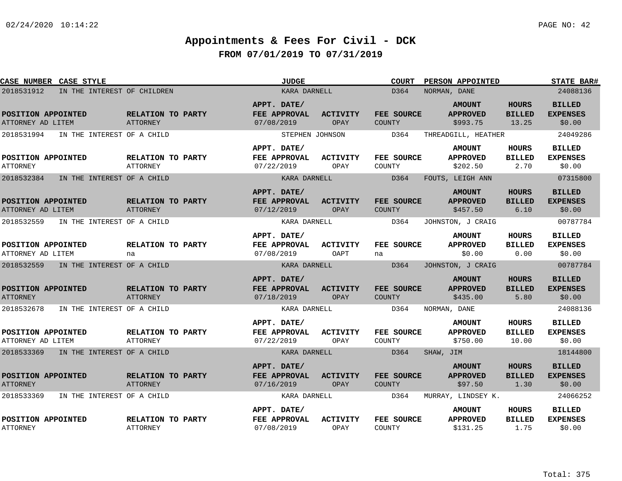| CASE NUMBER CASE STYLE                  |                                      | <b>JUDGE</b>                              |                         | <b>COURT</b>                | <b>PERSON APPOINTED</b>                      |                                        | <b>STATE BAR#</b>                          |
|-----------------------------------------|--------------------------------------|-------------------------------------------|-------------------------|-----------------------------|----------------------------------------------|----------------------------------------|--------------------------------------------|
| 2018531912                              | IN THE INTEREST OF CHILDREN          | KARA DARNELL                              |                         | D364                        | NORMAN, DANE                                 |                                        | 24088136                                   |
| POSITION APPOINTED<br>ATTORNEY AD LITEM | RELATION TO PARTY<br>ATTORNEY        | APPT. DATE/<br>FEE APPROVAL<br>07/08/2019 | <b>ACTIVITY</b><br>OPAY | FEE SOURCE<br>COUNTY        | <b>AMOUNT</b><br><b>APPROVED</b><br>\$993.75 | <b>HOURS</b><br><b>BILLED</b><br>13.25 | <b>BILLED</b><br><b>EXPENSES</b><br>\$0.00 |
| 2018531994                              | IN THE INTEREST OF A CHILD           | STEPHEN JOHNSON                           |                         | D364                        | THREADGILL, HEATHER                          |                                        | 24049286                                   |
| POSITION APPOINTED<br><b>ATTORNEY</b>   | RELATION TO PARTY<br>ATTORNEY        | APPT. DATE/<br>FEE APPROVAL<br>07/22/2019 | <b>ACTIVITY</b><br>OPAY | FEE SOURCE<br>COUNTY        | <b>AMOUNT</b><br><b>APPROVED</b><br>\$202.50 | HOURS<br><b>BILLED</b><br>2.70         | <b>BILLED</b><br><b>EXPENSES</b><br>\$0.00 |
| 2018532384                              | IN THE INTEREST OF A CHILD           | KARA DARNELL                              |                         | D364                        | FOUTS, LEIGH ANN                             |                                        | 07315800                                   |
| POSITION APPOINTED<br>ATTORNEY AD LITEM | RELATION TO PARTY<br>ATTORNEY        | APPT. DATE/<br>FEE APPROVAL<br>07/12/2019 | <b>ACTIVITY</b><br>OPAY | FEE SOURCE<br><b>COUNTY</b> | <b>AMOUNT</b><br><b>APPROVED</b><br>\$457.50 | <b>HOURS</b><br><b>BILLED</b><br>6.10  | <b>BILLED</b><br><b>EXPENSES</b><br>\$0.00 |
| 2018532559                              | IN THE INTEREST OF A CHILD           | KARA DARNELL                              |                         | D364                        | JOHNSTON, J CRAIG                            |                                        | 00787784                                   |
| POSITION APPOINTED<br>ATTORNEY AD LITEM | RELATION TO PARTY<br>na              | APPT. DATE/<br>FEE APPROVAL<br>07/08/2019 | <b>ACTIVITY</b><br>OAPT | FEE SOURCE<br>na            | <b>AMOUNT</b><br><b>APPROVED</b><br>\$0.00   | <b>HOURS</b><br><b>BILLED</b><br>0.00  | <b>BILLED</b><br><b>EXPENSES</b><br>\$0.00 |
| 2018532559 IN THE INTEREST OF A CHILD   |                                      | KARA DARNELL                              |                         | D364                        | JOHNSTON, J CRAIG                            |                                        | 00787784                                   |
| POSITION APPOINTED<br><b>ATTORNEY</b>   | RELATION TO PARTY<br><b>ATTORNEY</b> | APPT. DATE/<br>FEE APPROVAL<br>07/18/2019 | <b>ACTIVITY</b><br>OPAY | FEE SOURCE<br>COUNTY        | <b>AMOUNT</b><br><b>APPROVED</b><br>\$435.00 | <b>HOURS</b><br><b>BILLED</b><br>5.80  | <b>BILLED</b><br><b>EXPENSES</b><br>\$0.00 |
| 2018532678                              | IN THE INTEREST OF A CHILD           | KARA DARNELL                              |                         | D364                        | NORMAN, DANE                                 |                                        | 24088136                                   |
| POSITION APPOINTED<br>ATTORNEY AD LITEM | RELATION TO PARTY<br>ATTORNEY        | APPT. DATE/<br>FEE APPROVAL<br>07/22/2019 | <b>ACTIVITY</b><br>OPAY | FEE SOURCE<br>COUNTY        | <b>AMOUNT</b><br><b>APPROVED</b><br>\$750.00 | HOURS<br><b>BILLED</b><br>10.00        | <b>BILLED</b><br><b>EXPENSES</b><br>\$0.00 |
| 2018533369 IN THE INTEREST OF A CHILD   |                                      | KARA DARNELL                              |                         | D364                        | SHAW, JIM                                    |                                        | 18144800                                   |
| POSITION APPOINTED<br><b>ATTORNEY</b>   | RELATION TO PARTY<br><b>ATTORNEY</b> | APPT. DATE/<br>FEE APPROVAL<br>07/16/2019 | <b>ACTIVITY</b><br>OPAY | FEE SOURCE<br>COUNTY        | <b>AMOUNT</b><br><b>APPROVED</b><br>\$97.50  | <b>HOURS</b><br><b>BILLED</b><br>1.30  | <b>BILLED</b><br><b>EXPENSES</b><br>\$0.00 |
| 2018533369                              | IN THE INTEREST OF A CHILD           | KARA DARNELL                              |                         | D364                        | MURRAY, LINDSEY K.                           |                                        | 24066252                                   |
| POSITION APPOINTED<br><b>ATTORNEY</b>   | RELATION TO PARTY<br><b>ATTORNEY</b> | APPT. DATE/<br>FEE APPROVAL<br>07/08/2019 | <b>ACTIVITY</b><br>OPAY | FEE SOURCE<br>COUNTY        | <b>AMOUNT</b><br><b>APPROVED</b><br>\$131.25 | <b>HOURS</b><br><b>BILLED</b><br>1.75  | <b>BILLED</b><br><b>EXPENSES</b><br>\$0.00 |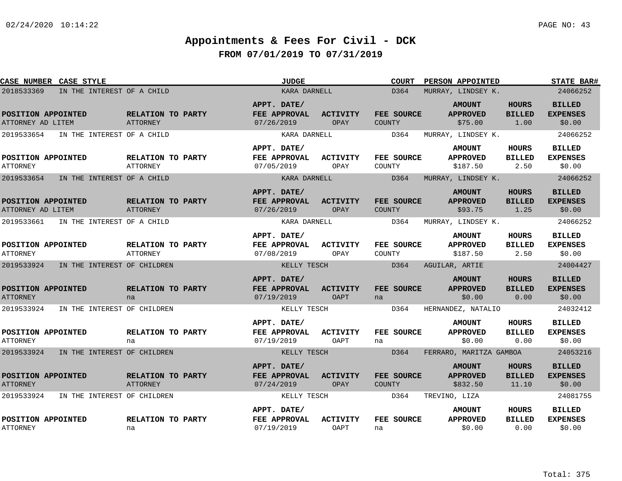| CASE NUMBER CASE STYLE                  |                                      | <b>JUDGE</b>                              |                         | <b>COURT</b>                | PERSON APPOINTED                             |                                        | <b>STATE BAR#</b>                          |
|-----------------------------------------|--------------------------------------|-------------------------------------------|-------------------------|-----------------------------|----------------------------------------------|----------------------------------------|--------------------------------------------|
| 2018533369                              | IN THE INTEREST OF A CHILD           | KARA DARNELL                              |                         | D364                        | MURRAY, LINDSEY K.                           |                                        | 24066252                                   |
| POSITION APPOINTED<br>ATTORNEY AD LITEM | RELATION TO PARTY<br>ATTORNEY        | APPT. DATE/<br>FEE APPROVAL<br>07/26/2019 | <b>ACTIVITY</b><br>OPAY | FEE SOURCE<br>COUNTY        | <b>AMOUNT</b><br><b>APPROVED</b><br>\$75.00  | <b>HOURS</b><br><b>BILLED</b><br>1.00  | <b>BILLED</b><br><b>EXPENSES</b><br>\$0.00 |
| 2019533654                              | IN THE INTEREST OF A CHILD           | KARA DARNELL                              |                         | D364                        | MURRAY, LINDSEY K.                           |                                        | 24066252                                   |
| POSITION APPOINTED<br><b>ATTORNEY</b>   | RELATION TO PARTY<br><b>ATTORNEY</b> | APPT. DATE/<br>FEE APPROVAL<br>07/05/2019 | <b>ACTIVITY</b><br>OPAY | FEE SOURCE<br>COUNTY        | <b>AMOUNT</b><br><b>APPROVED</b><br>\$187.50 | <b>HOURS</b><br><b>BILLED</b><br>2.50  | BILLED<br><b>EXPENSES</b><br>\$0.00        |
| 2019533654                              | IN THE INTEREST OF A CHILD           | KARA DARNELL                              |                         | D364                        | MURRAY, LINDSEY K.                           |                                        | 24066252                                   |
| POSITION APPOINTED<br>ATTORNEY AD LITEM | RELATION TO PARTY<br>ATTORNEY        | APPT. DATE/<br>FEE APPROVAL<br>07/26/2019 | <b>ACTIVITY</b><br>OPAY | FEE SOURCE<br><b>COUNTY</b> | <b>AMOUNT</b><br><b>APPROVED</b><br>\$93.75  | <b>HOURS</b><br><b>BILLED</b><br>1.25  | <b>BILLED</b><br><b>EXPENSES</b><br>\$0.00 |
| 2019533661                              | IN THE INTEREST OF A CHILD           | KARA DARNELL                              |                         | D364                        | MURRAY, LINDSEY K.                           |                                        | 24066252                                   |
| POSITION APPOINTED<br><b>ATTORNEY</b>   | RELATION TO PARTY<br><b>ATTORNEY</b> | APPT. DATE/<br>FEE APPROVAL<br>07/08/2019 | ACTIVITY<br>OPAY        | FEE SOURCE<br>COUNTY        | <b>AMOUNT</b><br><b>APPROVED</b><br>\$187.50 | <b>HOURS</b><br><b>BILLED</b><br>2.50  | <b>BILLED</b><br><b>EXPENSES</b><br>\$0.00 |
| 2019533924                              | IN THE INTEREST OF CHILDREN          | KELLY TESCH                               |                         | D364                        | AGUILAR, ARTIE                               |                                        | 24004427                                   |
| POSITION APPOINTED<br><b>ATTORNEY</b>   | RELATION TO PARTY<br>na              | APPT. DATE/<br>FEE APPROVAL<br>07/19/2019 | <b>ACTIVITY</b><br>OAPT | FEE SOURCE<br>na            | <b>AMOUNT</b><br><b>APPROVED</b><br>\$0.00   | <b>HOURS</b><br><b>BILLED</b><br>0.00  | <b>BILLED</b><br><b>EXPENSES</b><br>\$0.00 |
| 2019533924                              | IN THE INTEREST OF CHILDREN          | KELLY TESCH                               |                         | D364                        | HERNANDEZ, NATALIO                           |                                        | 24032412                                   |
| POSITION APPOINTED<br>ATTORNEY          | RELATION TO PARTY<br>na              | APPT. DATE/<br>FEE APPROVAL<br>07/19/2019 | <b>ACTIVITY</b><br>OAPT | FEE SOURCE<br>na            | <b>AMOUNT</b><br><b>APPROVED</b><br>\$0.00   | <b>HOURS</b><br><b>BILLED</b><br>0.00  | <b>BILLED</b><br><b>EXPENSES</b><br>\$0.00 |
| 2019533924                              | IN THE INTEREST OF CHILDREN          | KELLY TESCH                               |                         | D364                        | FERRARO, MARITZA GAMBOA                      |                                        | 24053216                                   |
| POSITION APPOINTED<br><b>ATTORNEY</b>   | RELATION TO PARTY<br>ATTORNEY        | APPT. DATE/<br>FEE APPROVAL<br>07/24/2019 | <b>ACTIVITY</b><br>OPAY | FEE SOURCE<br><b>COUNTY</b> | <b>AMOUNT</b><br><b>APPROVED</b><br>\$832.50 | <b>HOURS</b><br><b>BILLED</b><br>11.10 | <b>BILLED</b><br><b>EXPENSES</b><br>\$0.00 |
| 2019533924                              | IN THE INTEREST OF CHILDREN          | KELLY TESCH                               |                         | D364                        | TREVINO, LIZA                                |                                        | 24081755                                   |
| POSITION APPOINTED<br><b>ATTORNEY</b>   | RELATION TO PARTY<br>na              | APPT. DATE/<br>FEE APPROVAL<br>07/19/2019 | <b>ACTIVITY</b><br>OAPT | FEE SOURCE<br>na            | <b>AMOUNT</b><br><b>APPROVED</b><br>\$0.00   | HOURS<br><b>BILLED</b><br>0.00         | BILLED<br><b>EXPENSES</b><br>\$0.00        |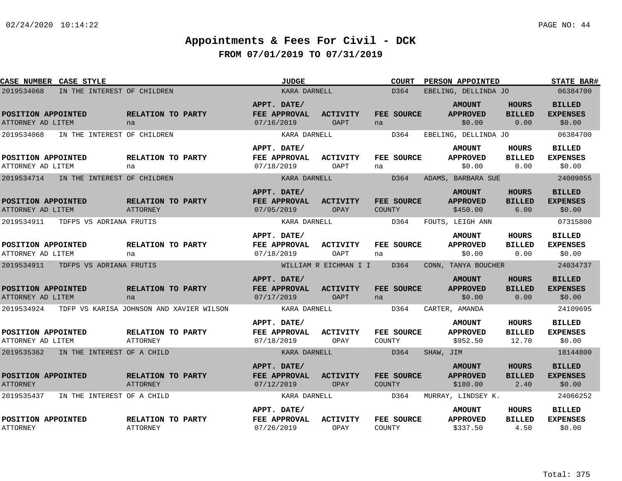| CASE NUMBER CASE STYLE                  |                                          | <b>JUDGE</b>                              |                                | <b>COURT</b>                | PERSON APPOINTED                             |                                       | <b>STATE BAR#</b>                          |
|-----------------------------------------|------------------------------------------|-------------------------------------------|--------------------------------|-----------------------------|----------------------------------------------|---------------------------------------|--------------------------------------------|
| 2019534068                              | IN THE INTEREST OF CHILDREN              | KARA DARNELL                              |                                | D364                        | EBELING, DELLINDA JO                         |                                       | 06384700                                   |
| POSITION APPOINTED<br>ATTORNEY AD LITEM | RELATION TO PARTY<br>na                  | APPT. DATE/<br>FEE APPROVAL<br>07/16/2019 | <b>ACTIVITY</b><br><b>OAPT</b> | FEE SOURCE<br>na            | <b>AMOUNT</b><br><b>APPROVED</b><br>\$0.00   | <b>HOURS</b><br><b>BILLED</b><br>0.00 | <b>BILLED</b><br><b>EXPENSES</b><br>\$0.00 |
| 2019534068                              | IN THE INTEREST OF CHILDREN              | KARA DARNELL                              |                                | D364                        | EBELING, DELLINDA JO                         |                                       | 06384700                                   |
| POSITION APPOINTED<br>ATTORNEY AD LITEM | RELATION TO PARTY<br>na                  | APPT. DATE/<br>FEE APPROVAL<br>07/18/2019 | <b>ACTIVITY</b><br>OAPT        | FEE SOURCE<br>na            | <b>AMOUNT</b><br><b>APPROVED</b><br>\$0.00   | HOURS<br><b>BILLED</b><br>0.00        | <b>BILLED</b><br><b>EXPENSES</b><br>\$0.00 |
| 2019534714                              | IN THE INTEREST OF CHILDREN              | KARA DARNELL                              |                                | D364                        | ADAMS, BARBARA SUE                           |                                       | 24009855                                   |
| POSITION APPOINTED<br>ATTORNEY AD LITEM | RELATION TO PARTY<br><b>ATTORNEY</b>     | APPT. DATE/<br>FEE APPROVAL<br>07/05/2019 | <b>ACTIVITY</b><br>OPAY        | FEE SOURCE<br><b>COUNTY</b> | <b>AMOUNT</b><br><b>APPROVED</b><br>\$450.00 | <b>HOURS</b><br><b>BILLED</b><br>6.00 | <b>BILLED</b><br><b>EXPENSES</b><br>\$0.00 |
| 2019534911<br>TDFPS VS ADRIANA FRUTIS   |                                          | KARA DARNELL                              |                                | D364                        | FOUTS, LEIGH ANN                             |                                       | 07315800                                   |
| POSITION APPOINTED<br>ATTORNEY AD LITEM | RELATION TO PARTY<br>na                  | APPT. DATE/<br>FEE APPROVAL<br>07/18/2019 | <b>ACTIVITY</b><br>OAPT        | FEE SOURCE<br>na            | <b>AMOUNT</b><br><b>APPROVED</b><br>\$0.00   | <b>HOURS</b><br><b>BILLED</b><br>0.00 | <b>BILLED</b><br><b>EXPENSES</b><br>\$0.00 |
| 2019534911<br>TDFPS VS ADRIANA FRUTIS   |                                          |                                           | WILLIAM R EICHMAN I I          | D364                        | CONN, TANYA BOUCHER                          |                                       | 24034737                                   |
| POSITION APPOINTED<br>ATTORNEY AD LITEM | RELATION TO PARTY<br>na                  | APPT. DATE/<br>FEE APPROVAL<br>07/17/2019 | <b>ACTIVITY</b><br><b>OAPT</b> | FEE SOURCE<br>na            | <b>AMOUNT</b><br><b>APPROVED</b><br>\$0.00   | <b>HOURS</b><br><b>BILLED</b><br>0.00 | <b>BILLED</b><br><b>EXPENSES</b><br>\$0.00 |
| 2019534924                              | TDFP VS KARISA JOHNSON AND XAVIER WILSON | KARA DARNELL                              |                                | D364                        | CARTER, AMANDA                               |                                       | 24109695                                   |
| POSITION APPOINTED<br>ATTORNEY AD LITEM | RELATION TO PARTY<br>ATTORNEY            | APPT. DATE/<br>FEE APPROVAL<br>07/18/2019 | <b>ACTIVITY</b><br>OPAY        | FEE SOURCE<br>COUNTY        | <b>AMOUNT</b><br><b>APPROVED</b><br>\$952.50 | HOURS<br><b>BILLED</b><br>12.70       | <b>BILLED</b><br><b>EXPENSES</b><br>\$0.00 |
| 2019535362 IN THE INTEREST OF A CHILD   |                                          | KARA DARNELL                              |                                | D364                        | SHAW, JIM                                    |                                       | 18144800                                   |
| POSITION APPOINTED<br><b>ATTORNEY</b>   | RELATION TO PARTY<br><b>ATTORNEY</b>     | APPT. DATE/<br>FEE APPROVAL<br>07/12/2019 | ACTIVITY<br>OPAY               | FEE SOURCE<br><b>COUNTY</b> | <b>AMOUNT</b><br><b>APPROVED</b><br>\$180.00 | <b>HOURS</b><br><b>BILLED</b><br>2.40 | <b>BILLED</b><br><b>EXPENSES</b><br>\$0.00 |
| 2019535437                              | IN THE INTEREST OF A CHILD               | KARA DARNELL                              |                                | D364                        | MURRAY, LINDSEY K.                           |                                       | 24066252                                   |
| POSITION APPOINTED<br><b>ATTORNEY</b>   | RELATION TO PARTY<br><b>ATTORNEY</b>     | APPT. DATE/<br>FEE APPROVAL<br>07/26/2019 | <b>ACTIVITY</b><br>OPAY        | FEE SOURCE<br><b>COUNTY</b> | <b>AMOUNT</b><br><b>APPROVED</b><br>\$337.50 | HOURS<br><b>BILLED</b><br>4.50        | <b>BILLED</b><br><b>EXPENSES</b><br>\$0.00 |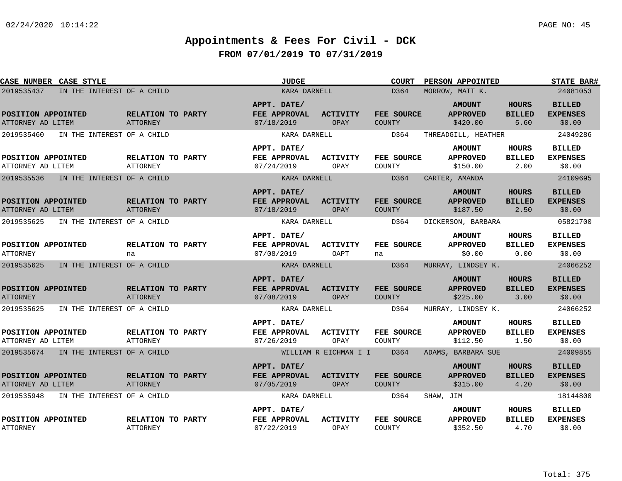| CASE NUMBER CASE STYLE                   |                                      | <b>JUDGE</b>                              |                         | <b>COURT</b>         | PERSON APPOINTED                             |                                       | <b>STATE BAR#</b>                          |
|------------------------------------------|--------------------------------------|-------------------------------------------|-------------------------|----------------------|----------------------------------------------|---------------------------------------|--------------------------------------------|
| 2019535437<br>IN THE INTEREST OF A CHILD |                                      | KARA DARNELL                              |                         | D364                 | MORROW, MATT K.                              |                                       | 24081053                                   |
| POSITION APPOINTED<br>ATTORNEY AD LITEM  | RELATION TO PARTY<br><b>ATTORNEY</b> | APPT. DATE/<br>FEE APPROVAL<br>07/18/2019 | <b>ACTIVITY</b><br>OPAY | FEE SOURCE<br>COUNTY | <b>AMOUNT</b><br><b>APPROVED</b><br>\$420.00 | <b>HOURS</b><br><b>BILLED</b><br>5.60 | <b>BILLED</b><br><b>EXPENSES</b><br>\$0.00 |
| 2019535460<br>IN THE INTEREST OF A CHILD |                                      | KARA DARNELL                              |                         | D364                 | THREADGILL, HEATHER                          |                                       | 24049286                                   |
| POSITION APPOINTED<br>ATTORNEY AD LITEM  | RELATION TO PARTY<br><b>ATTORNEY</b> | APPT. DATE/<br>FEE APPROVAL<br>07/24/2019 | <b>ACTIVITY</b><br>OPAY | FEE SOURCE<br>COUNTY | <b>AMOUNT</b><br><b>APPROVED</b><br>\$150.00 | HOURS<br><b>BILLED</b><br>2.00        | <b>BILLED</b><br><b>EXPENSES</b><br>\$0.00 |
| 2019535536<br>IN THE INTEREST OF A CHILD |                                      | KARA DARNELL                              |                         | D364                 | CARTER, AMANDA                               |                                       | 24109695                                   |
| POSITION APPOINTED<br>ATTORNEY AD LITEM  | RELATION TO PARTY<br><b>ATTORNEY</b> | APPT. DATE/<br>FEE APPROVAL<br>07/18/2019 | <b>ACTIVITY</b><br>OPAY | FEE SOURCE<br>COUNTY | <b>AMOUNT</b><br><b>APPROVED</b><br>\$187.50 | <b>HOURS</b><br><b>BILLED</b><br>2.50 | <b>BILLED</b><br><b>EXPENSES</b><br>\$0.00 |
| 2019535625<br>IN THE INTEREST OF A CHILD |                                      | KARA DARNELL                              |                         | D364                 | DICKERSON, BARBARA                           |                                       | 05821700                                   |
| POSITION APPOINTED<br><b>ATTORNEY</b>    | RELATION TO PARTY<br>na              | APPT. DATE/<br>FEE APPROVAL<br>07/08/2019 | <b>ACTIVITY</b><br>OAPT | FEE SOURCE<br>na     | <b>AMOUNT</b><br><b>APPROVED</b><br>\$0.00   | HOURS<br><b>BILLED</b><br>0.00        | <b>BILLED</b><br><b>EXPENSES</b><br>\$0.00 |
| 2019535625<br>IN THE INTEREST OF A CHILD |                                      | KARA DARNELL                              |                         | D364                 | MURRAY, LINDSEY K.                           |                                       | 24066252                                   |
| POSITION APPOINTED<br><b>ATTORNEY</b>    | RELATION TO PARTY<br><b>ATTORNEY</b> | APPT. DATE/<br>FEE APPROVAL<br>07/08/2019 | <b>ACTIVITY</b><br>OPAY | FEE SOURCE<br>COUNTY | <b>AMOUNT</b><br><b>APPROVED</b><br>\$225.00 | <b>HOURS</b><br><b>BILLED</b><br>3.00 | <b>BILLED</b><br><b>EXPENSES</b><br>\$0.00 |
| 2019535625<br>IN THE INTEREST OF A CHILD |                                      | KARA DARNELL                              |                         | D364                 | MURRAY, LINDSEY K.                           |                                       | 24066252                                   |
| POSITION APPOINTED<br>ATTORNEY AD LITEM  | RELATION TO PARTY<br><b>ATTORNEY</b> | APPT. DATE/<br>FEE APPROVAL<br>07/26/2019 | <b>ACTIVITY</b><br>OPAY | FEE SOURCE<br>COUNTY | <b>AMOUNT</b><br><b>APPROVED</b><br>\$112.50 | HOURS<br><b>BILLED</b><br>1.50        | <b>BILLED</b><br><b>EXPENSES</b><br>\$0.00 |
| 2019535674 IN THE INTEREST OF A CHILD    |                                      |                                           | WILLIAM R EICHMAN I I   | D364                 | ADAMS, BARBARA SUE                           |                                       | 24009855                                   |
| POSITION APPOINTED<br>ATTORNEY AD LITEM  | RELATION TO PARTY<br><b>ATTORNEY</b> | APPT. DATE/<br>FEE APPROVAL<br>07/05/2019 | ACTIVITY<br>OPAY        | FEE SOURCE<br>COUNTY | <b>AMOUNT</b><br><b>APPROVED</b><br>\$315.00 | <b>HOURS</b><br><b>BILLED</b><br>4.20 | <b>BILLED</b><br><b>EXPENSES</b><br>\$0.00 |
| 2019535948<br>IN THE INTEREST OF A CHILD |                                      | KARA DARNELL                              |                         | D364                 | SHAW, JIM                                    |                                       | 18144800                                   |
| POSITION APPOINTED<br><b>ATTORNEY</b>    | RELATION TO PARTY<br><b>ATTORNEY</b> | APPT. DATE/<br>FEE APPROVAL<br>07/22/2019 | <b>ACTIVITY</b><br>OPAY | FEE SOURCE<br>COUNTY | <b>AMOUNT</b><br><b>APPROVED</b><br>\$352.50 | HOURS<br><b>BILLED</b><br>4.70        | <b>BILLED</b><br><b>EXPENSES</b><br>\$0.00 |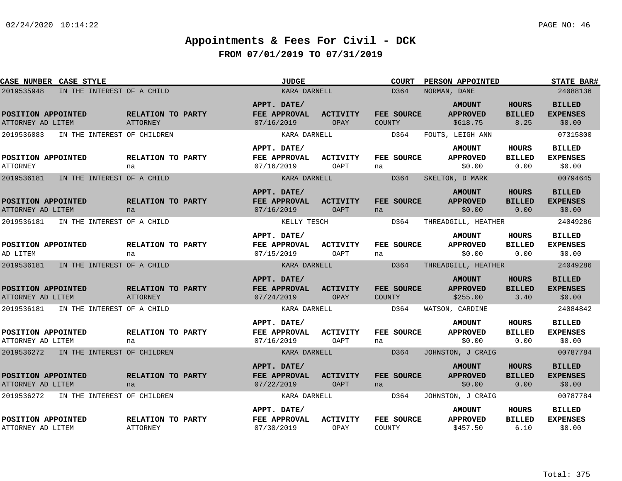| CASE NUMBER CASE STYLE                    |                                      | <b>JUDGE</b>                              |                                | <b>COURT</b>                | PERSON APPOINTED                             |                                       | <b>STATE BAR#</b>                          |
|-------------------------------------------|--------------------------------------|-------------------------------------------|--------------------------------|-----------------------------|----------------------------------------------|---------------------------------------|--------------------------------------------|
| 2019535948<br>IN THE INTEREST OF A CHILD  |                                      | KARA DARNELL                              |                                | D364                        | NORMAN, DANE                                 |                                       | 24088136                                   |
| POSITION APPOINTED<br>ATTORNEY AD LITEM   | RELATION TO PARTY<br>ATTORNEY        | APPT. DATE/<br>FEE APPROVAL<br>07/16/2019 | <b>ACTIVITY</b><br>OPAY        | FEE SOURCE<br><b>COUNTY</b> | <b>AMOUNT</b><br><b>APPROVED</b><br>\$618.75 | <b>HOURS</b><br><b>BILLED</b><br>8.25 | <b>BILLED</b><br><b>EXPENSES</b><br>\$0.00 |
| 2019536083<br>IN THE INTEREST OF CHILDREN |                                      | KARA DARNELL                              |                                | D364                        | FOUTS, LEIGH ANN                             |                                       | 07315800                                   |
|                                           |                                      | APPT. DATE/                               |                                |                             | <b>AMOUNT</b>                                | <b>HOURS</b>                          | <b>BILLED</b>                              |
| POSITION APPOINTED<br><b>ATTORNEY</b>     | RELATION TO PARTY<br>na              | FEE APPROVAL<br>07/16/2019                | <b>ACTIVITY</b><br>OAPT        | FEE SOURCE<br>na            | <b>APPROVED</b><br>\$0.00                    | <b>BILLED</b><br>0.00                 | <b>EXPENSES</b><br>\$0.00                  |
| 2019536181<br>IN THE INTEREST OF A CHILD  |                                      | KARA DARNELL                              |                                | D364                        | SKELTON, D MARK                              |                                       | 00794645                                   |
| POSITION APPOINTED<br>ATTORNEY AD LITEM   | <b>RELATION TO PARTY</b><br>na       | APPT. DATE/<br>FEE APPROVAL<br>07/16/2019 | <b>ACTIVITY</b><br>OAPT        | FEE SOURCE<br>na            | <b>AMOUNT</b><br><b>APPROVED</b><br>\$0.00   | <b>HOURS</b><br><b>BILLED</b><br>0.00 | <b>BILLED</b><br><b>EXPENSES</b><br>\$0.00 |
| 2019536181<br>IN THE INTEREST OF A CHILD  |                                      | KELLY TESCH                               |                                | D364                        | THREADGILL, HEATHER                          |                                       | 24049286                                   |
| POSITION APPOINTED<br>AD LITEM            | RELATION TO PARTY<br>na              | APPT. DATE/<br>FEE APPROVAL<br>07/15/2019 | ACTIVITY<br>OAPT               | FEE SOURCE<br>na            | <b>AMOUNT</b><br><b>APPROVED</b><br>\$0.00   | <b>HOURS</b><br><b>BILLED</b><br>0.00 | <b>BILLED</b><br><b>EXPENSES</b><br>\$0.00 |
| 2019536181<br>IN THE INTEREST OF A CHILD  |                                      | KARA DARNELL                              |                                | D364                        | THREADGILL, HEATHER                          |                                       | 24049286                                   |
| POSITION APPOINTED<br>ATTORNEY AD LITEM   | RELATION TO PARTY<br>ATTORNEY        | APPT. DATE/<br>FEE APPROVAL<br>07/24/2019 | <b>ACTIVITY</b><br>OPAY        | FEE SOURCE<br><b>COUNTY</b> | <b>AMOUNT</b><br><b>APPROVED</b><br>\$255.00 | <b>HOURS</b><br><b>BILLED</b><br>3.40 | <b>BILLED</b><br><b>EXPENSES</b><br>\$0.00 |
| 2019536181 IN THE INTEREST OF A CHILD     |                                      | KARA DARNELL                              |                                | D364                        | WATSON, CARDINE                              |                                       | 24084842                                   |
| POSITION APPOINTED<br>ATTORNEY AD LITEM   | <b>RELATION TO PARTY</b><br>na       | APPT. DATE/<br>FEE APPROVAL<br>07/16/2019 | <b>ACTIVITY</b><br>OAPT        | FEE SOURCE<br>na            | <b>AMOUNT</b><br><b>APPROVED</b><br>\$0.00   | <b>HOURS</b><br><b>BILLED</b><br>0.00 | <b>BILLED</b><br><b>EXPENSES</b><br>\$0.00 |
| 2019536272 IN THE INTEREST OF CHILDREN    |                                      | KARA DARNELL                              |                                | D364                        | JOHNSTON, J CRAIG                            |                                       | 00787784                                   |
| POSITION APPOINTED<br>ATTORNEY AD LITEM   | RELATION TO PARTY<br>na              | APPT. DATE/<br>FEE APPROVAL<br>07/22/2019 | <b>ACTIVITY</b><br><b>OAPT</b> | FEE SOURCE<br>na            | <b>AMOUNT</b><br><b>APPROVED</b><br>\$0.00   | <b>HOURS</b><br><b>BILLED</b><br>0.00 | <b>BILLED</b><br><b>EXPENSES</b><br>\$0.00 |
| 2019536272<br>IN THE INTEREST OF CHILDREN |                                      | KARA DARNELL                              |                                | D364                        | JOHNSTON, J CRAIG                            |                                       | 00787784                                   |
| POSITION APPOINTED<br>ATTORNEY AD LITEM   | RELATION TO PARTY<br><b>ATTORNEY</b> | APPT. DATE/<br>FEE APPROVAL<br>07/30/2019 | <b>ACTIVITY</b><br>OPAY        | FEE SOURCE<br>COUNTY        | <b>AMOUNT</b><br><b>APPROVED</b><br>\$457.50 | <b>HOURS</b><br><b>BILLED</b><br>6.10 | <b>BILLED</b><br><b>EXPENSES</b><br>\$0.00 |